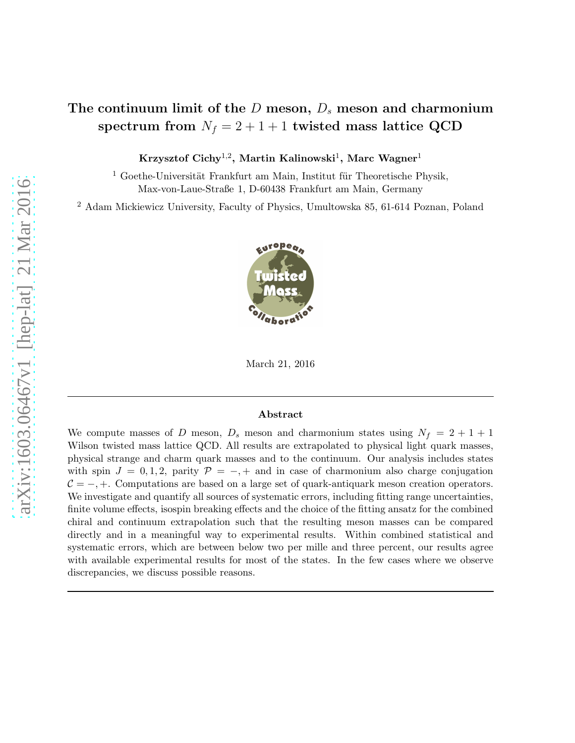# The continuum limit of the  $D$  meson,  $D_s$  meson and charmonium spectrum from  $N_f = 2 + 1 + 1$  twisted mass lattice QCD

Krzysztof Cichy $^{1,2}$ , Martin Kalinowski $^1$ , Marc Wagner $^1$ 

 $1$  Goethe-Universität Frankfurt am Main, Institut für Theoretische Physik, Max-von-Laue-Straße 1, D-60438 Frankfurt am Main, Germany

<sup>2</sup> Adam Mickiewicz University, Faculty of Physics, Umultowska 85, 61-614 Poznan, Poland



March 21, 2016

#### Abstract

We compute masses of D meson,  $D_s$  meson and charmonium states using  $N_f = 2 + 1 + 1$ Wilson twisted mass lattice QCD. All results are extrapolated to physical light quark masses, physical strange and charm quark masses and to the continuum. Our analysis includes states with spin  $J = 0, 1, 2$ , parity  $\mathcal{P} = -, +$  and in case of charmonium also charge conjugation  $C = -, +$ . Computations are based on a large set of quark-antiquark meson creation operators. We investigate and quantify all sources of systematic errors, including fitting range uncertainties, finite volume effects, isospin breaking effects and the choice of the fitting ansatz for the combined chiral and continuum extrapolation such that the resulting meson masses can be compared directly and in a meaningful way to experimental results. Within combined statistical and systematic errors, which are between below two per mille and three percent, our results agree with available experimental results for most of the states. In the few cases where we observe discrepancies, we discuss possible reasons.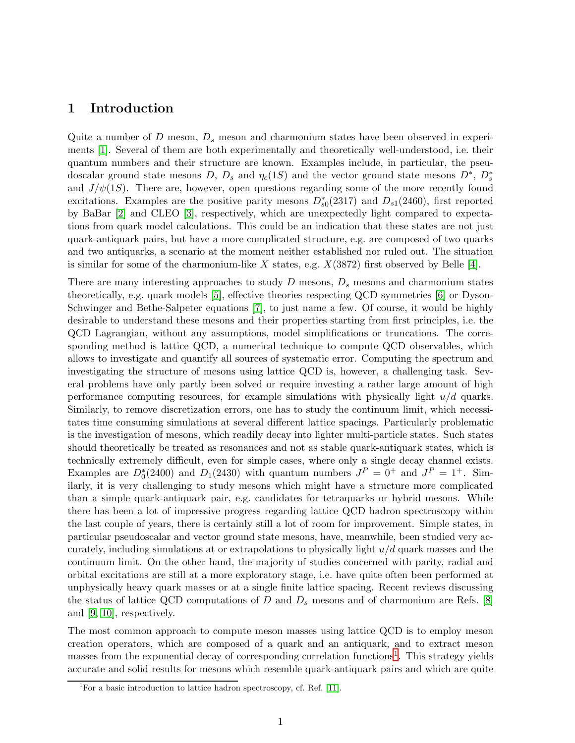# 1 Introduction

Quite a number of D meson,  $D_s$  meson and charmonium states have been observed in experiments [\[1\]](#page-44-0). Several of them are both experimentally and theoretically well-understood, i.e. their quantum numbers and their structure are known. Examples include, in particular, the pseudoscalar ground state mesons D,  $D_s$  and  $\eta_c(1S)$  and the vector ground state mesons  $D^*, D_s^*$ and  $J/\psi(1S)$ . There are, however, open questions regarding some of the more recently found excitations. Examples are the positive parity mesons  $D_{s0}^*(2317)$  and  $D_{s1}(2460)$ , first reported by BaBar [\[2\]](#page-44-1) and CLEO [\[3\]](#page-44-2), respectively, which are unexpectedly light compared to expectations from quark model calculations. This could be an indication that these states are not just quark-antiquark pairs, but have a more complicated structure, e.g. are composed of two quarks and two antiquarks, a scenario at the moment neither established nor ruled out. The situation is similar for some of the charmonium-like X states, e.g.  $X(3872)$  first observed by Belle [\[4\]](#page-44-3).

There are many interesting approaches to study  $D$  mesons,  $D_s$  mesons and charmonium states theoretically, e.g. quark models [\[5\]](#page-44-4), effective theories respecting QCD symmetries [\[6\]](#page-44-5) or Dyson-Schwinger and Bethe-Salpeter equations [\[7\]](#page-44-6), to just name a few. Of course, it would be highly desirable to understand these mesons and their properties starting from first principles, i.e. the QCD Lagrangian, without any assumptions, model simplifications or truncations. The corresponding method is lattice QCD, a numerical technique to compute QCD observables, which allows to investigate and quantify all sources of systematic error. Computing the spectrum and investigating the structure of mesons using lattice QCD is, however, a challenging task. Several problems have only partly been solved or require investing a rather large amount of high performance computing resources, for example simulations with physically light  $u/d$  quarks. Similarly, to remove discretization errors, one has to study the continuum limit, which necessitates time consuming simulations at several different lattice spacings. Particularly problematic is the investigation of mesons, which readily decay into lighter multi-particle states. Such states should theoretically be treated as resonances and not as stable quark-antiquark states, which is technically extremely difficult, even for simple cases, where only a single decay channel exists. Examples are  $D_0^*(2400)$  and  $D_1(2430)$  with quantum numbers  $J^P = 0^+$  and  $J^P = 1^+$ . Similarly, it is very challenging to study mesons which might have a structure more complicated than a simple quark-antiquark pair, e.g. candidates for tetraquarks or hybrid mesons. While there has been a lot of impressive progress regarding lattice QCD hadron spectroscopy within the last couple of years, there is certainly still a lot of room for improvement. Simple states, in particular pseudoscalar and vector ground state mesons, have, meanwhile, been studied very accurately, including simulations at or extrapolations to physically light  $u/d$  quark masses and the continuum limit. On the other hand, the majority of studies concerned with parity, radial and orbital excitations are still at a more exploratory stage, i.e. have quite often been performed at unphysically heavy quark masses or at a single finite lattice spacing. Recent reviews discussing the status of lattice QCD computations of D and  $D_s$  mesons and of charmonium are Refs. [\[8\]](#page-44-7) and [\[9,](#page-44-8) [10\]](#page-44-9), respectively.

The most common approach to compute meson masses using lattice QCD is to employ meson creation operators, which are composed of a quark and an antiquark, and to extract meson masses from the exponential decay of corresponding correlation functions<sup>[1](#page-1-0)</sup>. This strategy yields accurate and solid results for mesons which resemble quark-antiquark pairs and which are quite

<span id="page-1-0"></span><sup>&</sup>lt;sup>1</sup>For a basic introduction to lattice hadron spectroscopy, cf. Ref. [\[11\]](#page-44-10).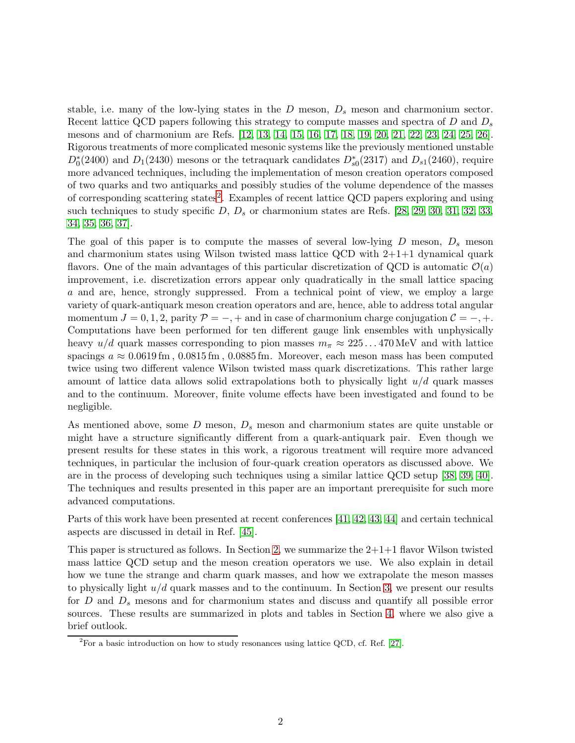stable, i.e. many of the low-lying states in the  $D$  meson,  $D_s$  meson and charmonium sector. Recent lattice QCD papers following this strategy to compute masses and spectra of  $D$  and  $D_s$ mesons and of charmonium are Refs. [\[12,](#page-44-11) [13,](#page-44-12) [14,](#page-45-0) [15,](#page-45-1) [16,](#page-45-2) [17,](#page-45-3) [18,](#page-45-4) [19,](#page-45-5) [20,](#page-45-6) [21,](#page-45-7) [22,](#page-45-8) [23,](#page-45-9) [24,](#page-45-10) [25,](#page-45-11) [26\]](#page-45-12). Rigorous treatments of more complicated mesonic systems like the previously mentioned unstable  $D_0^*(2400)$  and  $D_1(2430)$  mesons or the tetraquark candidates  $D_{s0}^*(2317)$  and  $D_{s1}(2460)$ , require more advanced techniques, including the implementation of meson creation operators composed of two quarks and two antiquarks and possibly studies of the volume dependence of the masses of corresponding scattering states<sup>[2](#page-2-0)</sup>. Examples of recent lattice QCD papers exploring and using such techniques to study specific  $D, D_s$  or charmonium states are Refs. [\[28,](#page-45-13) [29,](#page-45-14) [30,](#page-46-0) [31,](#page-46-1) [32,](#page-46-2) [33,](#page-46-3) [34,](#page-46-4) [35,](#page-46-5) [36,](#page-46-6) [37\]](#page-46-7).

The goal of this paper is to compute the masses of several low-lying  $D$  meson,  $D_s$  meson and charmonium states using Wilson twisted mass lattice QCD with  $2+1+1$  dynamical quark flavors. One of the main advantages of this particular discretization of QCD is automatic  $\mathcal{O}(a)$ improvement, i.e. discretization errors appear only quadratically in the small lattice spacing a and are, hence, strongly suppressed. From a technical point of view, we employ a large variety of quark-antiquark meson creation operators and are, hence, able to address total angular momentum  $J = 0, 1, 2$ , parity  $\mathcal{P} = -, +$  and in case of charmonium charge conjugation  $\mathcal{C} = -, +$ . Computations have been performed for ten different gauge link ensembles with unphysically heavy  $u/d$  quark masses corresponding to pion masses  $m_{\pi} \approx 225...470 \,\text{MeV}$  and with lattice spacings  $a \approx 0.0619 \,\mathrm{fm}$ ,  $0.0815 \,\mathrm{fm}$ ,  $0.0885 \,\mathrm{fm}$ . Moreover, each meson mass has been computed twice using two different valence Wilson twisted mass quark discretizations. This rather large amount of lattice data allows solid extrapolations both to physically light  $u/d$  quark masses and to the continuum. Moreover, finite volume effects have been investigated and found to be negligible.

As mentioned above, some  $D$  meson,  $D<sub>s</sub>$  meson and charmonium states are quite unstable or might have a structure significantly different from a quark-antiquark pair. Even though we present results for these states in this work, a rigorous treatment will require more advanced techniques, in particular the inclusion of four-quark creation operators as discussed above. We are in the process of developing such techniques using a similar lattice QCD setup [\[38,](#page-46-8) [39,](#page-46-9) [40\]](#page-46-10). The techniques and results presented in this paper are an important prerequisite for such more advanced computations.

Parts of this work have been presented at recent conferences [\[41,](#page-46-11) [42,](#page-46-12) [43,](#page-46-13) [44\]](#page-46-14) and certain technical aspects are discussed in detail in Ref. [\[45\]](#page-47-0).

This paper is structured as follows. In Section [2,](#page-3-0) we summarize the  $2+1+1$  flavor Wilson twisted mass lattice QCD setup and the meson creation operators we use. We also explain in detail how we tune the strange and charm quark masses, and how we extrapolate the meson masses to physically light  $u/d$  quark masses and to the continuum. In Section [3,](#page-14-0) we present our results for D and  $D_s$  mesons and for charmonium states and discuss and quantify all possible error sources. These results are summarized in plots and tables in Section [4,](#page-38-0) where we also give a brief outlook.

<span id="page-2-0"></span> ${}^{2}$ For a basic introduction on how to study resonances using lattice QCD, cf. Ref. [\[27\]](#page-45-15).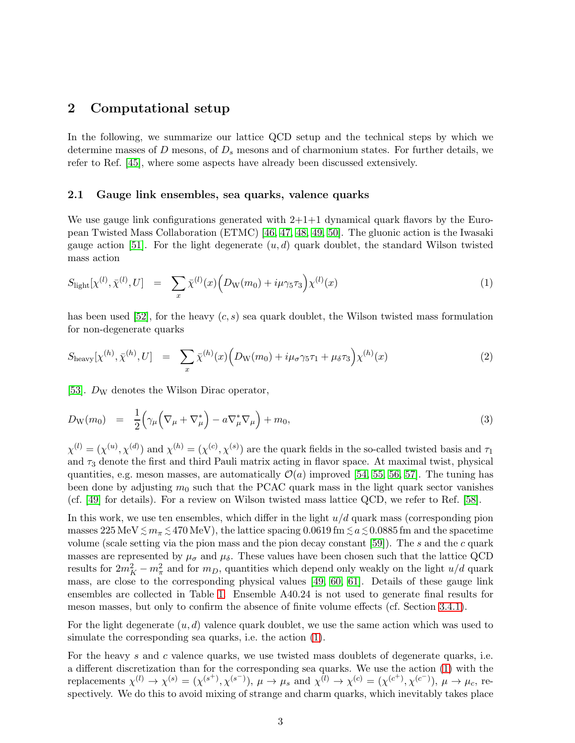# <span id="page-3-0"></span>2 Computational setup

In the following, we summarize our lattice QCD setup and the technical steps by which we determine masses of D mesons, of  $D_s$  mesons and of charmonium states. For further details, we refer to Ref. [\[45\]](#page-47-0), where some aspects have already been discussed extensively.

#### 2.1 Gauge link ensembles, sea quarks, valence quarks

We use gauge link configurations generated with  $2+1+1$  dynamical quark flavors by the European Twisted Mass Collaboration (ETMC) [\[46,](#page-47-1) [47,](#page-47-2) [48,](#page-47-3) [49,](#page-47-4) [50\]](#page-47-5). The gluonic action is the Iwasaki gauge action [\[51\]](#page-47-6). For the light degenerate  $(u, d)$  quark doublet, the standard Wilson twisted mass action

<span id="page-3-1"></span>
$$
S_{\text{light}}[\chi^{(l)}, \bar{\chi}^{(l)}, U] = \sum_{x} \bar{\chi}^{(l)}(x) \Big( D_{\text{W}}(m_0) + i\mu \gamma_5 \tau_3 \Big) \chi^{(l)}(x) \tag{1}
$$

has been used [\[52\]](#page-47-7), for the heavy  $(c, s)$  sea quark doublet, the Wilson twisted mass formulation for non-degenerate quarks

$$
S_{\text{heavy}}[\chi^{(h)}, \bar{\chi}^{(h)}, U] = \sum_{x} \bar{\chi}^{(h)}(x) \Big( D_{\text{W}}(m_0) + i\mu_{\sigma} \gamma_5 \tau_1 + \mu_{\delta} \tau_3 \Big) \chi^{(h)}(x) \tag{2}
$$

[\[53\]](#page-47-8).  $D_{\rm W}$  denotes the Wilson Dirac operator,

<span id="page-3-2"></span>
$$
D_{\mathcal{W}}(m_0) = \frac{1}{2} \Big( \gamma_\mu \Big( \nabla_\mu + \nabla_\mu^* \Big) - a \nabla_\mu^* \nabla_\mu \Big) + m_0, \tag{3}
$$

 $\chi^{(l)} = (\chi^{(u)}, \chi^{(d)})$  and  $\chi^{(h)} = (\chi^{(c)}, \chi^{(s)})$  are the quark fields in the so-called twisted basis and  $\tau_1$ and  $\tau_3$  denote the first and third Pauli matrix acting in flavor space. At maximal twist, physical quantities, e.g. meson masses, are automatically  $\mathcal{O}(a)$  improved [\[54,](#page-47-9) [55,](#page-47-10) [56,](#page-47-11) [57\]](#page-47-12). The tuning has been done by adjusting  $m_0$  such that the PCAC quark mass in the light quark sector vanishes (cf. [\[49\]](#page-47-4) for details). For a review on Wilson twisted mass lattice QCD, we refer to Ref. [\[58\]](#page-47-13).

In this work, we use ten ensembles, which differ in the light  $u/d$  quark mass (corresponding pion masses  $225 \text{ MeV} \lesssim m_{\pi} \lesssim 470 \text{ MeV}$ ), the lattice spacing  $0.0619 \text{ fm} \lesssim a \lesssim 0.0885 \text{ fm}$  and the spacetime volume (scale setting via the pion mass and the pion decay constant  $[59]$ ). The s and the c quark masses are represented by  $\mu_{\sigma}$  and  $\mu_{\delta}$ . These values have been chosen such that the lattice QCD results for  $2m_K^2 - m_\pi^2$  and for  $m_D$ , quantities which depend only weakly on the light  $u/d$  quark mass, are close to the corresponding physical values [\[49,](#page-47-4) [60,](#page-47-15) [61\]](#page-48-0). Details of these gauge link ensembles are collected in Table [1.](#page-4-0) Ensemble A40.24 is not used to generate final results for meson masses, but only to confirm the absence of finite volume effects (cf. Section [3.4.1\)](#page-33-0).

For the light degenerate  $(u, d)$  valence quark doublet, we use the same action which was used to simulate the corresponding sea quarks, i.e. the action [\(1\)](#page-3-1).

For the heavy s and c valence quarks, we use twisted mass doublets of degenerate quarks, i.e. a different discretization than for the corresponding sea quarks. We use the action [\(1\)](#page-3-1) with the replacements  $\chi^{(l)} \to \chi^{(s)} = (\chi^{(s^+)}, \chi^{(s^-)}), \mu \to \mu_s$  and  $\chi^{(l)} \to \chi^{(c)} = (\chi^{(c^+)}, \chi^{(c^-)}), \mu \to \mu_c$ , respectively. We do this to avoid mixing of strange and charm quarks, which inevitably takes place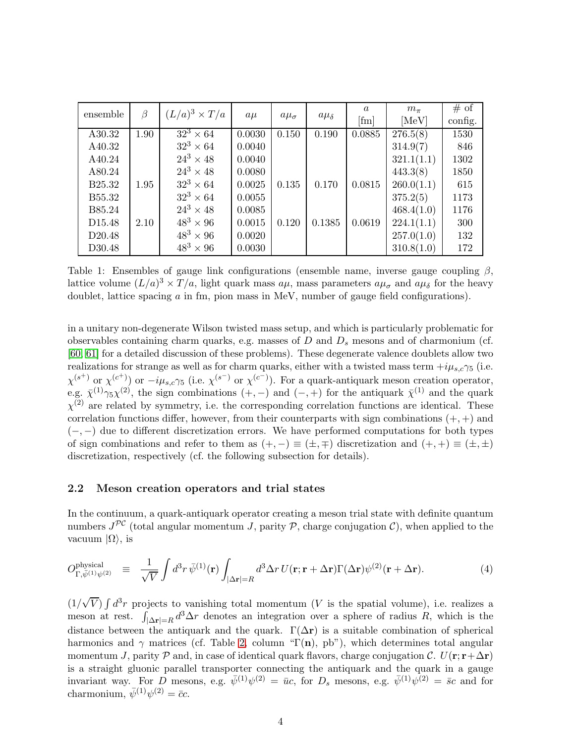<span id="page-4-0"></span>

| ensemble           | $\beta$ | $(L/a)^3 \times T/a$        | $a\mu$ | $a\mu_{\sigma}$ | $a\mu_{\delta}$ | $\alpha$     | $m_{\pi}$  | # of    |
|--------------------|---------|-----------------------------|--------|-----------------|-----------------|--------------|------------|---------|
|                    |         |                             |        |                 |                 | $[{\rm fm}]$ | [MeV]      | config. |
| A30.32             | 1.90    | $\overline{32^3} \times 64$ | 0.0030 | 0.150           | 0.190           | 0.0885       | 276.5(8)   | 1530    |
| A40.32             |         | $32^3 \times 64$            | 0.0040 |                 |                 |              | 314.9(7)   | 846     |
| A40.24             |         | $24^3 \times 48$            | 0.0040 |                 |                 |              | 321.1(1.1) | 1302    |
| A80.24             |         | $24^3 \times 48$            | 0.0080 |                 |                 |              | 443.3(8)   | 1850    |
| B <sub>25.32</sub> | 1.95    | $32^3 \times 64$            | 0.0025 | 0.135           | 0.170           | 0.0815       | 260.0(1.1) | 615     |
| B55.32             |         | $32^3 \times 64$            | 0.0055 |                 |                 |              | 375.2(5)   | 1173    |
| B85.24             |         | $24^3 \times 48$            | 0.0085 |                 |                 |              | 468.4(1.0) | 1176    |
| D <sub>15.48</sub> | 2.10    | $48^3 \times 96$            | 0.0015 | 0.120           | 0.1385          | 0.0619       | 224.1(1.1) | 300     |
| D <sub>20.48</sub> |         | $48^3 \times 96$            | 0.0020 |                 |                 |              | 257.0(1.0) | 132     |
| D30.48             |         | $48^3 \times 96$            | 0.0030 |                 |                 |              | 310.8(1.0) | 172     |

Table 1: Ensembles of gauge link configurations (ensemble name, inverse gauge coupling  $\beta$ , lattice volume  $(L/a)^3 \times T/a$ , light quark mass  $a\mu$ , mass parameters  $a\mu_{\sigma}$  and  $a\mu_{\delta}$  for the heavy doublet, lattice spacing a in fm, pion mass in MeV, number of gauge field configurations).

in a unitary non-degenerate Wilson twisted mass setup, and which is particularly problematic for observables containing charm quarks, e.g. masses of  $D$  and  $D_s$  mesons and of charmonium (cf. [\[60,](#page-47-15) [61\]](#page-48-0) for a detailed discussion of these problems). These degenerate valence doublets allow two realizations for strange as well as for charm quarks, either with a twisted mass term  $+i\mu_{s,c}\gamma_5$  (i.e.  $\chi^{(s+)}$  or  $\chi^{(c^+)}$  or  $-i\mu_{s,c}\gamma_5$  (i.e.  $\chi^{(s^-)}$  or  $\chi^{(c^-)}$ ). For a quark-antiquark meson creation operator, e.g.  $\bar{\chi}^{(1)}\gamma_5\chi^{(2)}$ , the sign combinations  $(+,-)$  and  $(-,+)$  for the antiquark  $\bar{\chi}^{(1)}$  and the quark  $\chi^{(2)}$  are related by symmetry, i.e. the corresponding correlation functions are identical. These correlation functions differ, however, from their counterparts with sign combinations  $(+, +)$  and  $(-,-)$  due to different discretization errors. We have performed computations for both types of sign combinations and refer to them as  $(+,-) \equiv (\pm, \mp)$  discretization and  $(+, +) \equiv (\pm, \pm)$ discretization, respectively (cf. the following subsection for details).

#### <span id="page-4-1"></span>2.2 Meson creation operators and trial states

In the continuum, a quark-antiquark operator creating a meson trial state with definite quantum numbers  $J^{PC}$  (total angular momentum J, parity P, charge conjugation C), when applied to the vacuum  $|\Omega\rangle$ , is

$$
O_{\Gamma,\bar{\psi}^{(1)}\psi^{(2)}}^{\text{physical}} \equiv \frac{1}{\sqrt{V}} \int d^3 r \,\bar{\psi}^{(1)}(\mathbf{r}) \int_{|\Delta \mathbf{r}|=R} d^3 \Delta r \, U(\mathbf{r}; \mathbf{r} + \Delta \mathbf{r}) \Gamma(\Delta \mathbf{r}) \psi^{(2)}(\mathbf{r} + \Delta \mathbf{r}). \tag{4}
$$

 $(1/\sqrt{V}) \int d^3r$  projects to vanishing total momentum (V is the spatial volume), i.e. realizes a meson at rest.  $\int_{|\Delta r|=R} d^3 \Delta r$  denotes an integration over a sphere of radius R, which is the distance between the antiquark and the quark.  $\Gamma(\Delta r)$  is a suitable combination of spherical harmonics and  $\gamma$  matrices (cf. Table [2,](#page-5-0) column "Γ(n), pb"), which determines total angular momentum J, parity P and, in case of identical quark flavors, charge conjugation C.  $U(\mathbf{r}; \mathbf{r}+\Delta \mathbf{r})$ is a straight gluonic parallel transporter connecting the antiquark and the quark in a gauge invariant way. For D mesons, e.g.  $\bar{\psi}^{(1)}\psi^{(2)} = \bar{u}c$ , for  $D_s$  mesons, e.g.  $\bar{\psi}^{(1)}\psi^{(2)} = \bar{s}c$  and for charmonium,  $\bar{\psi}^{(1)}\psi^{(2)} = \bar{c}c$ .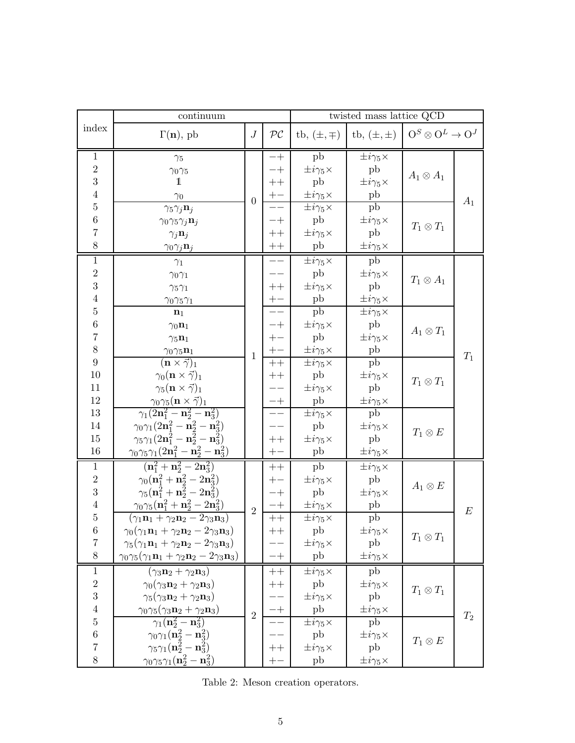<span id="page-5-0"></span>

|                         | continuum                                                                                            |                  | twisted mass lattice QCD |                                                |                             |                                   |       |
|-------------------------|------------------------------------------------------------------------------------------------------|------------------|--------------------------|------------------------------------------------|-----------------------------|-----------------------------------|-------|
| index                   | $\Gamma(n)$ , pb                                                                                     |                  | $\mathcal{PC}$           | tb, $(\pm, \mp)$                               | tb, $(\pm, \pm)$            | $O^S \otimes O^L \rightarrow O^J$ |       |
| $\mathbf{1}$            | $\gamma_5$                                                                                           |                  |                          | pb                                             | $\pm i\gamma_5\times$       |                                   |       |
| $\sqrt{2}$              | $\gamma_0\gamma_5$                                                                                   |                  |                          | $\pm i\gamma_5\times$                          | pb                          | $A_1\otimes A_1$                  |       |
| 3                       | 1                                                                                                    |                  | $+ +$                    | pb                                             | $\pm i\gamma_5\times$       |                                   |       |
| $\overline{4}$          | $\gamma_0$                                                                                           | $\boldsymbol{0}$ |                          | $\pm i\gamma_5\times$                          | $_{\rm pb}$                 |                                   | $A_1$ |
| $\bf 5$                 | $\gamma_5 \gamma_j \mathbf{n}_j$                                                                     |                  |                          | $\pm i\gamma_5\times$                          | pb                          |                                   |       |
| $\,6$                   | $\gamma_0\gamma_5\gamma_j\mathbf{n}_j$                                                               |                  |                          | pb                                             | $\pm i\gamma_5\times$       | $T_1\otimes T_1$                  |       |
| $\overline{7}$          | $\gamma_j \mathbf{n}_j$                                                                              |                  |                          | $\pm i\gamma_5\times$                          | pb                          |                                   |       |
| 8                       | $\gamma_0 \gamma_j \mathbf{n}_j$                                                                     |                  | $\boldsymbol{++}$        | pb                                             | $\pm i\gamma_5\times$       |                                   |       |
| $\,1\,$                 | $\gamma_1$                                                                                           |                  |                          | $\pm i\gamma_5\times$                          | pb                          |                                   |       |
| $\sqrt{2}$              | $\gamma_0\gamma_1$                                                                                   |                  |                          | pb                                             | $\pm i\gamma_5\times$       | $T_1 \otimes A_1$                 |       |
| 3                       | $\gamma_5\gamma_1$                                                                                   |                  | $++$                     | $\pm i\gamma_5\times$                          | pb                          |                                   |       |
| $\,4\,$                 | $\gamma_0\gamma_5\gamma_1$                                                                           |                  | $+-$                     | pb                                             | $\pm i\gamma_5\times$       |                                   |       |
| $\bf 5$                 | $\mathbf{n}_1$                                                                                       |                  |                          | pb                                             | $\pm i\gamma_5\times$       |                                   |       |
| $\,6$<br>$\overline{7}$ | $\gamma_0 \mathbf{n}_1$                                                                              |                  | -+                       | $\pm i\gamma_5\times$                          | pb                          | $A_1\otimes T_1$                  |       |
| 8                       | $\gamma_5 \mathbf{n}_1$                                                                              |                  |                          | pb                                             | $\pm i\gamma_5\times$       |                                   |       |
| 9                       | $\gamma_0\gamma_5\mathbf{n}_1$<br>$(\mathbf{n}\times\vec{\gamma})_1$                                 | $\mathbf{1}$     |                          | $\pm i\gamma_5\times$<br>$\pm i\gamma_5\times$ | ${\rm pb}$<br>pb            |                                   | $T_1$ |
| 10                      | $\gamma_0(\mathbf{n}\times\vec{\gamma})_1$                                                           |                  |                          | pb                                             | $\pm i\gamma_5\times$       |                                   |       |
| 11                      | $\gamma_5(\mathbf{n}\times\vec{\gamma})_1$                                                           |                  |                          | $\pm i\gamma_5\times$                          | pb                          | $T_1\otimes T_1$                  |       |
| 12                      | $\gamma_0\gamma_5 (\mathbf{n}\times\vec{\gamma})_1$                                                  |                  | $-+$                     | pb                                             | $\pm i\gamma_5\times$       |                                   |       |
| 13                      | $\gamma_1(2{\bf n}_1^2-{\bf n}_2^2-{\bf n}_3^2)$                                                     |                  |                          | $\pm i\gamma_5\times$                          | pb                          |                                   |       |
| $14\,$                  | $\gamma_0\gamma_1(2{\bf n}_1^2-{\bf n}_2^2-{\bf n}_3^2)$                                             |                  |                          | pb                                             | $\pm i\gamma_5\times$       |                                   |       |
| 15                      | $\gamma_5\gamma_1(2{\bf n}_1^2-{\bf n}_2^2-{\bf n}_3^2)$                                             |                  | $^{\mathrm{++}}$         | $\pm i\gamma_5\times$                          | pb                          | $T_1 \otimes E$                   |       |
| 16                      | $\gamma_0\gamma_5\gamma_1\big(\underline{2\mathbf{n}_1^2-\mathbf{n}_2^2-\mathbf{n}_3^2}\big)$        |                  | $+-$                     | pb                                             | $\pm i\gamma_5\times$       |                                   |       |
| $\mathbf{1}$            | $(n_1^2 + n_2^2 - 2n_3^2)$                                                                           |                  | $^{\mathrm{++}}$         | pb                                             | $\pm i\gamma_5\times$       |                                   |       |
| $\sqrt{2}$              | $\gamma_0(\mathbf{n}_1^2 + \mathbf{n}_2^2 - 2\mathbf{n}_3^2)$                                        |                  |                          | $\pm i\gamma_5\times$                          | pb                          | $A_1\otimes E$                    |       |
| 3                       | $\gamma_5(\mathbf{n}_1^2+\mathbf{n}_2^2-2\mathbf{n}_3^2)$                                            |                  | -+                       | pb                                             | $\pm i\gamma_5\times$       |                                   |       |
| $\,4\,$                 | $\gamma_0\gamma_5(\mathbf{n}_1^2+\mathbf{n}_2^2-2\mathbf{n}_3^2)$                                    | $\overline{2}$   |                          | $\pm i\gamma_5\times$                          | pb                          |                                   | E     |
| $\bf 5$                 | $(\gamma_1\mathbf{n}_1+\gamma_2\mathbf{n}_2-2\gamma_3\mathbf{n}_3)$                                  |                  | $++$                     | $\pm i\gamma_5\times$                          | ${\rm pb}$                  |                                   |       |
| $\,6\,$                 | $\gamma_0(\gamma_1\mathbf{n}_1+\gamma_2\mathbf{n}_2-2\gamma_3\mathbf{n}_3)$                          |                  | $++$                     | ${\rm pb}$                                     | $\pm i\gamma_5\times$       | $T_1\otimes T_1$                  |       |
| $\overline{7}$<br>$8\,$ | $\gamma_5(\gamma_1\mathbf{n}_1+\gamma_2\mathbf{n}_2-2\gamma_3\mathbf{n}_3)$                          |                  |                          | $\pm i\gamma_5\times$                          | pb                          |                                   |       |
|                         | $\gamma_0\gamma_5(\gamma_1\mathbf{n}_1+\gamma_2\mathbf{n}_2-2\gamma_3\mathbf{n}_3)$                  |                  |                          | pb                                             | $\pm i\gamma_5\times$       |                                   |       |
| 1                       | $(\gamma_3\mathbf{n}_2 + \gamma_2\mathbf{n}_3)$                                                      |                  | $++$                     | $\pm i\gamma_5\times$                          | pb                          |                                   |       |
| $\,2$<br>3              | $\gamma_0(\gamma_3\mathbf{n}_2+\gamma_2\mathbf{n}_3)$                                                |                  | $^+$                     | pb                                             | $\pm i\gamma_5\times$       | $T_1\otimes T_1$                  |       |
| $\,4\,$                 | $\gamma_5(\gamma_3\mathbf{n}_2+\gamma_2\mathbf{n}_3)$                                                |                  |                          | $\pm i\gamma_5\times$                          | pb                          |                                   |       |
| $\bf 5$                 | $\gamma_0\gamma_5(\gamma_3\mathbf{n}_2+\gamma_2\mathbf{n}_3)$<br>$\gamma_1({\bf n}_2^2-{\bf n}_3^2)$ | $\overline{2}$   |                          | pb<br>$\pm i\gamma_5\times$                    | $\pm i\gamma_5\times$<br>pb |                                   | $T_2$ |
| $\,6$                   | $\gamma_0\gamma_1(\mathbf{n}_2^2-\mathbf{n}_3^2)$                                                    |                  |                          | pb                                             | $\pm i\gamma_5\times$       |                                   |       |
| $\overline{7}$          | $\gamma_5 \gamma_1 ({\bf n}_2^2 - {\bf n}_3^2)$                                                      |                  | $^+$                     | $\pm i\gamma_5\times$                          | pb                          | $T_1\otimes E$                    |       |
| 8                       |                                                                                                      |                  |                          |                                                |                             |                                   |       |
|                         | $\gamma_0\gamma_5\gamma_1(\mathbf{n}_2^2-\mathbf{n}_3^2)$                                            |                  |                          | pb                                             | $\pm i\gamma_5\times$       |                                   |       |

Table 2: Meson creation operators.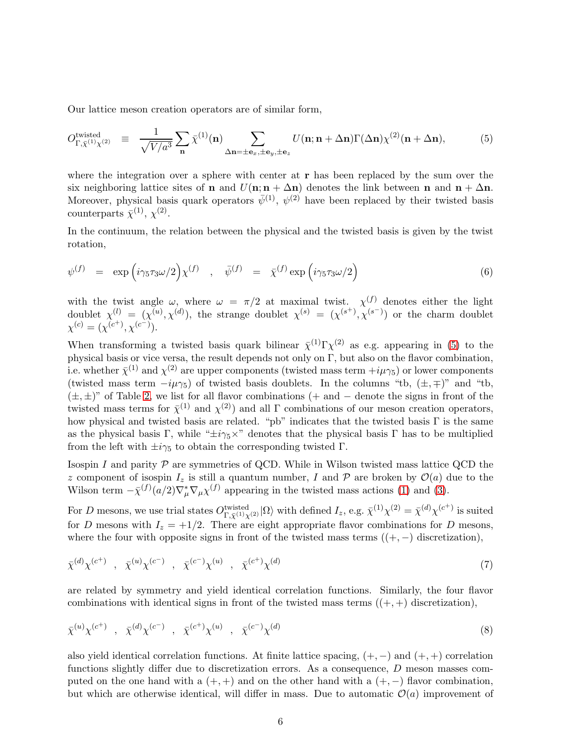Our lattice meson creation operators are of similar form,

<span id="page-6-0"></span>
$$
O_{\Gamma,\bar{\chi}^{(1)}\chi^{(2)}}^{\text{twisted}} \equiv \frac{1}{\sqrt{V/a^3}} \sum_{\mathbf{n}} \bar{\chi}^{(1)}(\mathbf{n}) \sum_{\Delta \mathbf{n} = \pm \mathbf{e}_x, \pm \mathbf{e}_y, \pm \mathbf{e}_z} U(\mathbf{n}; \mathbf{n} + \Delta \mathbf{n}) \Gamma(\Delta \mathbf{n}) \chi^{(2)}(\mathbf{n} + \Delta \mathbf{n}), \tag{5}
$$

where the integration over a sphere with center at  $r$  has been replaced by the sum over the six neighboring lattice sites of **n** and  $U(n; n + \Delta n)$  denotes the link between **n** and  $n + \Delta n$ . Moreover, physical basis quark operators  $\bar{\psi}^{(1)}$ ,  $\psi^{(2)}$  have been replaced by their twisted basis counterparts  $\bar{\chi}^{(1)}, \chi^{(2)}$ .

In the continuum, the relation between the physical and the twisted basis is given by the twist rotation,

$$
\psi^{(f)} = \exp\left(i\gamma_5\tau_3\omega/2\right)\chi^{(f)} \quad , \quad \bar{\psi}^{(f)} = \bar{\chi}^{(f)}\exp\left(i\gamma_5\tau_3\omega/2\right) \tag{6}
$$

with the twist angle  $\omega$ , where  $\omega = \pi/2$  at maximal twist.  $\chi^{(f)}$  denotes either the light doublet  $\chi^{(l)} = (\chi^{(u)}, \chi^{(d)})$ , the strange doublet  $\chi^{(s)} = (\chi^{(s^+)}, \chi^{(s^-)})$  or the charm doublet  $\chi^{(c)} = (\chi^{(c^+)}, \chi^{(c^-)}).$ 

When transforming a twisted basis quark bilinear  $\bar{\chi}^{(1)}\Gamma\chi^{(2)}$  as e.g. appearing in [\(5\)](#page-6-0) to the physical basis or vice versa, the result depends not only on Γ, but also on the flavor combination, i.e. whether  $\bar{\chi}^{(1)}$  and  $\chi^{(2)}$  are upper components (twisted mass term  $+i\mu\gamma_5$ ) or lower components (twisted mass term  $-i\mu\gamma_5$ ) of twisted basis doublets. In the columns "tb,  $(\pm, \mp)$ " and "tb,  $(\pm, \pm)$ " of Table [2,](#page-5-0) we list for all flavor combinations (+ and − denote the signs in front of the twisted mass terms for  $\bar{\chi}^{(1)}$  and  $\chi^{(2)}$ ) and all  $\Gamma$  combinations of our meson creation operators, how physical and twisted basis are related. "pb" indicates that the twisted basis  $\Gamma$  is the same as the physical basis Γ, while " $\pm i\gamma_5 \times$ " denotes that the physical basis Γ has to be multiplied from the left with  $\pm i\gamma_5$  to obtain the corresponding twisted  $\Gamma$ .

Isospin I and parity  $P$  are symmetries of QCD. While in Wilson twisted mass lattice QCD the z component of isospin  $I_z$  is still a quantum number, I and P are broken by  $\mathcal{O}(a)$  due to the Wilson term  $-\bar{\chi}^{(f)}(a/2)\nabla^*_{\mu}\nabla_{\mu}\chi^{(f)}$  appearing in the twisted mass actions [\(1\)](#page-3-1) and [\(3\)](#page-3-2).

For D mesons, we use trial states  $O_{\Gamma,\bar{\chi}^{(1)}\chi^{(2)}}^{\text{twisted}}|\Omega\rangle$  with defined  $I_z$ , e.g.  $\bar{\chi}^{(1)}\chi^{(2)} = \bar{\chi}^{(d)}\chi^{(c^+)}$  is suited for D mesons with  $I_z = +1/2$ . There are eight appropriate flavor combinations for D mesons, where the four with opposite signs in front of the twisted mass terms  $((+,-)$  discretization),

$$
\bar{\chi}^{(d)} \chi^{(c^+)}
$$
,  $\bar{\chi}^{(u)} \chi^{(c^-)}$ ,  $\bar{\chi}^{(c^-)} \chi^{(u)}$ ,  $\bar{\chi}^{(c^+)} \chi^{(d)}$ \n
$$
(7)
$$

are related by symmetry and yield identical correlation functions. Similarly, the four flavor combinations with identical signs in front of the twisted mass terms  $((+,+)$  discretization),

$$
\bar{\chi}^{(u)} \chi^{(c^+)}
$$
,  $\bar{\chi}^{(d)} \chi^{(c^-)}$ ,  $\bar{\chi}^{(c^+)} \chi^{(u)}$ ,  $\bar{\chi}^{(c^-)} \chi^{(d)}$ \n
$$
(8)
$$

also yield identical correlation functions. At finite lattice spacing,  $(+, -)$  and  $(+, +)$  correlation functions slightly differ due to discretization errors. As a consequence, D meson masses computed on the one hand with a  $(+, +)$  and on the other hand with a  $(+, -)$  flavor combination, but which are otherwise identical, will differ in mass. Due to automatic  $\mathcal{O}(a)$  improvement of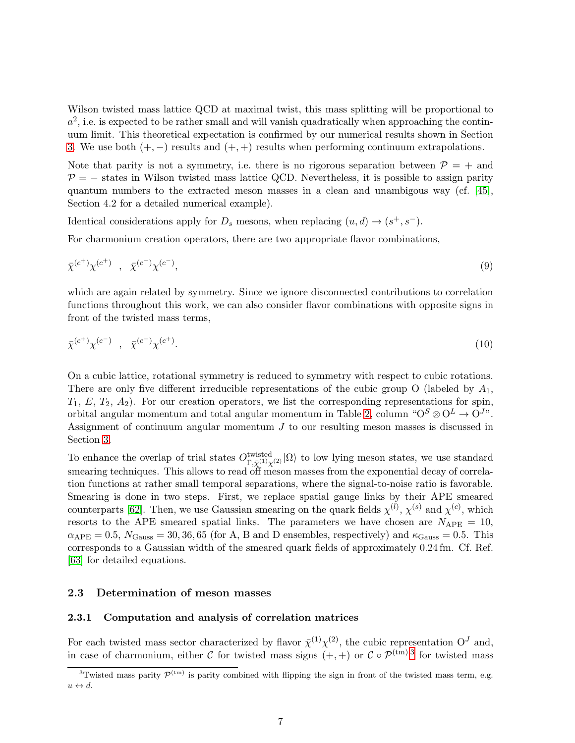Wilson twisted mass lattice QCD at maximal twist, this mass splitting will be proportional to  $a^2$ , i.e. is expected to be rather small and will vanish quadratically when approaching the continuum limit. This theoretical expectation is confirmed by our numerical results shown in Section [3.](#page-14-0) We use both  $(+,-)$  results and  $(+,+)$  results when performing continuum extrapolations.

Note that parity is not a symmetry, i.e. there is no rigorous separation between  $\mathcal{P} = +$  and  $P = -$  states in Wilson twisted mass lattice QCD. Nevertheless, it is possible to assign parity quantum numbers to the extracted meson masses in a clean and unambigous way (cf. [\[45\]](#page-47-0), Section 4.2 for a detailed numerical example).

Identical considerations apply for  $D_s$  mesons, when replacing  $(u, d) \rightarrow (s^+, s^-)$ .

For charmonium creation operators, there are two appropriate flavor combinations,

$$
\bar{\chi}^{(c^+)} \chi^{(c^+)} \quad , \quad \bar{\chi}^{(c^-)} \chi^{(c^-)}, \tag{9}
$$

which are again related by symmetry. Since we ignore disconnected contributions to correlation functions throughout this work, we can also consider flavor combinations with opposite signs in front of the twisted mass terms,

$$
\bar{\chi}^{(c^+)} \chi^{(c^-)} \quad , \quad \bar{\chi}^{(c^-)} \chi^{(c^+)}.
$$
\n(10)

On a cubic lattice, rotational symmetry is reduced to symmetry with respect to cubic rotations. There are only five different irreducible representations of the cubic group O (labeled by  $A_1$ ,  $T_1, E, T_2, A_2$ ). For our creation operators, we list the corresponding representations for spin, orbital angular momentum and total angular momentum in Table [2,](#page-5-0) column " $O^S \otimes O^L \to O^{J_{\gamma}}$ ". Assignment of continuum angular momentum J to our resulting meson masses is discussed in Section [3.](#page-14-0)

To enhance the overlap of trial states  $O_{\Gamma,\bar{\chi}^{(1)}\chi^{(2)}}^{twisted}|\Omega\rangle$  to low lying meson states, we use standard smearing techniques. This allows to read off meson masses from the exponential decay of correlation functions at rather small temporal separations, where the signal-to-noise ratio is favorable. Smearing is done in two steps. First, we replace spatial gauge links by their APE smeared counterparts [\[62\]](#page-48-1). Then, we use Gaussian smearing on the quark fields  $\chi^{(l)}$ ,  $\chi^{(s)}$  and  $\chi^{(c)}$ , which resorts to the APE smeared spatial links. The parameters we have chosen are  $N_{\text{APE}} = 10$ ,  $\alpha_{\rm APE} = 0.5$ ,  $N_{\rm Gauss} = 30, 36, 65$  (for A, B and D ensembles, respectively) and  $\kappa_{\rm Gauss} = 0.5$ . This corresponds to a Gaussian width of the smeared quark fields of approximately 0.24 fm. Cf. Ref. [\[63\]](#page-48-2) for detailed equations.

#### <span id="page-7-1"></span>2.3 Determination of meson masses

#### 2.3.1 Computation and analysis of correlation matrices

For each twisted mass sector characterized by flavor  $\bar{\chi}^{(1)} \chi^{(2)}$ , the cubic representation  $O<sup>J</sup>$  and, in case of charmonium, either C for twisted mass signs  $(+, +)$  or  $C \circ \mathcal{P}^{(tm) \, 3}$  $C \circ \mathcal{P}^{(tm) \, 3}$  $C \circ \mathcal{P}^{(tm) \, 3}$  for twisted mass

<span id="page-7-0"></span><sup>&</sup>lt;sup>3</sup>Twisted mass parity  $\mathcal{P}^{(tm)}$  is parity combined with flipping the sign in front of the twisted mass term, e.g.  $u \leftrightarrow d$ .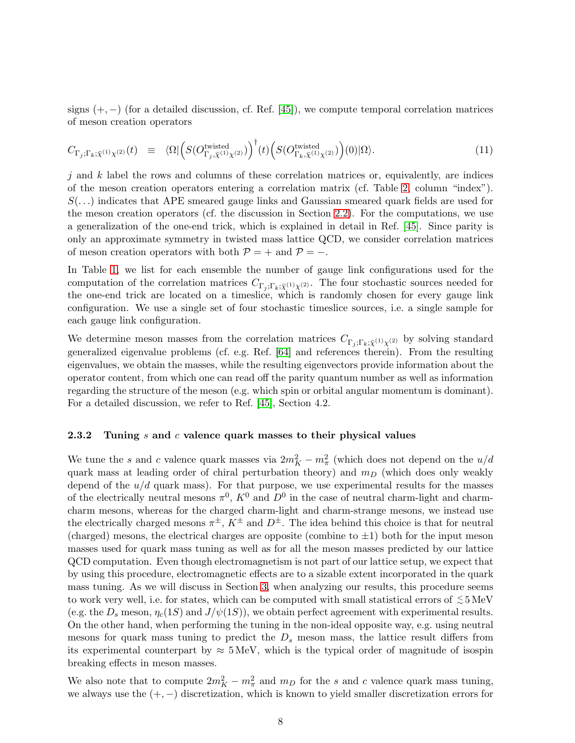signs  $(+, -)$  (for a detailed discussion, cf. Ref. [\[45\]](#page-47-0)), we compute temporal correlation matrices of meson creation operators

<span id="page-8-1"></span>
$$
C_{\Gamma_j; \Gamma_k; \bar{\chi}^{(1)} \chi^{(2)}}(t) \equiv \langle \Omega | \Big( S(O^{\text{twisted}}_{\Gamma_j, \bar{\chi}^{(1)} \chi^{(2)}}) \Big)^{\dagger} (t) \Big( S(O^{\text{twisted}}_{\Gamma_k, \bar{\chi}^{(1)} \chi^{(2)}}) \Big) (0) | \Omega \rangle. \tag{11}
$$

 $j$  and k label the rows and columns of these correlation matrices or, equivalently, are indices of the meson creation operators entering a correlation matrix (cf. Table [2,](#page-5-0) column "index").  $S(\ldots)$  indicates that APE smeared gauge links and Gaussian smeared quark fields are used for the meson creation operators (cf. the discussion in Section [2.2\)](#page-4-1). For the computations, we use a generalization of the one-end trick, which is explained in detail in Ref. [\[45\]](#page-47-0). Since parity is only an approximate symmetry in twisted mass lattice QCD, we consider correlation matrices of meson creation operators with both  $P = +$  and  $P = -$ .

In Table [1,](#page-4-0) we list for each ensemble the number of gauge link configurations used for the computation of the correlation matrices  $C_{\Gamma_i;\Gamma_k;\bar{\chi}^{(1)}\chi^{(2)}}$ . The four stochastic sources needed for the one-end trick are located on a timeslice, which is randomly chosen for every gauge link configuration. We use a single set of four stochastic timeslice sources, i.e. a single sample for each gauge link configuration.

We determine meson masses from the correlation matrices  $C_{\Gamma_i;\Gamma_k;\bar{\chi}^{(1)}\chi^{(2)}}$  by solving standard generalized eigenvalue problems (cf. e.g. Ref. [\[64\]](#page-48-3) and references therein). From the resulting eigenvalues, we obtain the masses, while the resulting eigenvectors provide information about the operator content, from which one can read off the parity quantum number as well as information regarding the structure of the meson (e.g. which spin or orbital angular momentum is dominant). For a detailed discussion, we refer to Ref. [\[45\]](#page-47-0), Section 4.2.

#### <span id="page-8-0"></span>2.3.2 Tuning s and c valence quark masses to their physical values

We tune the s and c valence quark masses via  $2m_K^2 - m_\pi^2$  (which does not depend on the  $u/d$ quark mass at leading order of chiral perturbation theory) and  $m<sub>D</sub>$  (which does only weakly depend of the  $u/d$  quark mass). For that purpose, we use experimental results for the masses of the electrically neutral mesons  $\pi^0$ ,  $K^0$  and  $D^0$  in the case of neutral charm-light and charmcharm mesons, whereas for the charged charm-light and charm-strange mesons, we instead use the electrically charged mesons  $\pi^{\pm}$ ,  $K^{\pm}$  and  $D^{\pm}$ . The idea behind this choice is that for neutral (charged) mesons, the electrical charges are opposite (combine to  $\pm 1$ ) both for the input meson masses used for quark mass tuning as well as for all the meson masses predicted by our lattice QCD computation. Even though electromagnetism is not part of our lattice setup, we expect that by using this procedure, electromagnetic effects are to a sizable extent incorporated in the quark mass tuning. As we will discuss in Section [3,](#page-14-0) when analyzing our results, this procedure seems to work very well, i.e. for states, which can be computed with small statistical errors of  $\lesssim$  5 MeV (e.g. the  $D_s$  meson,  $\eta_c(1S)$  and  $J/\psi(1S)$ ), we obtain perfect agreement with experimental results. On the other hand, when performing the tuning in the non-ideal opposite way, e.g. using neutral mesons for quark mass tuning to predict the  $D_s$  meson mass, the lattice result differs from its experimental counterpart by  $\approx 5 \text{ MeV}$ , which is the typical order of magnitude of isospin breaking effects in meson masses.

We also note that to compute  $2m_K^2 - m_\pi^2$  and  $m_D$  for the s and c valence quark mass tuning, we always use the  $(+,-)$  discretization, which is known to yield smaller discretization errors for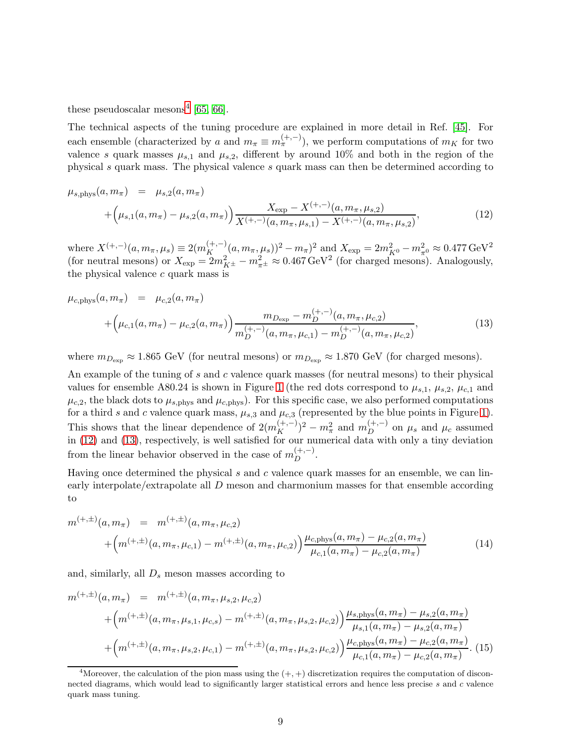these pseudoscalar mesons<sup>[4](#page-9-0)</sup> [\[65,](#page-48-4) [66\]](#page-48-5).

The technical aspects of the tuning procedure are explained in more detail in Ref. [\[45\]](#page-47-0). For each ensemble (characterized by a and  $m_{\pi} \equiv m_{\pi}^{(+,-)}$ ), we perform computations of  $m_K$  for two valence s quark masses  $\mu_{s,1}$  and  $\mu_{s,2}$ , different by around 10% and both in the region of the physical s quark mass. The physical valence s quark mass can then be determined according to

<span id="page-9-1"></span>
$$
\mu_{s, \text{phys}}(a, m_{\pi}) = \mu_{s,2}(a, m_{\pi})
$$
  
+ 
$$
\left(\mu_{s,1}(a, m_{\pi}) - \mu_{s,2}(a, m_{\pi})\right) \frac{X_{\text{exp}} - X^{(+,-)}(a, m_{\pi}, \mu_{s,2})}{X^{(+,-)}(a, m_{\pi}, \mu_{s,1}) - X^{(+,-)}(a, m_{\pi}, \mu_{s,2})},
$$
(12)

where  $X^{(+,-)}(a, m_{\pi}, \mu_s) \equiv 2(m_K^{(+,-)}(a, m_{\pi}, \mu_s))^2 - m_{\pi}^2$  and  $X_{\exp} = 2m_{K^0}^2 - m_{\pi^0}^2 \approx 0.477 \,\text{GeV}^2$ (for neutral mesons) or  $X_{\text{exp}} = 2m_{K^{\pm}}^2 - m_{\pi^{\pm}}^2 \approx 0.467 \,\text{GeV}^2$  (for charged mesons). Analogously, the physical valence  $c$  quark mass is

<span id="page-9-2"></span>
$$
\mu_{c,\text{phys}}(a, m_{\pi}) = \mu_{c,2}(a, m_{\pi})
$$
  
+ 
$$
\left(\mu_{c,1}(a, m_{\pi}) - \mu_{c,2}(a, m_{\pi})\right) \frac{m_{D_{\text{exp}}} - m_{D}^{(+,-)}(a, m_{\pi}, \mu_{c,2})}{m_{D}^{(+,-)}(a, m_{\pi}, \mu_{c,1}) - m_{D}^{(+,-)}(a, m_{\pi}, \mu_{c,2})},
$$
(13)

where  $m_{D_{\text{exp}}} \approx 1.865 \text{ GeV}$  (for neutral mesons) or  $m_{D_{\text{exp}}} \approx 1.870 \text{ GeV}$  (for charged mesons).

An example of the tuning of s and c valence quark masses (for neutral mesons) to their physical values for ensemble A80.24 is shown in Figure [1](#page-10-0) (the red dots correspond to  $\mu_{s,1}, \mu_{s,2}, \mu_{c,1}$  and  $\mu_{c,2}$ , the black dots to  $\mu_{s,phys}$  and  $\mu_{c,phys}$ . For this specific case, we also performed computations for a third s and c valence quark mass,  $\mu_{s,3}$  and  $\mu_{c,3}$  (represented by the blue points in Figure [1\)](#page-10-0). This shows that the linear dependence of  $2(m_K^{(+,-)})^2 - m_\pi^2$  and  $m_D^{(+,-)}$  $\mu_D^{(+,-)}$  on  $\mu_s$  and  $\mu_c$  assumed in [\(12\)](#page-9-1) and [\(13\)](#page-9-2), respectively, is well satisfied for our numerical data with only a tiny deviation from the linear behavior observed in the case of  $m_D^{(+,-)}$ .

Having once determined the physical  $s$  and  $c$  valence quark masses for an ensemble, we can linearly interpolate/extrapolate all D meson and charmonium masses for that ensemble according to

$$
m^{(+,\pm)}(a,m_{\pi}) = m^{(+,\pm)}(a,m_{\pi},\mu_{c,2}) + \left(m^{(+,\pm)}(a,m_{\pi},\mu_{c,1}) - m^{(+,\pm)}(a,m_{\pi},\mu_{c,2})\right) \frac{\mu_{c,\text{phys}}(a,m_{\pi}) - \mu_{c,2}(a,m_{\pi})}{\mu_{c,1}(a,m_{\pi}) - \mu_{c,2}(a,m_{\pi})}
$$
(14)

and, similarly, all  $D_s$  meson masses according to

$$
m^{(+,\pm)}(a,m_{\pi}) = m^{(+,\pm)}(a,m_{\pi},\mu_{s,2},\mu_{c,2})
$$
  
+ 
$$
\left(m^{(+,\pm)}(a,m_{\pi},\mu_{s,1},\mu_{c,s}) - m^{(+,\pm)}(a,m_{\pi},\mu_{s,2},\mu_{c,2})\right) \frac{\mu_{s,\text{phys}}(a,m_{\pi}) - \mu_{s,2}(a,m_{\pi})}{\mu_{s,1}(a,m_{\pi}) - \mu_{s,2}(a,m_{\pi})}
$$
  
+ 
$$
\left(m^{(+,\pm)}(a,m_{\pi},\mu_{s,2},\mu_{c,1}) - m^{(+,\pm)}(a,m_{\pi},\mu_{s,2},\mu_{c,2})\right) \frac{\mu_{c,\text{phys}}(a,m_{\pi}) - \mu_{c,2}(a,m_{\pi})}{\mu_{c,1}(a,m_{\pi}) - \mu_{c,2}(a,m_{\pi})}.
$$
(15)

<span id="page-9-0"></span><sup>&</sup>lt;sup>4</sup>Moreover, the calculation of the pion mass using the  $(+, +)$  discretization requires the computation of disconnected diagrams, which would lead to significantly larger statistical errors and hence less precise s and c valence quark mass tuning.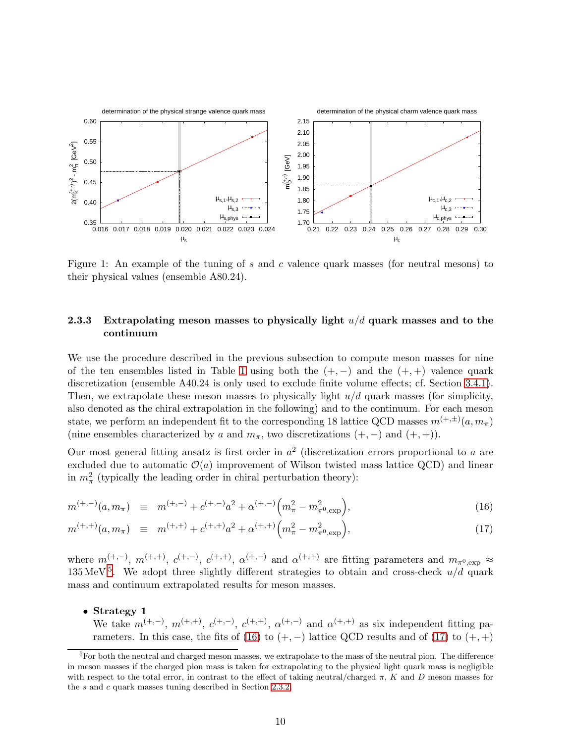<span id="page-10-0"></span>

Figure 1: An example of the tuning of s and c valence quark masses (for neutral mesons) to their physical values (ensemble A80.24).

### <span id="page-10-3"></span>2.3.3 Extrapolating meson masses to physically light  $u/d$  quark masses and to the continuum

We use the procedure described in the previous subsection to compute meson masses for nine of the ten ensembles listed in Table [1](#page-4-0) using both the  $(+,-)$  and the  $(+,+)$  valence quark discretization (ensemble A40.24 is only used to exclude finite volume effects; cf. Section [3.4.1\)](#page-33-0). Then, we extrapolate these meson masses to physically light  $u/d$  quark masses (for simplicity, also denoted as the chiral extrapolation in the following) and to the continuum. For each meson state, we perform an independent fit to the corresponding 18 lattice QCD masses  $m^{(+,\pm)}(a, m_{\pi})$ (nine ensembles characterized by a and  $m_{\pi}$ , two discretizations  $(+, -)$  and  $(+, +)$ ).

Our most general fitting ansatz is first order in  $a^2$  (discretization errors proportional to a are excluded due to automatic  $\mathcal{O}(a)$  improvement of Wilson twisted mass lattice QCD) and linear in  $m_{\pi}^2$  (typically the leading order in chiral perturbation theory):

<span id="page-10-2"></span>
$$
m^{(+,-)}(a,m_{\pi}) \equiv m^{(+,-)} + c^{(+,-)}a^2 + \alpha^{(+,-)}\Big(m_{\pi}^2 - m_{\pi^0,\text{exp}}^2\Big),\tag{16}
$$

$$
m^{(+,+)}(a,m_{\pi}) \equiv m^{(+,+)} + c^{(+,+)}a^2 + \alpha^{(+,+)}\Big(m_{\pi}^2 - m_{\pi^0,\text{exp}}^2\Big),\tag{17}
$$

where  $m_{\tau}^{(+,-)}$ ,  $m^{(+,+)}$ ,  $c^{(+,-)}$ ,  $c^{(+,+)}$ ,  $\alpha^{(+,-)}$  and  $\alpha^{(+,+)}$  are fitting parameters and  $m_{\pi^0, \text{exp}} \approx$ 13[5](#page-10-1) MeV<sup>5</sup>. We adopt three slightly different strategies to obtain and cross-check  $u/d$  quark mass and continuum extrapolated results for meson masses.

• Strategy 1

We take  $m^{(+,-)}$ ,  $m^{(+,+)}$ ,  $c^{(+,-)}$ ,  $c^{(+,+)}$ ,  $\alpha^{(+,-)}$  and  $\alpha^{(+,+)}$  as six independent fitting pa-rameters. In this case, the fits of [\(16\)](#page-10-2) to  $(+, -)$  lattice QCD results and of [\(17\)](#page-10-2) to  $(+, +)$ 

<span id="page-10-1"></span> ${}^{5}$ For both the neutral and charged meson masses, we extrapolate to the mass of the neutral pion. The difference in meson masses if the charged pion mass is taken for extrapolating to the physical light quark mass is negligible with respect to the total error, in contrast to the effect of taking neutral/charged  $\pi$ , K and D meson masses for the s and c quark masses tuning described in Section [2.3.2.](#page-8-0)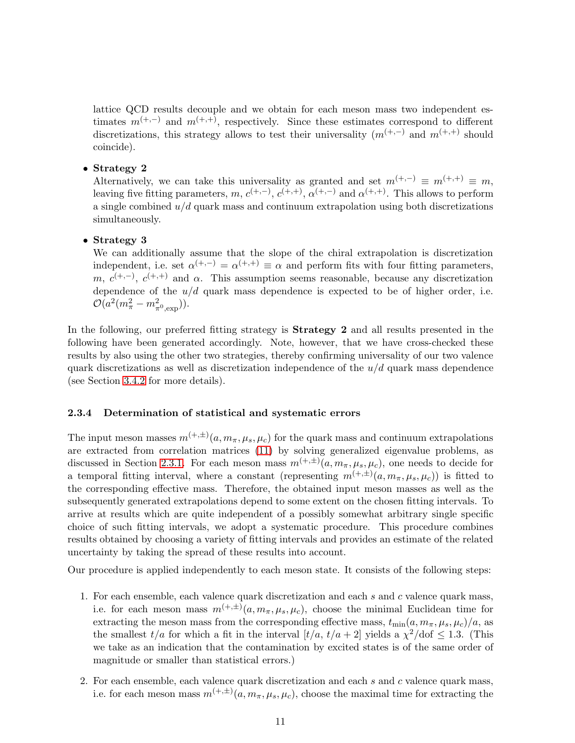lattice QCD results decouple and we obtain for each meson mass two independent estimates  $m^{(+,-)}$  and  $m^{(+,+)}$ , respectively. Since these estimates correspond to different discretizations, this strategy allows to test their universality  $(m^{(+,-)}$  and  $m^{(+,+)}$  should coincide).

#### • Strategy 2

Alternatively, we can take this universality as granted and set  $m^{(+,-)} \equiv m^{(+,+)} \equiv m$ , leaving five fitting parameters,  $m, c^{(+,-)}$ ,  $c^{(+,+)}$ ,  $\alpha^{(+,-)}$  and  $\alpha^{(+,+)}$ . This allows to perform a single combined  $u/d$  quark mass and continuum extrapolation using both discretizations simultaneously.

#### • Strategy 3

We can additionally assume that the slope of the chiral extrapolation is discretization independent, i.e. set  $\alpha^{(+,-)} = \alpha^{(+,+)} \equiv \alpha$  and perform fits with four fitting parameters, m,  $c^{(+,-)}$ ,  $c^{(+,+)}$  and  $\alpha$ . This assumption seems reasonable, because any discretization dependence of the  $u/d$  quark mass dependence is expected to be of higher order, i.e.  $\mathcal{O}(a^2(m_\pi^2 - m_{\pi^0,\text{exp}}^2)).$ 

In the following, our preferred fitting strategy is **Strategy 2** and all results presented in the following have been generated accordingly. Note, however, that we have cross-checked these results by also using the other two strategies, thereby confirming universality of our two valence quark discretizations as well as discretization independence of the  $u/d$  quark mass dependence (see Section [3.4.2](#page-35-0) for more details).

#### <span id="page-11-0"></span>2.3.4 Determination of statistical and systematic errors

The input meson masses  $m^{(+,\pm)}(a, m_{\pi}, \mu_s, \mu_c)$  for the quark mass and continuum extrapolations are extracted from correlation matrices [\(11\)](#page-8-1) by solving generalized eigenvalue problems, as discussed in Section [2.3.1.](#page-7-1) For each meson mass  $m^{(+,\pm)}(a, m_{\pi}, \mu_s, \mu_c)$ , one needs to decide for a temporal fitting interval, where a constant (representing  $m^{(+,\pm)}(a, m_{\pi}, \mu_s, \mu_c)$ ) is fitted to the corresponding effective mass. Therefore, the obtained input meson masses as well as the subsequently generated extrapolations depend to some extent on the chosen fitting intervals. To arrive at results which are quite independent of a possibly somewhat arbitrary single specific choice of such fitting intervals, we adopt a systematic procedure. This procedure combines results obtained by choosing a variety of fitting intervals and provides an estimate of the related uncertainty by taking the spread of these results into account.

Our procedure is applied independently to each meson state. It consists of the following steps:

- 1. For each ensemble, each valence quark discretization and each  $s$  and  $c$  valence quark mass, i.e. for each meson mass  $m^{(+,\pm)}(a, m_{\pi}, \mu_s, \mu_c)$ , choose the minimal Euclidean time for extracting the meson mass from the corresponding effective mass,  $t_{\text{min}}(a, m_{\pi}, \mu_s, \mu_c)/a$ , as the smallest  $t/a$  for which a fit in the interval  $[t/a, t/a + 2]$  yields a  $\chi^2/\text{dof } \leq 1.3$ . (This we take as an indication that the contamination by excited states is of the same order of magnitude or smaller than statistical errors.)
- 2. For each ensemble, each valence quark discretization and each  $s$  and  $c$  valence quark mass, i.e. for each meson mass  $m^{(+,\pm)}(a, m_{\pi}, \mu_s, \mu_c)$ , choose the maximal time for extracting the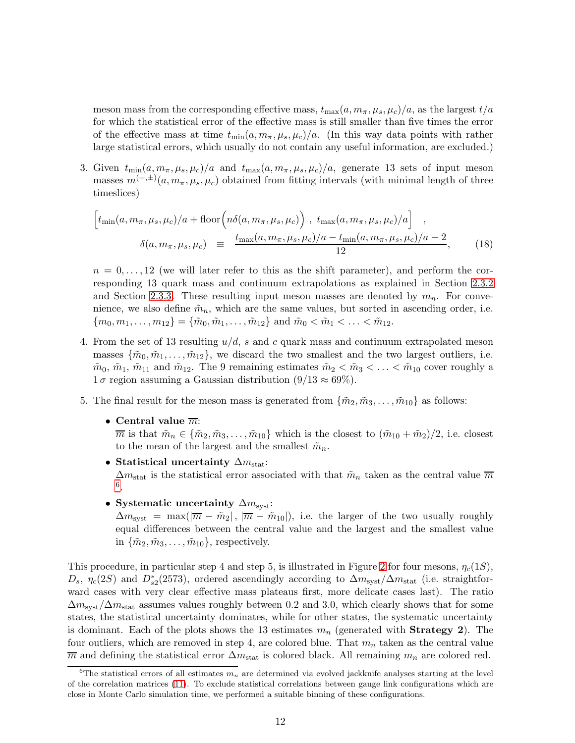meson mass from the corresponding effective mass,  $t_{\text{max}}(a, m_{\pi}, \mu_s, \mu_c)/a$ , as the largest  $t/a$ for which the statistical error of the effective mass is still smaller than five times the error of the effective mass at time  $t_{\text{min}}(a, m_{\pi}, \mu_s, \mu_c)/a$ . (In this way data points with rather large statistical errors, which usually do not contain any useful information, are excluded.)

3. Given  $t_{\min}(a, m_{\pi}, \mu_s, \mu_c)/a$  and  $t_{\max}(a, m_{\pi}, \mu_s, \mu_c)/a$ , generate 13 sets of input meson masses  $m^{(+,\pm)}(a, m_{\pi}, \mu_s, \mu_c)$  obtained from fitting intervals (with minimal length of three timeslices)

$$
\left[t_{\min}(a, m_{\pi}, \mu_s, \mu_c)/a + \text{floor}\left(n\delta(a, m_{\pi}, \mu_s, \mu_c)\right), t_{\max}(a, m_{\pi}, \mu_s, \mu_c)/a\right],
$$
\n
$$
\delta(a, m_{\pi}, \mu_s, \mu_c) \equiv \frac{t_{\max}(a, m_{\pi}, \mu_s, \mu_c)/a - t_{\min}(a, m_{\pi}, \mu_s, \mu_c)/a - 2}{12}, \quad (18)
$$

 $n = 0, \ldots, 12$  (we will later refer to this as the shift parameter), and perform the corresponding 13 quark mass and continuum extrapolations as explained in Section [2.3.2](#page-8-0) and Section [2.3.3.](#page-10-3) These resulting input meson masses are denoted by  $m_n$ . For convenience, we also define  $\tilde{m}_n$ , which are the same values, but sorted in ascending order, i.e.  ${m_0, m_1, \ldots, m_{12}} = {\tilde{m_0, m_1, \ldots, \tilde{m}_{12}}}$  and  $\tilde{m_0} < \tilde{m_1} < \ldots < \tilde{m}_{12}$ .

- 4. From the set of 13 resulting  $u/d$ , s and c quark mass and continuum extrapolated meson masses  $\{\tilde{m}_0, \tilde{m}_1, \ldots, \tilde{m}_{12}\}\$ , we discard the two smallest and the two largest outliers, i.e.  $\tilde{m}_0$ ,  $\tilde{m}_1$ ,  $\tilde{m}_{11}$  and  $\tilde{m}_{12}$ . The 9 remaining estimates  $\tilde{m}_2 < \tilde{m}_3 < \ldots < \tilde{m}_{10}$  cover roughly a  $1\sigma$  region assuming a Gaussian distribution  $(9/13 \approx 69\%)$ .
- 5. The final result for the meson mass is generated from  $\{\tilde{m}_2, \tilde{m}_3, \ldots, \tilde{m}_{10}\}$  as follows:
	- Central value  $\overline{m}$ :

 $\overline{m}$  is that  $\tilde{m}_n \in {\{\tilde{m}_2, \tilde{m}_3, \ldots, \tilde{m}_{10}\}}$  which is the closest to  $(\tilde{m}_{10} + \tilde{m}_2)/2$ , i.e. closest to the mean of the largest and the smallest  $\tilde{m}_n$ .

• Statistical uncertainty  $\Delta m_{\text{stat}}$ :

 $\Delta m_{\text{stat}}$  is the statistical error associated with that  $\tilde{m}_n$  taken as the central value  $\overline{m}$ [6](#page-12-0) .

• Systematic uncertainty  $\Delta m_{\text{svst}}$ :

 $\Delta m_{\text{svst}} = \max(|\overline{m} - \tilde{m}_2|, |\overline{m} - \tilde{m}_{10}|),$  i.e. the larger of the two usually roughly equal differences between the central value and the largest and the smallest value in  $\{\tilde{m}_2, \tilde{m}_3, \ldots, \tilde{m}_{10}\}$ , respectively.

This procedure, in particular step 4 and step 5, is illustrated in Figure [2](#page-13-0) for four mesons,  $\eta_c(1S)$ ,  $D_s$ ,  $\eta_c(2S)$  and  $D_{s2}^*(2573)$ , ordered ascendingly according to  $\Delta m_{syst}/\Delta m_{stat}$  (i.e. straightforward cases with very clear effective mass plateaus first, more delicate cases last). The ratio  $\Delta m_{\text{svst}}/\Delta m_{\text{stat}}$  assumes values roughly between 0.2 and 3.0, which clearly shows that for some states, the statistical uncertainty dominates, while for other states, the systematic uncertainty is dominant. Each of the plots shows the 13 estimates  $m_n$  (generated with **Strategy 2)**. The four outliers, which are removed in step 4, are colored blue. That  $m_n$  taken as the central value  $\overline{m}$  and defining the statistical error  $\Delta m_{\text{stat}}$  is colored black. All remaining  $m_n$  are colored red.

<span id="page-12-0"></span><sup>&</sup>lt;sup>6</sup>The statistical errors of all estimates  $m_n$  are determined via evolved jackknife analyses starting at the level of the correlation matrices [\(11\)](#page-8-1). To exclude statistical correlations between gauge link configurations which are close in Monte Carlo simulation time, we performed a suitable binning of these configurations.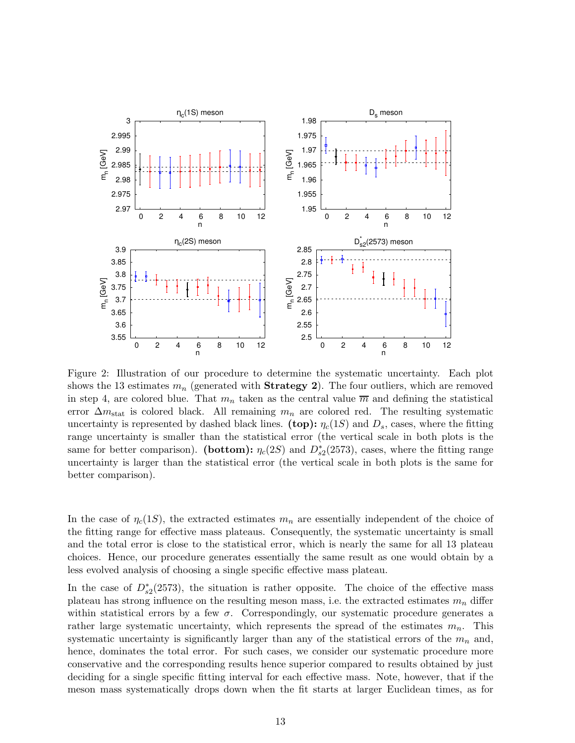<span id="page-13-0"></span>

Figure 2: Illustration of our procedure to determine the systematic uncertainty. Each plot shows the 13 estimates  $m_n$  (generated with **Strategy 2)**. The four outliers, which are removed in step 4, are colored blue. That  $m_n$  taken as the central value  $\overline{m}$  and defining the statistical error  $\Delta m_{\text{stat}}$  is colored black. All remaining  $m_n$  are colored red. The resulting systematic uncertainty is represented by dashed black lines. (top):  $\eta_c(1S)$  and  $D_s$ , cases, where the fitting range uncertainty is smaller than the statistical error (the vertical scale in both plots is the same for better comparison). (bottom):  $\eta_c(2S)$  and  $D_{s2}^*(2573)$ , cases, where the fitting range uncertainty is larger than the statistical error (the vertical scale in both plots is the same for better comparison).

In the case of  $\eta_c(1S)$ , the extracted estimates  $m_n$  are essentially independent of the choice of the fitting range for effective mass plateaus. Consequently, the systematic uncertainty is small and the total error is close to the statistical error, which is nearly the same for all 13 plateau choices. Hence, our procedure generates essentially the same result as one would obtain by a less evolved analysis of choosing a single specific effective mass plateau.

In the case of  $D_{s2}^*(2573)$ , the situation is rather opposite. The choice of the effective mass plateau has strong influence on the resulting meson mass, i.e. the extracted estimates  $m_n$  differ within statistical errors by a few  $\sigma$ . Correspondingly, our systematic procedure generates a rather large systematic uncertainty, which represents the spread of the estimates  $m_n$ . This systematic uncertainty is significantly larger than any of the statistical errors of the  $m_n$  and, hence, dominates the total error. For such cases, we consider our systematic procedure more conservative and the corresponding results hence superior compared to results obtained by just deciding for a single specific fitting interval for each effective mass. Note, however, that if the meson mass systematically drops down when the fit starts at larger Euclidean times, as for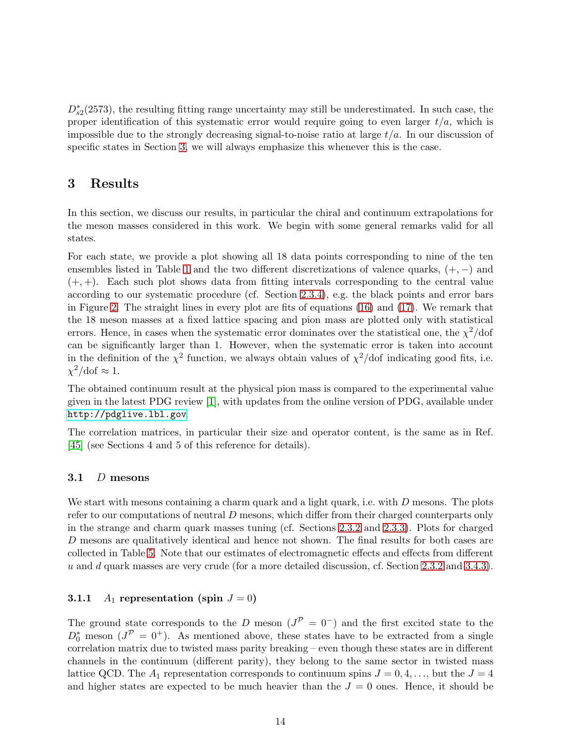$D_{s2}^*(2573)$ , the resulting fitting range uncertainty may still be underestimated. In such case, the proper identification of this systematic error would require going to even larger  $t/a$ , which is impossible due to the strongly decreasing signal-to-noise ratio at large  $t/a$ . In our discussion of specific states in Section [3,](#page-14-0) we will always emphasize this whenever this is the case.

## <span id="page-14-0"></span>3 Results

In this section, we discuss our results, in particular the chiral and continuum extrapolations for the meson masses considered in this work. We begin with some general remarks valid for all states.

For each state, we provide a plot showing all 18 data points corresponding to nine of the ten ensembles listed in Table [1](#page-4-0) and the two different discretizations of valence quarks,  $(+, -)$  and  $(+, +)$ . Each such plot shows data from fitting intervals corresponding to the central value according to our systematic procedure (cf. Section [2.3.4\)](#page-11-0), e.g. the black points and error bars in Figure [2.](#page-13-0) The straight lines in every plot are fits of equations [\(16\)](#page-10-2) and [\(17\)](#page-10-2). We remark that the 18 meson masses at a fixed lattice spacing and pion mass are plotted only with statistical errors. Hence, in cases when the systematic error dominates over the statistical one, the  $\chi^2$ /dof can be significantly larger than 1. However, when the systematic error is taken into account in the definition of the  $\chi^2$  function, we always obtain values of  $\chi^2$ /dof indicating good fits, i.e.  $\chi^2/\text{dof} \approx 1.$ 

The obtained continuum result at the physical pion mass is compared to the experimental value given in the latest PDG review [\[1\]](#page-44-0), with updates from the online version of PDG, available under <http://pdglive.lbl.gov>.

The correlation matrices, in particular their size and operator content, is the same as in Ref. [\[45\]](#page-47-0) (see Sections 4 and 5 of this reference for details).

### 3.1  $D$  mesons

We start with mesons containing a charm quark and a light quark, i.e. with D mesons. The plots refer to our computations of neutral  $D$  mesons, which differ from their charged counterparts only in the strange and charm quark masses tuning (cf. Sections [2.3.2](#page-8-0) and [2.3.3\)](#page-10-3). Plots for charged D mesons are qualitatively identical and hence not shown. The final results for both cases are collected in Table [5.](#page-39-0) Note that our estimates of electromagnetic effects and effects from different u and d quark masses are very crude (for a more detailed discussion, cf. Section [2.3.2](#page-8-0) and [3.4.3\)](#page-37-0).

### <span id="page-14-1"></span>**3.1.1**  $A_1$  representation (spin  $J = 0$ )

The ground state corresponds to the D meson  $(J^{\mathcal{P}} = 0^-)$  and the first excited state to the  $D_0^*$  meson  $(J^{\mathcal{P}} = 0^+)$ . As mentioned above, these states have to be extracted from a single correlation matrix due to twisted mass parity breaking – even though these states are in different channels in the continuum (different parity), they belong to the same sector in twisted mass lattice QCD. The  $A_1$  representation corresponds to continuum spins  $J = 0, 4, \ldots$ , but the  $J = 4$ and higher states are expected to be much heavier than the  $J = 0$  ones. Hence, it should be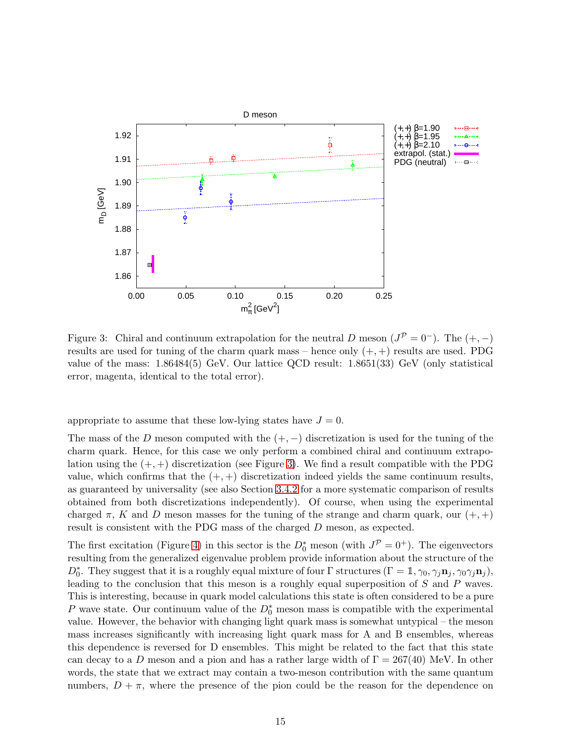<span id="page-15-0"></span>

Figure 3: Chiral and continuum extrapolation for the neutral D meson  $(J^{\mathcal{P}} = 0^-)$ . The  $(+, -)$ results are used for tuning of the charm quark mass – hence only  $(+, +)$  results are used. PDG value of the mass: 1.86484(5) GeV. Our lattice QCD result: 1.8651(33) GeV (only statistical error, magenta, identical to the total error).

appropriate to assume that these low-lying states have  $J = 0$ .

The mass of the D meson computed with the  $(+,-)$  discretization is used for the tuning of the charm quark. Hence, for this case we only perform a combined chiral and continuum extrapolation using the  $(+, +)$  discretization (see Figure [3\)](#page-15-0). We find a result compatible with the PDG value, which confirms that the  $(+, +)$  discretization indeed yields the same continuum results, as guaranteed by universality (see also Section [3.4.2](#page-35-0) for a more systematic comparison of results obtained from both discretizations independently). Of course, when using the experimental charged  $\pi$ , K and D meson masses for the tuning of the strange and charm quark, our  $(+, +)$ result is consistent with the PDG mass of the charged D meson, as expected.

The first excitation (Figure [4\)](#page-16-0) in this sector is the  $D_0^*$  meson (with  $J^{\mathcal{P}} = 0^+$ ). The eigenvectors resulting from the generalized eigenvalue problem provide information about the structure of the  $D_0^*$ . They suggest that it is a roughly equal mixture of four  $\Gamma$  structures  $(\Gamma = \mathbb{1}, \gamma_0, \gamma_j \mathbf{n}_j, \gamma_0 \gamma_j \mathbf{n}_j)$ , leading to the conclusion that this meson is a roughly equal superposition of S and P waves. This is interesting, because in quark model calculations this state is often considered to be a pure P wave state. Our continuum value of the  $D_0^*$  meson mass is compatible with the experimental value. However, the behavior with changing light quark mass is somewhat untypical – the meson mass increases significantly with increasing light quark mass for A and B ensembles, whereas this dependence is reversed for D ensembles. This might be related to the fact that this state can decay to a D meson and a pion and has a rather large width of  $\Gamma = 267(40)$  MeV. In other words, the state that we extract may contain a two-meson contribution with the same quantum numbers,  $D + \pi$ , where the presence of the pion could be the reason for the dependence on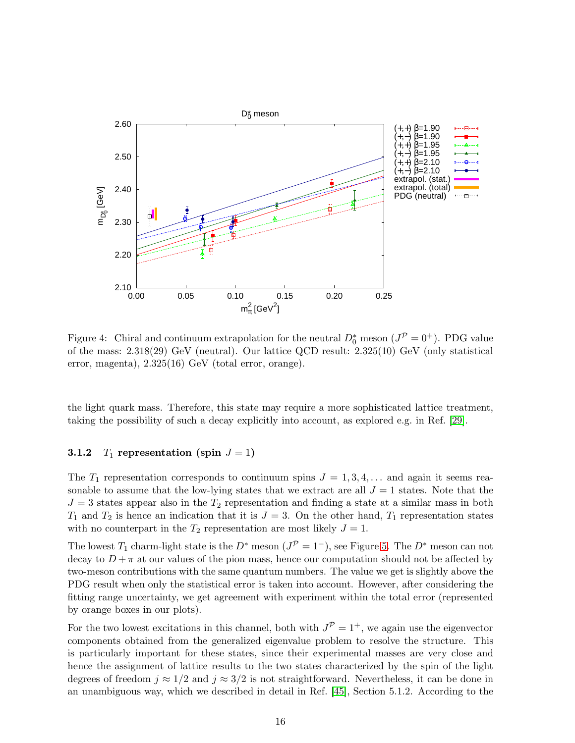<span id="page-16-0"></span>

Figure 4: Chiral and continuum extrapolation for the neutral  $D_0^*$  meson  $(J^{\mathcal{P}} = 0^+)$ . PDG value of the mass: 2.318(29) GeV (neutral). Our lattice QCD result: 2.325(10) GeV (only statistical error, magenta), 2.325(16) GeV (total error, orange).

the light quark mass. Therefore, this state may require a more sophisticated lattice treatment, taking the possibility of such a decay explicitly into account, as explored e.g. in Ref. [\[29\]](#page-45-14).

#### 3.1.2  $T_1$  representation (spin  $J = 1$ )

The  $T_1$  representation corresponds to continuum spins  $J = 1, 3, 4, \ldots$  and again it seems reasonable to assume that the low-lying states that we extract are all  $J = 1$  states. Note that the  $J = 3$  states appear also in the  $T_2$  representation and finding a state at a similar mass in both  $T_1$  and  $T_2$  is hence an indication that it is  $J = 3$ . On the other hand,  $T_1$  representation states with no counterpart in the  $T_2$  representation are most likely  $J = 1$ .

The lowest  $T_1$  charm-light state is the  $D^*$  meson  $(J^{\mathcal{P}} = 1^-)$ , see Figure [5.](#page-17-0) The  $D^*$  meson can not decay to  $D + \pi$  at our values of the pion mass, hence our computation should not be affected by two-meson contributions with the same quantum numbers. The value we get is slightly above the PDG result when only the statistical error is taken into account. However, after considering the fitting range uncertainty, we get agreement with experiment within the total error (represented by orange boxes in our plots).

For the two lowest excitations in this channel, both with  $J^{\mathcal{P}} = 1^+$ , we again use the eigenvector components obtained from the generalized eigenvalue problem to resolve the structure. This is particularly important for these states, since their experimental masses are very close and hence the assignment of lattice results to the two states characterized by the spin of the light degrees of freedom  $j \approx 1/2$  and  $j \approx 3/2$  is not straightforward. Nevertheless, it can be done in an unambiguous way, which we described in detail in Ref. [\[45\]](#page-47-0), Section 5.1.2. According to the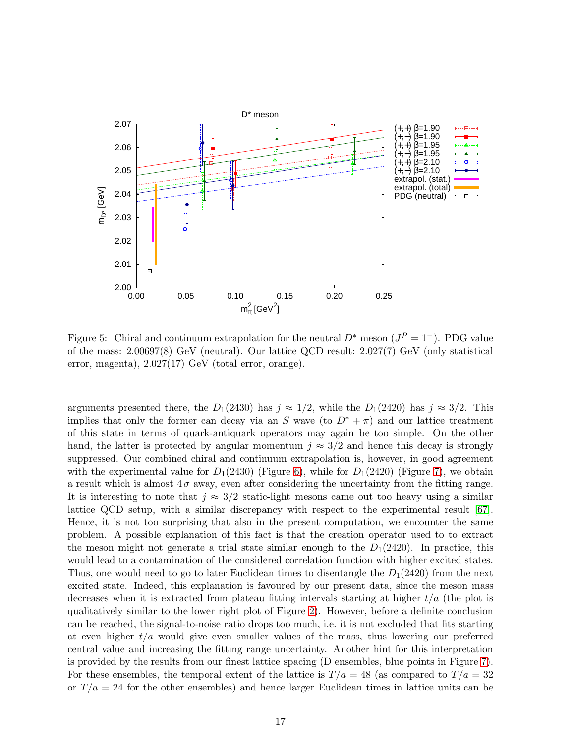<span id="page-17-0"></span>

Figure 5: Chiral and continuum extrapolation for the neutral  $D^*$  meson  $(J^{\mathcal{P}} = 1^-)$ . PDG value of the mass: 2.00697(8) GeV (neutral). Our lattice QCD result: 2.027(7) GeV (only statistical error, magenta), 2.027(17) GeV (total error, orange).

arguments presented there, the  $D_1(2430)$  has  $j \approx 1/2$ , while the  $D_1(2420)$  has  $j \approx 3/2$ . This implies that only the former can decay via an S wave (to  $D^* + \pi$ ) and our lattice treatment of this state in terms of quark-antiquark operators may again be too simple. On the other hand, the latter is protected by angular momentum  $j \approx 3/2$  and hence this decay is strongly suppressed. Our combined chiral and continuum extrapolation is, however, in good agreement with the experimental value for  $D_1(2430)$  (Figure [6\)](#page-18-0), while for  $D_1(2420)$  (Figure [7\)](#page-19-0), we obtain a result which is almost  $4\sigma$  away, even after considering the uncertainty from the fitting range. It is interesting to note that  $j \approx 3/2$  static-light mesons came out too heavy using a similar lattice QCD setup, with a similar discrepancy with respect to the experimental result [\[67\]](#page-48-6). Hence, it is not too surprising that also in the present computation, we encounter the same problem. A possible explanation of this fact is that the creation operator used to to extract the meson might not generate a trial state similar enough to the  $D_1(2420)$ . In practice, this would lead to a contamination of the considered correlation function with higher excited states. Thus, one would need to go to later Euclidean times to disentangle the  $D_1(2420)$  from the next excited state. Indeed, this explanation is favoured by our present data, since the meson mass decreases when it is extracted from plateau fitting intervals starting at higher  $t/a$  (the plot is qualitatively similar to the lower right plot of Figure [2\)](#page-13-0). However, before a definite conclusion can be reached, the signal-to-noise ratio drops too much, i.e. it is not excluded that fits starting at even higher  $t/a$  would give even smaller values of the mass, thus lowering our preferred central value and increasing the fitting range uncertainty. Another hint for this interpretation is provided by the results from our finest lattice spacing (D ensembles, blue points in Figure [7\)](#page-19-0). For these ensembles, the temporal extent of the lattice is  $T/a = 48$  (as compared to  $T/a = 32$ or  $T/a = 24$  for the other ensembles) and hence larger Euclidean times in lattice units can be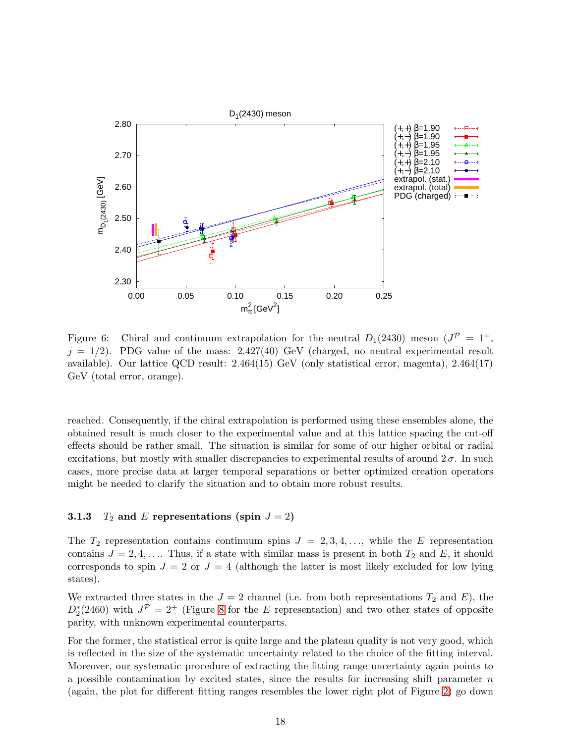<span id="page-18-0"></span>

Figure 6: Chiral and continuum extrapolation for the neutral  $D_1(2430)$  meson  $(J^P = 1^+,$  $j = 1/2$ ). PDG value of the mass: 2.427(40) GeV (charged, no neutral experimental result available). Our lattice QCD result: 2.464(15) GeV (only statistical error, magenta), 2.464(17) GeV (total error, orange).

reached. Consequently, if the chiral extrapolation is performed using these ensembles alone, the obtained result is much closer to the experimental value and at this lattice spacing the cut-off effects should be rather small. The situation is similar for some of our higher orbital or radial excitations, but mostly with smaller discrepancies to experimental results of around  $2\sigma$ . In such cases, more precise data at larger temporal separations or better optimized creation operators might be needed to clarify the situation and to obtain more robust results.

#### <span id="page-18-1"></span>**3.1.3**  $T_2$  and E representations (spin  $J = 2$ )

The  $T_2$  representation contains continuum spins  $J = 2, 3, 4, \ldots$ , while the E representation contains  $J = 2, 4, \ldots$  Thus, if a state with similar mass is present in both  $T_2$  and E, it should corresponds to spin  $J = 2$  or  $J = 4$  (although the latter is most likely excluded for low lying states).

We extracted three states in the  $J = 2$  channel (i.e. from both representations  $T_2$  and  $E$ ), the  $D_2^*(2460)$  with  $J^{\mathcal{P}} = 2^+$  (Figure [8](#page-19-1) for the E representation) and two other states of opposite parity, with unknown experimental counterparts.

For the former, the statistical error is quite large and the plateau quality is not very good, which is reflected in the size of the systematic uncertainty related to the choice of the fitting interval. Moreover, our systematic procedure of extracting the fitting range uncertainty again points to a possible contamination by excited states, since the results for increasing shift parameter  $n$ (again, the plot for different fitting ranges resembles the lower right plot of Figure [2\)](#page-13-0) go down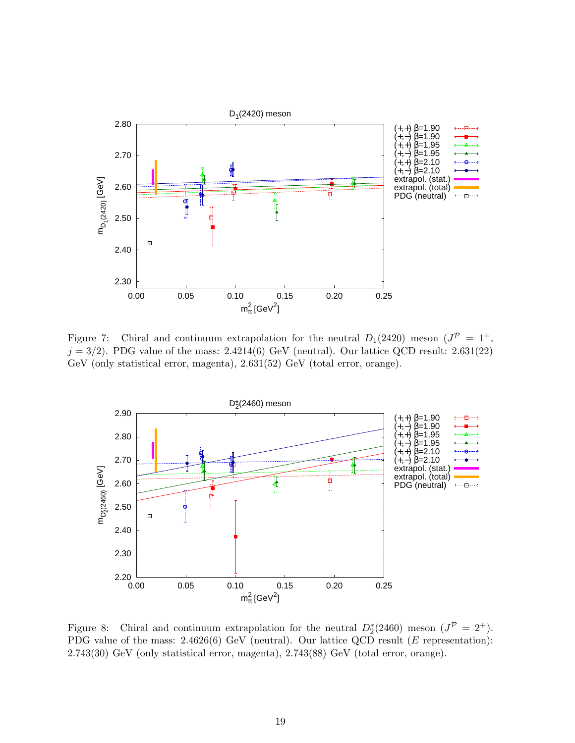<span id="page-19-0"></span>

Figure 7: Chiral and continuum extrapolation for the neutral  $D_1(2420)$  meson  $(J^P = 1^+,$  $j = 3/2$ ). PDG value of the mass: 2.4214(6) GeV (neutral). Our lattice QCD result: 2.631(22) GeV (only statistical error, magenta), 2.631(52) GeV (total error, orange).

<span id="page-19-1"></span>

Figure 8: Chiral and continuum extrapolation for the neutral  $D_2^*(2460)$  meson  $(J^{\mathcal{P}} = 2^+)$ . PDG value of the mass: 2.4626(6) GeV (neutral). Our lattice QCD result (E representation): 2.743(30) GeV (only statistical error, magenta), 2.743(88) GeV (total error, orange).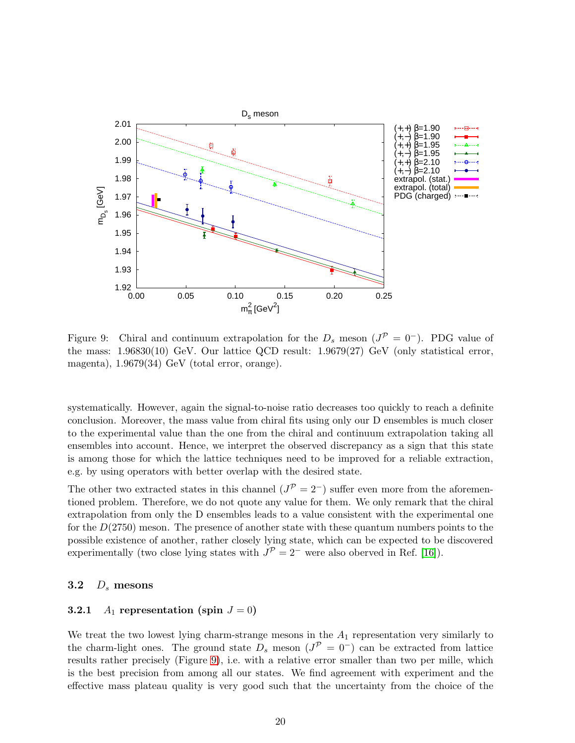<span id="page-20-0"></span>

Figure 9: Chiral and continuum extrapolation for the  $D_s$  meson  $(J^{\mathcal{P}} = 0^-)$ . PDG value of the mass: 1.96830(10) GeV. Our lattice QCD result: 1.9679(27) GeV (only statistical error, magenta), 1.9679(34) GeV (total error, orange).

systematically. However, again the signal-to-noise ratio decreases too quickly to reach a definite conclusion. Moreover, the mass value from chiral fits using only our D ensembles is much closer to the experimental value than the one from the chiral and continuum extrapolation taking all ensembles into account. Hence, we interpret the observed discrepancy as a sign that this state is among those for which the lattice techniques need to be improved for a reliable extraction, e.g. by using operators with better overlap with the desired state.

The other two extracted states in this channel  $(J^{\mathcal{P}} = 2^-)$  suffer even more from the aforementioned problem. Therefore, we do not quote any value for them. We only remark that the chiral extrapolation from only the D ensembles leads to a value consistent with the experimental one for the  $D(2750)$  meson. The presence of another state with these quantum numbers points to the possible existence of another, rather closely lying state, which can be expected to be discovered experimentally (two close lying states with  $J^{\mathcal{P}} = 2^-$  were also oberved in Ref. [\[16\]](#page-45-2)).

#### 3.2  $D_s$  mesons

### 3.2.1  $A_1$  representation (spin  $J = 0$ )

We treat the two lowest lying charm-strange mesons in the  $A_1$  representation very similarly to the charm-light ones. The ground state  $D_s$  meson  $(J^{\mathcal{P}} = 0^-)$  can be extracted from lattice results rather precisely (Figure [9\)](#page-20-0), i.e. with a relative error smaller than two per mille, which is the best precision from among all our states. We find agreement with experiment and the effective mass plateau quality is very good such that the uncertainty from the choice of the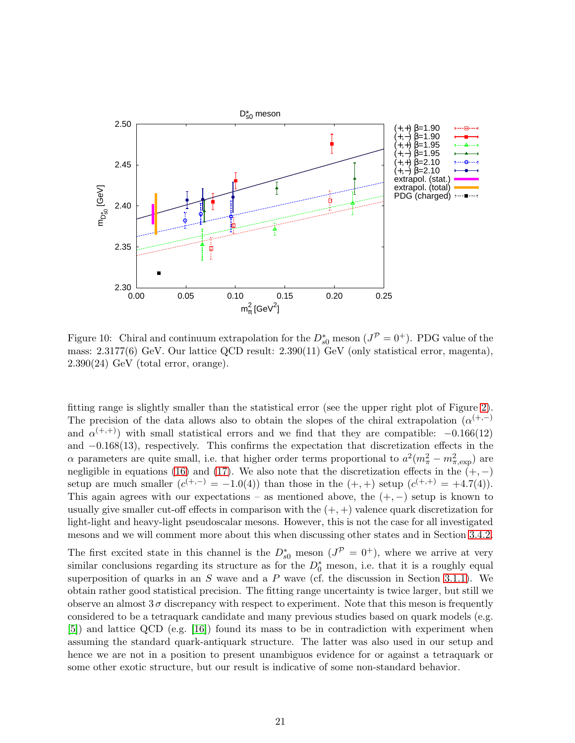

Figure 10: Chiral and continuum extrapolation for the  $D_{s0}^*$  meson  $(J^{\mathcal{P}} = 0^+)$ . PDG value of the mass: 2.3177(6) GeV. Our lattice QCD result: 2.390(11) GeV (only statistical error, magenta),  $2.390(24)$  GeV (total error, orange).

fitting range is slightly smaller than the statistical error (see the upper right plot of Figure [2\)](#page-13-0). The precision of the data allows also to obtain the slopes of the chiral extrapolation  $(\alpha^{(+,-)}$ and  $\alpha^{(+,+)}$ ) with small statistical errors and we find that they are compatible:  $-0.166(12)$ and −0.168(13), respectively. This confirms the expectation that discretization effects in the  $\alpha$  parameters are quite small, i.e. that higher order terms proportional to  $a^2(m_\pi^2 - m_{\pi,\text{exp}}^2)$  are negligible in equations [\(16\)](#page-10-2) and [\(17\)](#page-10-2). We also note that the discretization effects in the  $(+, -)$ setup are much smaller  $(c^{(+,-)} = -1.0(4))$  than those in the  $(+, +)$  setup  $(c^{(+,+)} = +4.7(4))$ . This again agrees with our expectations – as mentioned above, the  $(+,-)$  setup is known to usually give smaller cut-off effects in comparison with the  $(+, +)$  valence quark discretization for light-light and heavy-light pseudoscalar mesons. However, this is not the case for all investigated mesons and we will comment more about this when discussing other states and in Section [3.4.2.](#page-35-0)

The first excited state in this channel is the  $D_{s0}^*$  meson  $(J^{\mathcal{P}} = 0^+)$ , where we arrive at very similar conclusions regarding its structure as for the  $D_0^*$  meson, i.e. that it is a roughly equal superposition of quarks in an S wave and a P wave (cf. the discussion in Section [3.1.1\)](#page-14-1). We obtain rather good statistical precision. The fitting range uncertainty is twice larger, but still we observe an almost  $3\sigma$  discrepancy with respect to experiment. Note that this meson is frequently considered to be a tetraquark candidate and many previous studies based on quark models (e.g. [\[5\]](#page-44-4)) and lattice QCD (e.g. [\[16\]](#page-45-2)) found its mass to be in contradiction with experiment when assuming the standard quark-antiquark structure. The latter was also used in our setup and hence we are not in a position to present unambiguos evidence for or against a tetraquark or some other exotic structure, but our result is indicative of some non-standard behavior.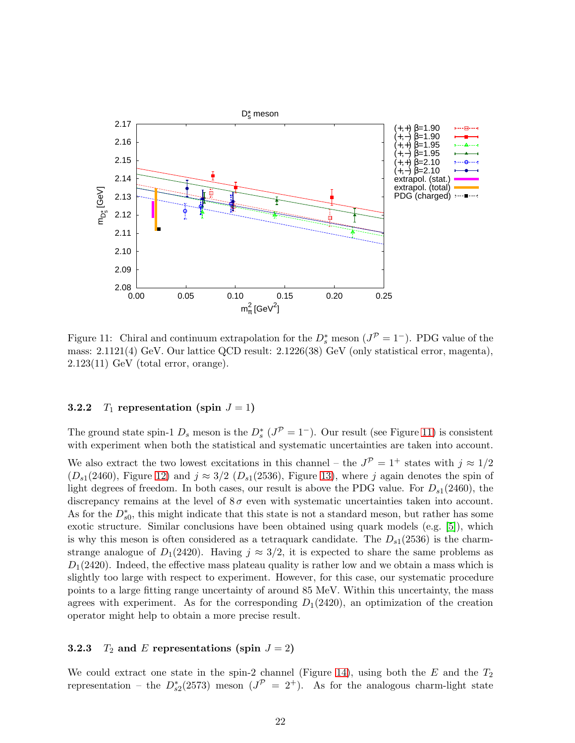<span id="page-22-0"></span>

Figure 11: Chiral and continuum extrapolation for the  $D_s^*$  meson  $(J^{\mathcal{P}} = 1^-)$ . PDG value of the mass: 2.1121(4) GeV. Our lattice QCD result: 2.1226(38) GeV (only statistical error, magenta),  $2.123(11)$  GeV (total error, orange).

#### 3.2.2  $T_1$  representation (spin  $J = 1$ )

The ground state spin-1  $D_s$  meson is the  $D_s^*$  ( $J^{\mathcal{P}} = 1^-$ ). Our result (see Figure [11\)](#page-22-0) is consistent with experiment when both the statistical and systematic uncertainties are taken into account.

We also extract the two lowest excitations in this channel – the  $J^{\mathcal{P}} = 1^+$  states with  $j \approx 1/2$  $(D_{s1}(2460),$  Figure [12\)](#page-23-0) and  $j \approx 3/2$   $(D_{s1}(2536),$  Figure [13\)](#page-23-1), where j again denotes the spin of light degrees of freedom. In both cases, our result is above the PDG value. For  $D_{s1}(2460)$ , the discrepancy remains at the level of  $8\sigma$  even with systematic uncertainties taken into account. As for the  $D_{s0}^*$ , this might indicate that this state is not a standard meson, but rather has some exotic structure. Similar conclusions have been obtained using quark models (e.g. [\[5\]](#page-44-4)), which is why this meson is often considered as a tetraquark candidate. The  $D_{s1}(2536)$  is the charmstrange analogue of  $D_1(2420)$ . Having  $j \approx 3/2$ , it is expected to share the same problems as  $D_1(2420)$ . Indeed, the effective mass plateau quality is rather low and we obtain a mass which is slightly too large with respect to experiment. However, for this case, our systematic procedure points to a large fitting range uncertainty of around 85 MeV. Within this uncertainty, the mass agrees with experiment. As for the corresponding  $D_1(2420)$ , an optimization of the creation operator might help to obtain a more precise result.

#### **3.2.3**  $T_2$  and E representations (spin  $J = 2$ )

We could extract one state in the spin-2 channel (Figure [14\)](#page-24-0), using both the  $E$  and the  $T_2$ representation – the  $D_{s2}^*(2573)$  meson  $(J^{\mathcal{P}} = 2^+)$ . As for the analogous charm-light state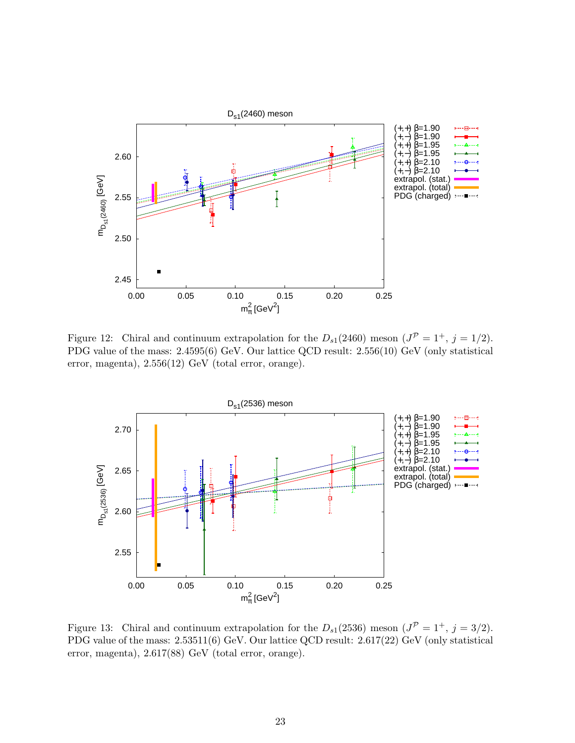<span id="page-23-0"></span>

Figure 12: Chiral and continuum extrapolation for the  $D_{s1}(2460)$  meson  $(J^{\mathcal{P}} = 1^+, j = 1/2)$ . PDG value of the mass: 2.4595(6) GeV. Our lattice QCD result: 2.556(10) GeV (only statistical error, magenta), 2.556(12) GeV (total error, orange).

<span id="page-23-1"></span>

Figure 13: Chiral and continuum extrapolation for the  $D_{s1}(2536)$  meson  $(J^{\mathcal{P}} = 1^+, j = 3/2)$ . PDG value of the mass: 2.53511(6) GeV. Our lattice QCD result: 2.617(22) GeV (only statistical error, magenta), 2.617(88) GeV (total error, orange).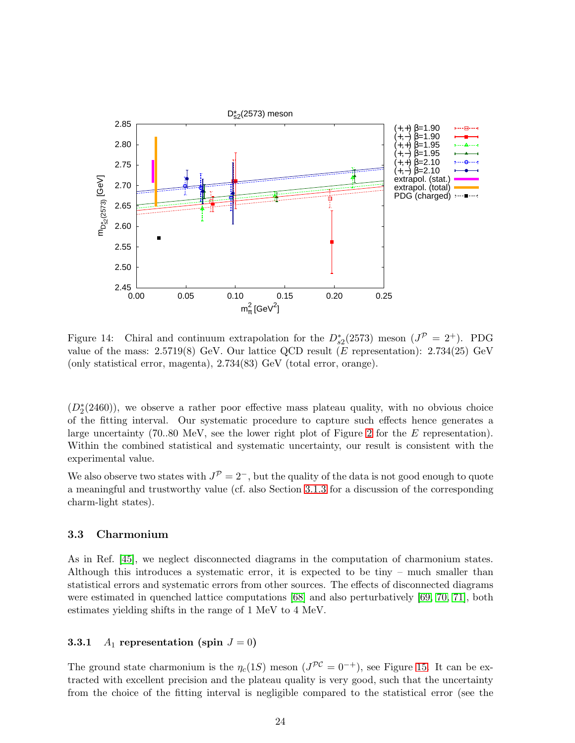<span id="page-24-0"></span>

Figure 14: Chiral and continuum extrapolation for the  $D_{s2}^*(2573)$  meson  $(J^{\mathcal{P}} = 2^+)$ . PDG value of the mass:  $2.5719(8)$  GeV. Our lattice QCD result (E representation):  $2.734(25)$  GeV (only statistical error, magenta), 2.734(83) GeV (total error, orange).

 $(D_2^*(2460))$ , we observe a rather poor effective mass plateau quality, with no obvious choice of the fitting interval. Our systematic procedure to capture such effects hence generates a large uncertainty (70..80 MeV, see the lower right plot of Figure [2](#page-13-0) for the  $E$  representation). Within the combined statistical and systematic uncertainty, our result is consistent with the experimental value.

We also observe two states with  $J^{\mathcal{P}} = 2^-$ , but the quality of the data is not good enough to quote a meaningful and trustworthy value (cf. also Section [3.1.3](#page-18-1) for a discussion of the corresponding charm-light states).

#### 3.3 Charmonium

As in Ref. [\[45\]](#page-47-0), we neglect disconnected diagrams in the computation of charmonium states. Although this introduces a systematic error, it is expected to be tiny – much smaller than statistical errors and systematic errors from other sources. The effects of disconnected diagrams were estimated in quenched lattice computations [\[68\]](#page-48-7) and also perturbatively [\[69,](#page-48-8) [70,](#page-48-9) [71\]](#page-48-10), both estimates yielding shifts in the range of 1 MeV to 4 MeV.

#### **3.3.1**  $A_1$  representation (spin  $J = 0$ )

The ground state charmonium is the  $\eta_c(1S)$  meson  $(J^{PC} = 0^{-+})$ , see Figure [15.](#page-25-0) It can be extracted with excellent precision and the plateau quality is very good, such that the uncertainty from the choice of the fitting interval is negligible compared to the statistical error (see the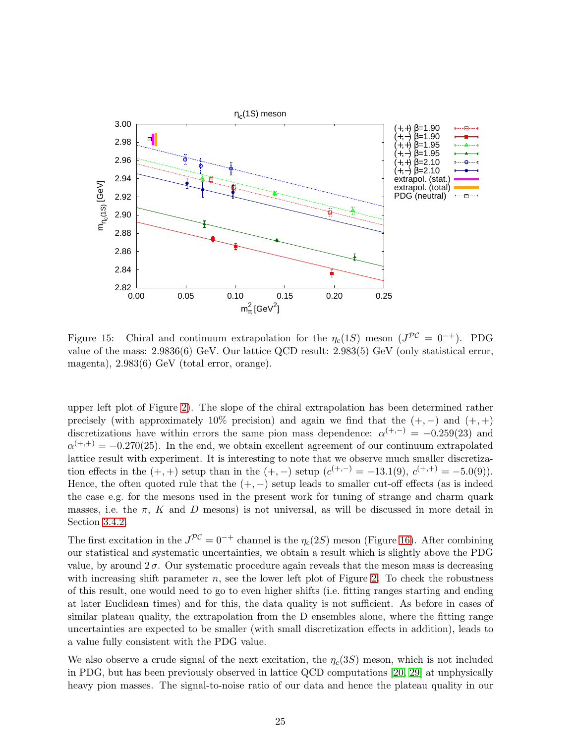<span id="page-25-0"></span>

Figure 15: Chiral and continuum extrapolation for the  $\eta_c(1S)$  meson  $(J^{PC} = 0^{-+})$ . PDG value of the mass: 2.9836(6) GeV. Our lattice QCD result: 2.983(5) GeV (only statistical error, magenta), 2.983(6) GeV (total error, orange).

upper left plot of Figure [2\)](#page-13-0). The slope of the chiral extrapolation has been determined rather precisely (with approximately 10% precision) and again we find that the  $(+,-)$  and  $(+,+)$ discretizations have within errors the same pion mass dependence:  $\alpha^{(+,-)} = -0.259(23)$  and  $\alpha^{(+,+)} = -0.270(25)$ . In the end, we obtain excellent agreement of our continuum extrapolated lattice result with experiment. It is interesting to note that we observe much smaller discretization effects in the  $(+, +)$  setup than in the  $(+, -)$  setup  $(c^{(+,-)} = -13.1(9), c^{(+,+)} = -5.0(9)).$ Hence, the often quoted rule that the  $(+, -)$  setup leads to smaller cut-off effects (as is indeed the case e.g. for the mesons used in the present work for tuning of strange and charm quark masses, i.e. the  $\pi$ , K and D mesons) is not universal, as will be discussed in more detail in Section [3.4.2.](#page-35-0)

The first excitation in the  $J^{\mathcal{PC}} = 0^{-+}$  channel is the  $\eta_c(2S)$  meson (Figure [16\)](#page-26-0). After combining our statistical and systematic uncertainties, we obtain a result which is slightly above the PDG value, by around  $2\sigma$ . Our systematic procedure again reveals that the meson mass is decreasing with increasing shift parameter  $n$ , see the lower left plot of Figure [2.](#page-13-0) To check the robustness of this result, one would need to go to even higher shifts (i.e. fitting ranges starting and ending at later Euclidean times) and for this, the data quality is not sufficient. As before in cases of similar plateau quality, the extrapolation from the D ensembles alone, where the fitting range uncertainties are expected to be smaller (with small discretization effects in addition), leads to a value fully consistent with the PDG value.

We also observe a crude signal of the next excitation, the  $\eta_c(3S)$  meson, which is not included in PDG, but has been previously observed in lattice QCD computations [\[20,](#page-45-6) [29\]](#page-45-14) at unphysically heavy pion masses. The signal-to-noise ratio of our data and hence the plateau quality in our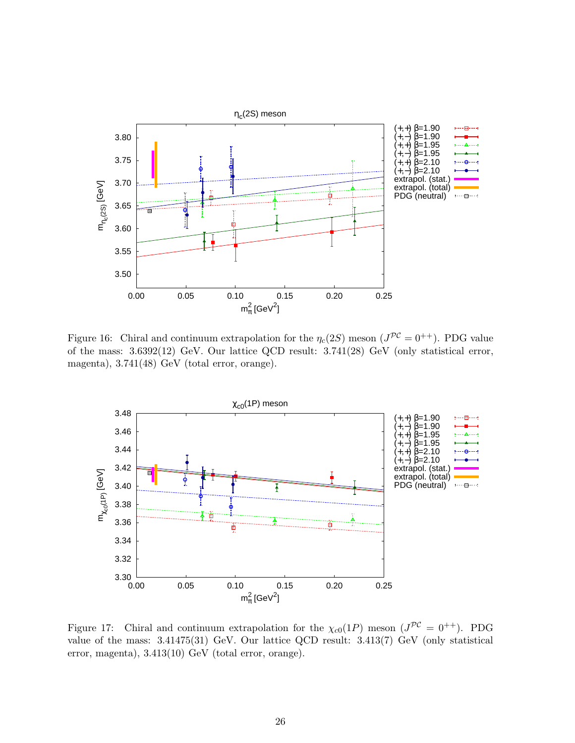<span id="page-26-0"></span>

Figure 16: Chiral and continuum extrapolation for the  $\eta_c(2S)$  meson  $(J^{PC}=0^{++})$ . PDG value of the mass: 3.6392(12) GeV. Our lattice QCD result: 3.741(28) GeV (only statistical error, magenta), 3.741(48) GeV (total error, orange).

<span id="page-26-1"></span>

Figure 17: Chiral and continuum extrapolation for the  $\chi_{c0}(1P)$  meson  $(J^{PC} = 0^{++})$ . PDG value of the mass: 3.41475(31) GeV. Our lattice QCD result: 3.413(7) GeV (only statistical error, magenta), 3.413(10) GeV (total error, orange).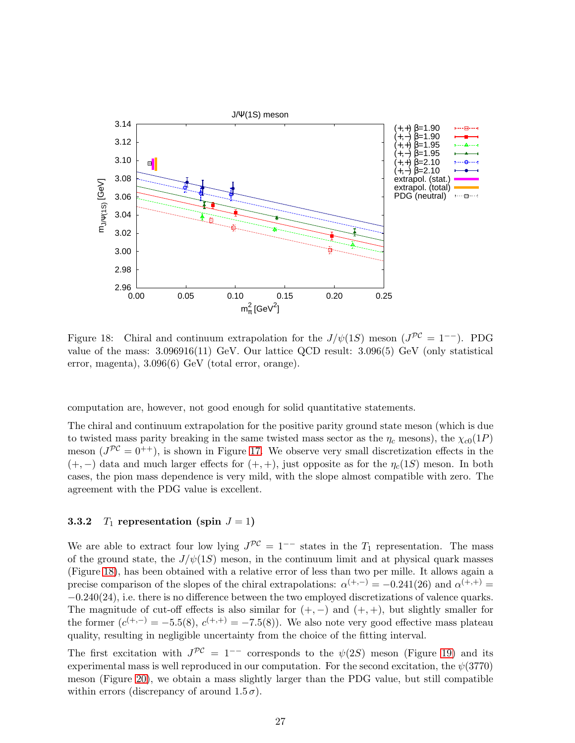<span id="page-27-0"></span>

Figure 18: Chiral and continuum extrapolation for the  $J/\psi(1S)$  meson  $(J^{PC} = 1^{-})$ . PDG value of the mass: 3.096916(11) GeV. Our lattice QCD result: 3.096(5) GeV (only statistical error, magenta), 3.096(6) GeV (total error, orange).

computation are, however, not good enough for solid quantitative statements.

The chiral and continuum extrapolation for the positive parity ground state meson (which is due to twisted mass parity breaking in the same twisted mass sector as the  $\eta_c$  mesons), the  $\chi_{c0}(1P)$ meson  $(J^{PC} = 0^{++})$ , is shown in Figure [17.](#page-26-1) We observe very small discretization effects in the  $(+,-)$  data and much larger effects for  $(+, +)$ , just opposite as for the  $\eta_c(1S)$  meson. In both cases, the pion mass dependence is very mild, with the slope almost compatible with zero. The agreement with the PDG value is excellent.

#### <span id="page-27-1"></span>3.3.2  $T_1$  representation (spin  $J = 1$ )

We are able to extract four low lying  $J^{\mathcal{PC}} = 1^{--}$  states in the  $T_1$  representation. The mass of the ground state, the  $J/\psi(1S)$  meson, in the continuum limit and at physical quark masses (Figure [18\)](#page-27-0), has been obtained with a relative error of less than two per mille. It allows again a precise comparison of the slopes of the chiral extrapolations:  $\alpha^{(+,-)} = -0.241(26)$  and  $\alpha^{(+,+)} =$  $-0.240(24)$ , i.e. there is no difference between the two employed discretizations of valence quarks. The magnitude of cut-off effects is also similar for  $(+,-)$  and  $(+,+)$ , but slightly smaller for the former  $(c^{(+,-)} = -5.5(8), c^{(+,+)} = -7.5(8)$ . We also note very good effective mass plateau quality, resulting in negligible uncertainty from the choice of the fitting interval.

The first excitation with  $J^{\mathcal{PC}} = 1^{--}$  corresponds to the  $\psi(2S)$  meson (Figure [19\)](#page-28-0) and its experimental mass is well reproduced in our computation. For the second excitation, the  $\psi(3770)$ meson (Figure [20\)](#page-28-1), we obtain a mass slightly larger than the PDG value, but still compatible within errors (discrepancy of around  $1.5\,\sigma$ ).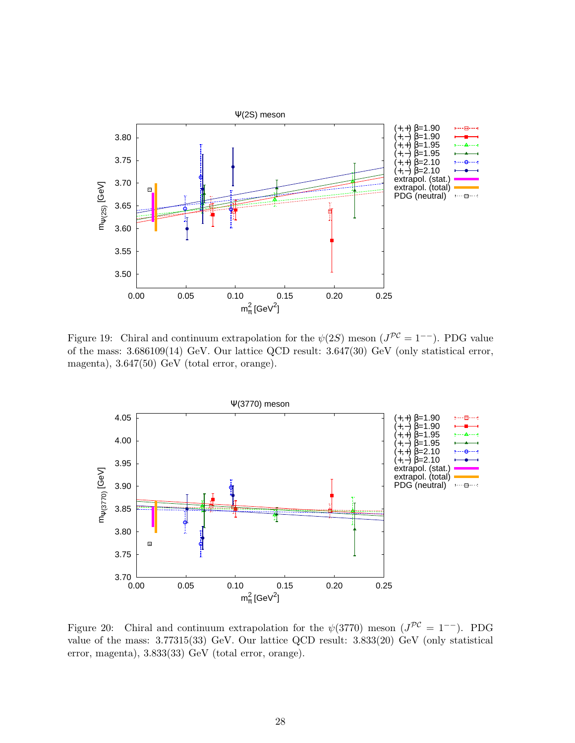<span id="page-28-0"></span>

Figure 19: Chiral and continuum extrapolation for the  $\psi(2S)$  meson  $(J^{PC}=1^{--})$ . PDG value of the mass: 3.686109(14) GeV. Our lattice QCD result: 3.647(30) GeV (only statistical error, magenta), 3.647(50) GeV (total error, orange).

<span id="page-28-1"></span>

Figure 20: Chiral and continuum extrapolation for the  $\psi(3770)$  meson  $(J^{PC} = 1^{-})$ . PDG value of the mass: 3.77315(33) GeV. Our lattice QCD result: 3.833(20) GeV (only statistical error, magenta), 3.833(33) GeV (total error, orange).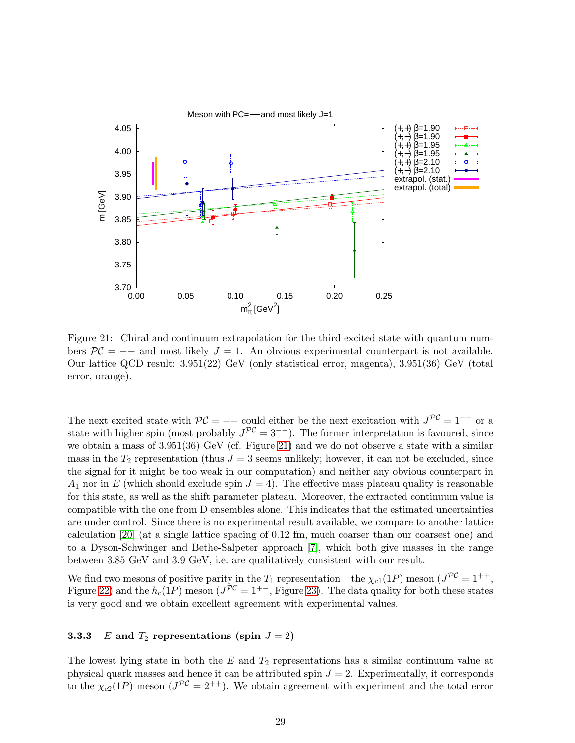<span id="page-29-0"></span>

Figure 21: Chiral and continuum extrapolation for the third excited state with quantum numbers  $\mathcal{PC} =$  -- and most likely  $J = 1$ . An obvious experimental counterpart is not available. Our lattice QCD result: 3.951(22) GeV (only statistical error, magenta), 3.951(36) GeV (total error, orange).

The next excited state with  $\mathcal{PC} =$  -- could either be the next excitation with  $J^{\mathcal{PC}} = 1^{-}$  or a state with higher spin (most probably  $J^{\mathcal{PC}} = 3^{-}$ ). The former interpretation is favoured, since we obtain a mass of 3.951(36) GeV (cf. Figure [21\)](#page-29-0) and we do not observe a state with a similar mass in the  $T_2$  representation (thus  $J = 3$  seems unlikely; however, it can not be excluded, since the signal for it might be too weak in our computation) and neither any obvious counterpart in  $A_1$  nor in E (which should exclude spin  $J = 4$ ). The effective mass plateau quality is reasonable for this state, as well as the shift parameter plateau. Moreover, the extracted continuum value is compatible with the one from D ensembles alone. This indicates that the estimated uncertainties are under control. Since there is no experimental result available, we compare to another lattice calculation [\[20\]](#page-45-6) (at a single lattice spacing of 0.12 fm, much coarser than our coarsest one) and to a Dyson-Schwinger and Bethe-Salpeter approach [\[7\]](#page-44-6), which both give masses in the range between 3.85 GeV and 3.9 GeV, i.e. are qualitatively consistent with our result.

We find two mesons of positive parity in the  $T_1$  representation – the  $\chi_{c1}(1P)$  meson  $(J^{PC}=1^{++},$ Figure [22\)](#page-30-0) and the  $h_c(1P)$  meson  $(J^{PC}=1^{+-},$  Figure [23\)](#page-30-1). The data quality for both these states is very good and we obtain excellent agreement with experimental values.

### 3.3.3 E and  $T_2$  representations (spin  $J = 2$ )

The lowest lying state in both the  $E$  and  $T_2$  representations has a similar continuum value at physical quark masses and hence it can be attributed spin  $J = 2$ . Experimentally, it corresponds to the  $\chi_{c2}(1)$  meson  $(J^{PC}=2^{++})$ . We obtain agreement with experiment and the total error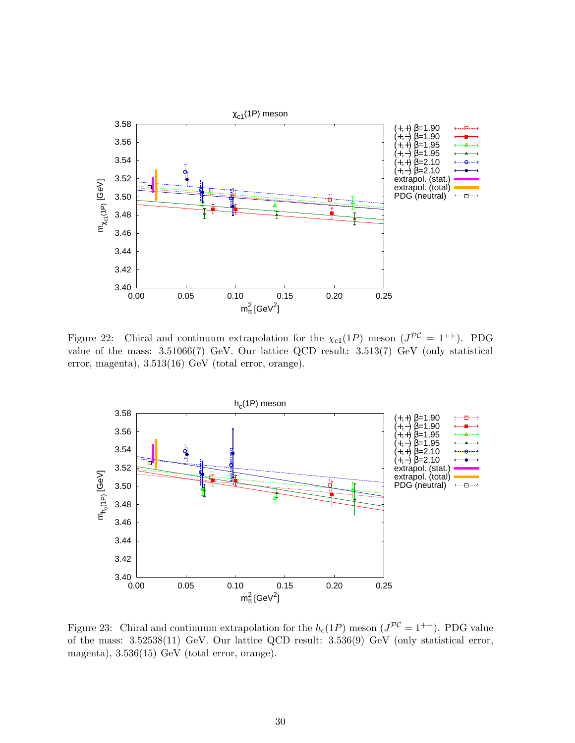<span id="page-30-0"></span>

Figure 22: Chiral and continuum extrapolation for the  $\chi_{c1}(1P)$  meson  $(J^{PC} = 1^{++})$ . PDG value of the mass: 3.51066(7) GeV. Our lattice QCD result: 3.513(7) GeV (only statistical error, magenta), 3.513(16) GeV (total error, orange).

<span id="page-30-1"></span>

Figure 23: Chiral and continuum extrapolation for the  $h_c(1P)$  meson  $(J^{PC}=1^{+-})$ . PDG value of the mass: 3.52538(11) GeV. Our lattice QCD result: 3.536(9) GeV (only statistical error, magenta), 3.536(15) GeV (total error, orange).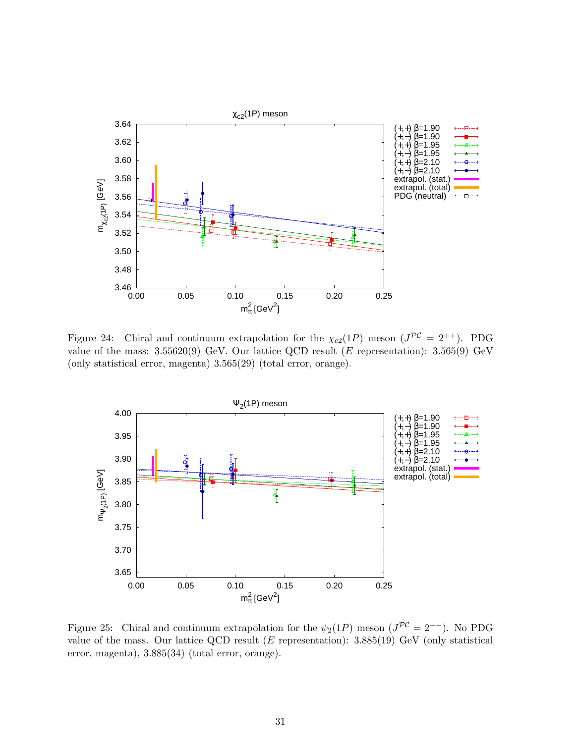<span id="page-31-0"></span>

Figure 24: Chiral and continuum extrapolation for the  $\chi_{c2}(1P)$  meson  $(J^{PC} = 2^{++})$ . PDG value of the mass:  $3.55620(9)$  GeV. Our lattice QCD result (E representation):  $3.565(9)$  GeV (only statistical error, magenta) 3.565(29) (total error, orange).

<span id="page-31-1"></span>

Figure 25: Chiral and continuum extrapolation for the  $\psi_2(1P)$  meson  $(J^{PC}=2^{--})$ . No PDG value of the mass. Our lattice QCD result  $(E$  representation):  $3.885(19)$  GeV (only statistical error, magenta), 3.885(34) (total error, orange).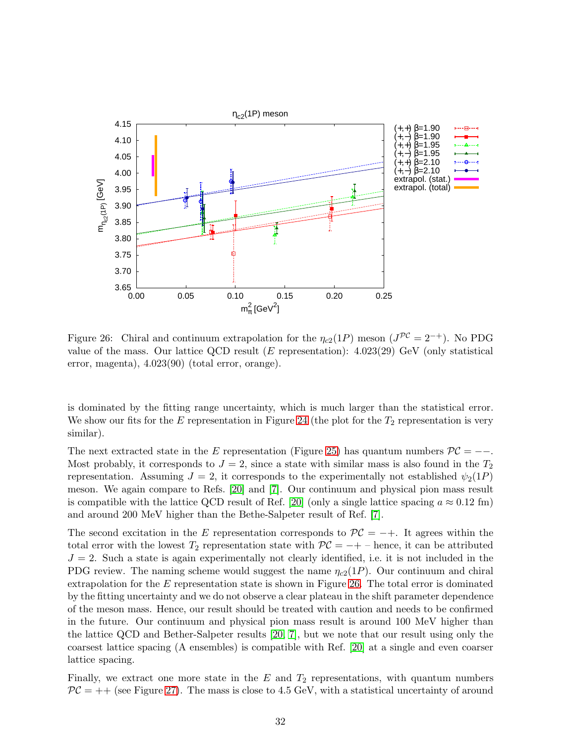<span id="page-32-0"></span>

Figure 26: Chiral and continuum extrapolation for the  $\eta_{c2}(1P)$  meson  $(J^{PC}=2^{-+})$ . No PDG value of the mass. Our lattice QCD result (E representation):  $4.023(29)$  GeV (only statistical error, magenta), 4.023(90) (total error, orange).

is dominated by the fitting range uncertainty, which is much larger than the statistical error. We show our fits for the E representation in Figure [24](#page-31-0) (the plot for the  $T_2$  representation is very similar).

The next extracted state in the E representation (Figure [25\)](#page-31-1) has quantum numbers  $\mathcal{PC} =$  --. Most probably, it corresponds to  $J = 2$ , since a state with similar mass is also found in the  $T_2$ representation. Assuming  $J = 2$ , it corresponds to the experimentally not established  $\psi_2(1P)$ meson. We again compare to Refs. [\[20\]](#page-45-6) and [\[7\]](#page-44-6). Our continuum and physical pion mass result is compatible with the lattice QCD result of Ref. [\[20\]](#page-45-6) (only a single lattice spacing  $a \approx 0.12$  fm) and around 200 MeV higher than the Bethe-Salpeter result of Ref. [\[7\]](#page-44-6).

The second excitation in the E representation corresponds to  $\mathcal{PC} = -+$ . It agrees within the total error with the lowest  $T_2$  representation state with  $\mathcal{PC} = -+$  – hence, it can be attributed  $J = 2$ . Such a state is again experimentally not clearly identified, i.e. it is not included in the PDG review. The naming scheme would suggest the name  $\eta_{c2}(1P)$ . Our continuum and chiral extrapolation for the  $E$  representation state is shown in Figure [26.](#page-32-0) The total error is dominated by the fitting uncertainty and we do not observe a clear plateau in the shift parameter dependence of the meson mass. Hence, our result should be treated with caution and needs to be confirmed in the future. Our continuum and physical pion mass result is around 100 MeV higher than the lattice QCD and Bether-Salpeter results [\[20,](#page-45-6) [7\]](#page-44-6), but we note that our result using only the coarsest lattice spacing (A ensembles) is compatible with Ref. [\[20\]](#page-45-6) at a single and even coarser lattice spacing.

Finally, we extract one more state in the  $E$  and  $T_2$  representations, with quantum numbers  $\mathcal{PC}$  = ++ (see Figure [27\)](#page-33-1). The mass is close to 4.5 GeV, with a statistical uncertainty of around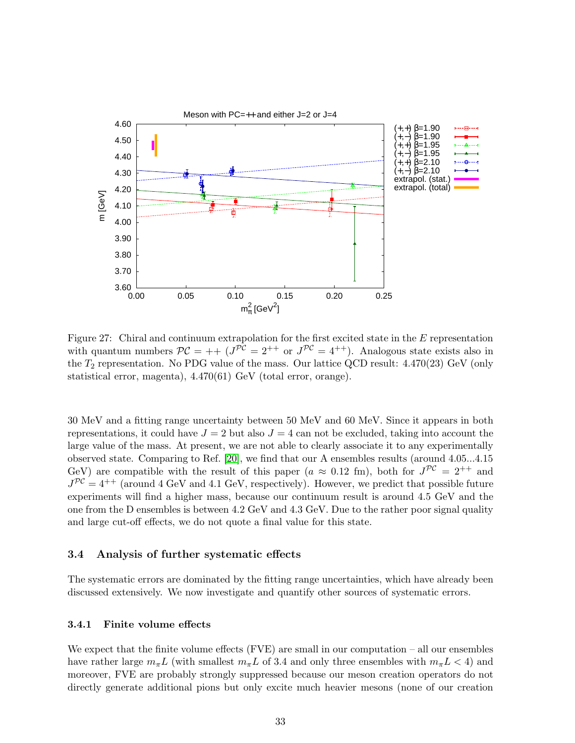<span id="page-33-1"></span>

Figure 27: Chiral and continuum extrapolation for the first excited state in the E representation with quantum numbers  $PC = ++$   $(J^{PC} = 2^{++}$  or  $J^{PC} = 4^{++})$ . Analogous state exists also in the  $T_2$  representation. No PDG value of the mass. Our lattice QCD result:  $4.470(23)$  GeV (only statistical error, magenta), 4.470(61) GeV (total error, orange).

30 MeV and a fitting range uncertainty between 50 MeV and 60 MeV. Since it appears in both representations, it could have  $J = 2$  but also  $J = 4$  can not be excluded, taking into account the large value of the mass. At present, we are not able to clearly associate it to any experimentally observed state. Comparing to Ref. [\[20\]](#page-45-6), we find that our A ensembles results (around 4.05...4.15 GeV) are compatible with the result of this paper  $(a \approx 0.12 \text{ fm})$ , both for  $J^{PC} = 2^{++}$  and  $J^{PC} = 4^{++}$  (around 4 GeV and 4.1 GeV, respectively). However, we predict that possible future experiments will find a higher mass, because our continuum result is around 4.5 GeV and the one from the D ensembles is between 4.2 GeV and 4.3 GeV. Due to the rather poor signal quality and large cut-off effects, we do not quote a final value for this state.

#### 3.4 Analysis of further systematic effects

The systematic errors are dominated by the fitting range uncertainties, which have already been discussed extensively. We now investigate and quantify other sources of systematic errors.

#### <span id="page-33-0"></span>3.4.1 Finite volume effects

We expect that the finite volume effects  $(FVE)$  are small in our computation – all our ensembles have rather large  $m_{\pi}L$  (with smallest  $m_{\pi}L$  of 3.4 and only three ensembles with  $m_{\pi}L < 4$ ) and moreover, FVE are probably strongly suppressed because our meson creation operators do not directly generate additional pions but only excite much heavier mesons (none of our creation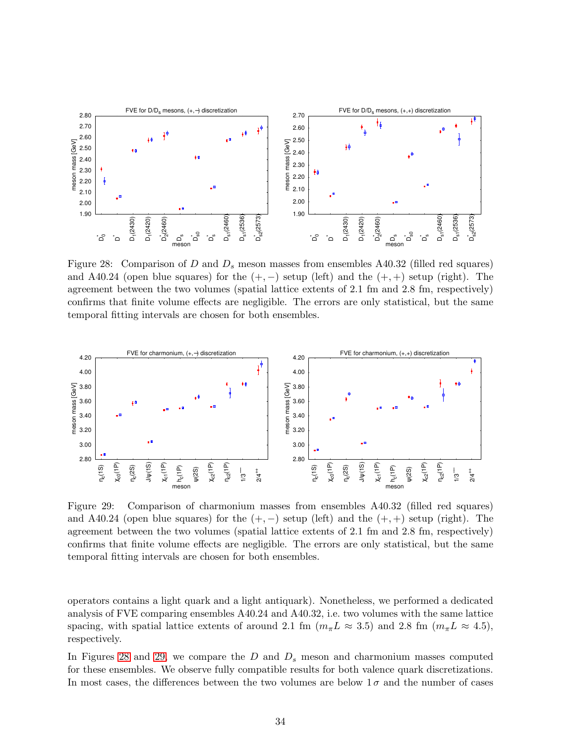<span id="page-34-0"></span>

Figure 28: Comparison of D and  $D_s$  meson masses from ensembles A40.32 (filled red squares) and A40.24 (open blue squares) for the  $(+,-)$  setup (left) and the  $(+,+)$  setup (right). The agreement between the two volumes (spatial lattice extents of 2.1 fm and 2.8 fm, respectively) confirms that finite volume effects are negligible. The errors are only statistical, but the same temporal fitting intervals are chosen for both ensembles.

<span id="page-34-1"></span>

Figure 29: Comparison of charmonium masses from ensembles A40.32 (filled red squares) and A40.24 (open blue squares) for the  $(+,-)$  setup (left) and the  $(+,+)$  setup (right). The agreement between the two volumes (spatial lattice extents of 2.1 fm and 2.8 fm, respectively) confirms that finite volume effects are negligible. The errors are only statistical, but the same temporal fitting intervals are chosen for both ensembles.

operators contains a light quark and a light antiquark). Nonetheless, we performed a dedicated analysis of FVE comparing ensembles A40.24 and A40.32, i.e. two volumes with the same lattice spacing, with spatial lattice extents of around 2.1 fm  $(m_{\pi}L \approx 3.5)$  and 2.8 fm  $(m_{\pi}L \approx 4.5)$ , respectively.

In Figures [28](#page-34-0) and [29,](#page-34-1) we compare the  $D$  and  $D<sub>s</sub>$  meson and charmonium masses computed for these ensembles. We observe fully compatible results for both valence quark discretizations. In most cases, the differences between the two volumes are below  $1\sigma$  and the number of cases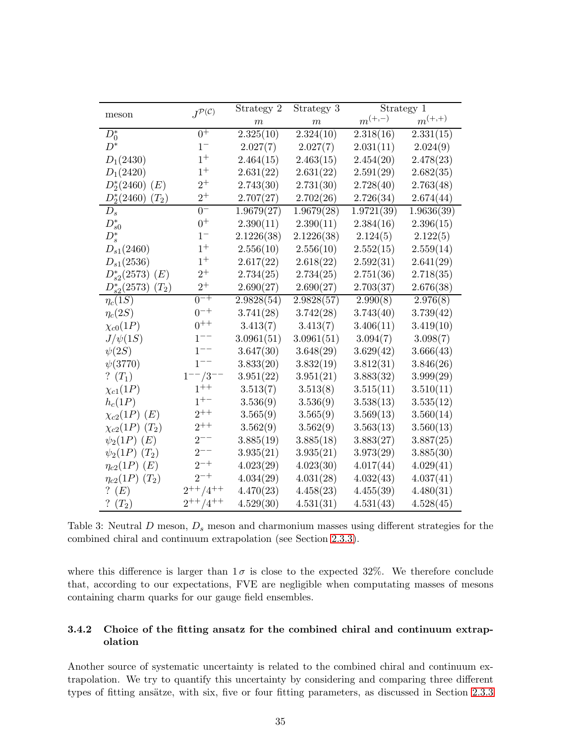<span id="page-35-1"></span>

|                                           | $J^{\mathcal{P}(\mathcal{C})}$ | Strategy 2       | Strategy 3 |             | Strategy 1  |  |
|-------------------------------------------|--------------------------------|------------------|------------|-------------|-------------|--|
| meson                                     |                                | $\boldsymbol{m}$ | $\,m$      | $m^{(+,-)}$ | $m^{(+,+)}$ |  |
| $D_0^*$                                   | $0^+$                          | 2.325(10)        | 2.324(10)  | 2.318(16)   | 2.331(15)   |  |
| $D^*$                                     | $1-$                           | 2.027(7)         | 2.027(7)   | 2.031(11)   | 2.024(9)    |  |
| $D_1(2430)$                               | $1^+$                          | 2.464(15)        | 2.463(15)  | 2.454(20)   | 2.478(23)   |  |
| $D_1(2420)$                               | $1^+$                          | 2.631(22)        | 2.631(22)  | 2.591(29)   | 2.682(35)   |  |
| $D_2^*(2460)$ (E)                         | $2^+$                          | 2.743(30)        | 2.731(30)  | 2.728(40)   | 2.763(48)   |  |
| $D_2^*(2460)$<br>$(T_2)$                  | $2^+$                          | 2.707(27)        | 2.702(26)  | 2.726(34)   | 2.674(44)   |  |
| $D_s$                                     | $0-$                           | 1.9679(27)       | 1.9679(28) | 1.9721(39)  | 1.9636(39)  |  |
| $D_{s0}^*$                                | $0^+$                          | 2.390(11)        | 2.390(11)  | 2.384(16)   | 2.396(15)   |  |
| $D_s^*$                                   | $1-$                           | 2.1226(38)       | 2.1226(38) | 2.124(5)    | 2.122(5)    |  |
| $D_{s1}(2460)$                            | $1^+$                          | 2.556(10)        | 2.556(10)  | 2.552(15)   | 2.559(14)   |  |
| $D_{s1}(2536)$                            | $1^+$                          | 2.617(22)        | 2.618(22)  | 2.592(31)   | 2.641(29)   |  |
| $D_{s2}^*(2573)$ (E)                      | $2^+$                          | 2.734(25)        | 2.734(25)  | 2.751(36)   | 2.718(35)   |  |
| $D_{s2}^*(2573)$<br>$\left( T_{2}\right)$ | $2^+$                          | 2.690(27)        | 2.690(27)  | 2.703(37)   | 2.676(38)   |  |
| $\eta_c(1S)$                              | $0^{-+}$                       | 2.9828(54)       | 2.9828(57) | 2.990(8)    | 2.976(8)    |  |
| $\eta_c(2S)$                              | $0^{-+}$                       | 3.741(28)        | 3.742(28)  | 3.743(40)   | 3.739(42)   |  |
| $\chi_{c0}(1P)$                           | $0^{++}$                       | 3.413(7)         | 3.413(7)   | 3.406(11)   | 3.419(10)   |  |
| $J/\psi(1S)$                              | $1^{--}$                       | 3.0961(51)       | 3.0961(51) | 3.094(7)    | 3.098(7)    |  |
| $\psi(2S)$                                | $1^{--}$                       | 3.647(30)        | 3.648(29)  | 3.629(42)   | 3.666(43)   |  |
| $\psi(3770)$                              | $1^{--}$                       | 3.833(20)        | 3.832(19)  | 3.812(31)   | 3.846(26)   |  |
| ? $(T_1)$                                 | $1^{--}/3$                     | 3.951(22)        | 3.951(21)  | 3.883(32)   | 3.999(29)   |  |
| $\chi_{c1}(1P)$                           | $1^{++}$                       | 3.513(7)         | 3.513(8)   | 3.515(11)   | 3.510(11)   |  |
| $h_c(1P)$                                 | $1^{+-}$                       | 3.536(9)         | 3.536(9)   | 3.538(13)   | 3.535(12)   |  |
| $\chi_{c2}(1P)$ (E)                       | $2^{++}$                       | 3.565(9)         | 3.565(9)   | 3.569(13)   | 3.560(14)   |  |
| $\chi_{c2}(1P)(T_2)$                      | $2^{++}$                       | 3.562(9)         | 3.562(9)   | 3.563(13)   | 3.560(13)   |  |
| $\psi_2(1P)$ (E)                          | $2^{--}$                       | 3.885(19)        | 3.885(18)  | 3.883(27)   | 3.887(25)   |  |
| $\psi_2(1P)$ $(T_2)$                      | $2^{--}$                       | 3.935(21)        | 3.935(21)  | 3.973(29)   | 3.885(30)   |  |
| $\eta_{c2}(1P)$ (E)                       | $2^{-+}$                       | 4.023(29)        | 4.023(30)  | 4.017(44)   | 4.029(41)   |  |
| $\eta_{c2}(1P)(T_2)$                      | $2^{-+}$                       | 4.034(29)        | 4.031(28)  | 4.032(43)   | 4.037(41)   |  |
| ? $(E)$                                   | $2^{++}/4^{++}$                | 4.470(23)        | 4.458(23)  | 4.455(39)   | 4.480(31)   |  |
| ? $(T_2)$                                 | $2^{++}/4^{++}$                | 4.529(30)        | 4.531(31)  | 4.531(43)   | 4.528(45)   |  |

Table 3: Neutral  $D$  meson,  $D_s$  meson and charmonium masses using different strategies for the combined chiral and continuum extrapolation (see Section [2.3.3\)](#page-10-3).

where this difference is larger than  $1\sigma$  is close to the expected 32%. We therefore conclude that, according to our expectations, FVE are negligible when computating masses of mesons containing charm quarks for our gauge field ensembles.

### <span id="page-35-0"></span>3.4.2 Choice of the fitting ansatz for the combined chiral and continuum extrapolation

Another source of systematic uncertainty is related to the combined chiral and continuum extrapolation. We try to quantify this uncertainty by considering and comparing three different types of fitting ansätze, with six, five or four fitting parameters, as discussed in Section [2.3.3](#page-10-3)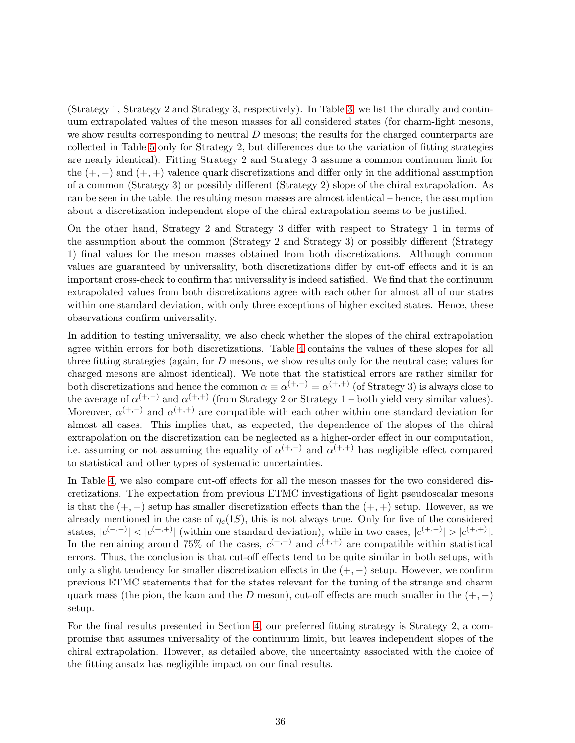(Strategy 1, Strategy 2 and Strategy 3, respectively). In Table [3,](#page-35-1) we list the chirally and continuum extrapolated values of the meson masses for all considered states (for charm-light mesons, we show results corresponding to neutral D mesons; the results for the charged counterparts are collected in Table [5](#page-39-0) only for Strategy 2, but differences due to the variation of fitting strategies are nearly identical). Fitting Strategy 2 and Strategy 3 assume a common continuum limit for the  $(+, -)$  and  $(+, +)$  valence quark discretizations and differ only in the additional assumption of a common (Strategy 3) or possibly different (Strategy 2) slope of the chiral extrapolation. As can be seen in the table, the resulting meson masses are almost identical – hence, the assumption about a discretization independent slope of the chiral extrapolation seems to be justified.

On the other hand, Strategy 2 and Strategy 3 differ with respect to Strategy 1 in terms of the assumption about the common (Strategy 2 and Strategy 3) or possibly different (Strategy 1) final values for the meson masses obtained from both discretizations. Although common values are guaranteed by universality, both discretizations differ by cut-off effects and it is an important cross-check to confirm that universality is indeed satisfied. We find that the continuum extrapolated values from both discretizations agree with each other for almost all of our states within one standard deviation, with only three exceptions of higher excited states. Hence, these observations confirm universality.

In addition to testing universality, we also check whether the slopes of the chiral extrapolation agree within errors for both discretizations. Table [4](#page-37-1) contains the values of these slopes for all three fitting strategies (again, for D mesons, we show results only for the neutral case; values for charged mesons are almost identical). We note that the statistical errors are rather similar for both discretizations and hence the common  $\alpha \equiv \alpha^{(+,-)} = \alpha^{(+,+)}$  (of Strategy 3) is always close to the average of  $\alpha^{(+,-)}$  and  $\alpha^{(+,+)}$  (from Strategy 2 or Strategy 1 – both yield very similar values). Moreover,  $\alpha^{(+,-)}$  and  $\alpha^{(+,+)}$  are compatible with each other within one standard deviation for almost all cases. This implies that, as expected, the dependence of the slopes of the chiral extrapolation on the discretization can be neglected as a higher-order effect in our computation, i.e. assuming or not assuming the equality of  $\alpha^{(+,-)}$  and  $\alpha^{(+,+)}$  has negligible effect compared to statistical and other types of systematic uncertainties.

In Table [4,](#page-37-1) we also compare cut-off effects for all the meson masses for the two considered discretizations. The expectation from previous ETMC investigations of light pseudoscalar mesons is that the  $(+,-)$  setup has smaller discretization effects than the  $(+,+)$  setup. However, as we already mentioned in the case of  $\eta_c(1S)$ , this is not always true. Only for five of the considered states,  $|c^{(+,-)}| < |c^{(+,+)}|$  (within one standard deviation), while in two cases,  $|c^{(+,-)}| > |c^{(+,+)}|$ . In the remaining around 75% of the cases,  $c^{(+,-)}$  and  $c^{(+,+)}$  are compatible within statistical errors. Thus, the conclusion is that cut-off effects tend to be quite similar in both setups, with only a slight tendency for smaller discretization effects in the  $(+,-)$  setup. However, we confirm previous ETMC statements that for the states relevant for the tuning of the strange and charm quark mass (the pion, the kaon and the D meson), cut-off effects are much smaller in the  $(+,-)$ setup.

For the final results presented in Section [4,](#page-38-0) our preferred fitting strategy is Strategy 2, a compromise that assumes universality of the continuum limit, but leaves independent slopes of the chiral extrapolation. However, as detailed above, the uncertainty associated with the choice of the fitting ansatz has negligible impact on our final results.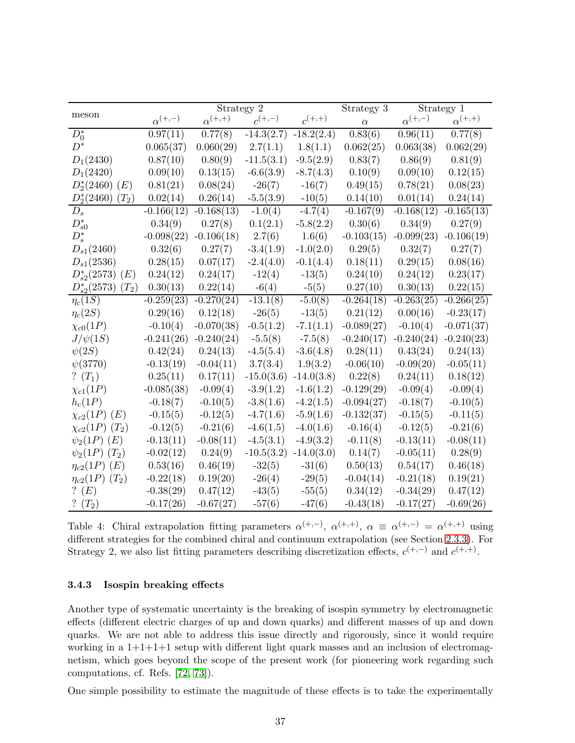<span id="page-37-1"></span>

|                             |                  | Strategy 2       |              | Strategy 3   |              | Strategy 1       |                  |
|-----------------------------|------------------|------------------|--------------|--------------|--------------|------------------|------------------|
| meson                       | $\alpha^{(+,-)}$ | $\alpha^{(+,+)}$ | $c^{(+,-)}$  | $c^{(+,+)}$  | $\alpha$     | $\alpha^{(+,-)}$ | $\alpha^{(+,+)}$ |
| $D_0^*$                     | 0.97(11)         | 0.77(8)          | $-14.3(2.7)$ | $-18.2(2.4)$ | 0.83(6)      | 0.96(11)         | 0.77(8)          |
| $D^*$                       | 0.065(37)        | 0.060(29)        | 2.7(1.1)     | 1.8(1.1)     | 0.062(25)    | 0.063(38)        | 0.062(29)        |
| $D_1(2430)$                 | 0.87(10)         | 0.80(9)          | $-11.5(3.1)$ | $-9.5(2.9)$  | 0.83(7)      | 0.86(9)          | 0.81(9)          |
| $D_1(2420)$                 | 0.09(10)         | 0.13(15)         | $-6.6(3.9)$  | $-8.7(4.3)$  | 0.10(9)      | 0.09(10)         | 0.12(15)         |
| $D_2^*(2460)$ (E)           | 0.81(21)         | 0.08(24)         | $-26(7)$     | $-16(7)$     | 0.49(15)     | 0.78(21)         | 0.08(23)         |
| $D_2^*(2460)$<br>$(T_2)$    | 0.02(14)         | 0.26(14)         | $-5.5(3.9)$  | $-10(5)$     | 0.14(10)     | 0.01(14)         | 0.24(14)         |
| $D_s$                       | $-0.166(12)$     | $-0.168(13)$     | $-1.0(4)$    | $-4.7(4)$    | $-0.167(9)$  | $-0.168(12)$     | $-0.165(13)$     |
| $D_{s0}^*$                  | 0.34(9)          | 0.27(8)          | 0.1(2.1)     | $-5.8(2.2)$  | 0.30(6)      | 0.34(9)          | 0.27(9)          |
| $D_s^*$                     | $-0.098(22)$     | $-0.106(18)$     | 2.7(6)       | 1.6(6)       | $-0.103(15)$ | $-0.099(23)$     | $-0.106(19)$     |
| $D_{s1}(2460)$              | 0.32(6)          | 0.27(7)          | $-3.4(1.9)$  | $-1.0(2.0)$  | 0.29(5)      | 0.32(7)          | 0.27(7)          |
| $D_{s1}(2536)$              | 0.28(15)         | 0.07(17)         | $-2.4(4.0)$  | $-0.1(4.4)$  | 0.18(11)     | 0.29(15)         | 0.08(16)         |
| $D_{s2}^*(2573)$<br>(E)     | 0.24(12)         | 0.24(17)         | $-12(4)$     | $-13(5)$     | 0.24(10)     | 0.24(12)         | 0.23(17)         |
| $D_{s2}^*(2573)$<br>$(T_2)$ | 0.30(13)         | 0.22(14)         | $-6(4)$      | $-5(5)$      | 0.27(10)     | 0.30(13)         | 0.22(15)         |
| $\eta_c(1S)$                | $-0.259(23)$     | $-0.270(24)$     | $-13.1(8)$   | $-5.0(8)$    | $-0.264(18)$ | $-0.263(25)$     | $-0.266(25)$     |
| $\eta_c(2S)$                | 0.29(16)         | 0.12(18)         | $-26(5)$     | $-13(5)$     | 0.21(12)     | 0.00(16)         | $-0.23(17)$      |
| $\chi_{c0}(1P)$             | $-0.10(4)$       | $-0.070(38)$     | $-0.5(1.2)$  | $-7.1(1.1)$  | $-0.089(27)$ | $-0.10(4)$       | $-0.071(37)$     |
| $J/\psi(1S)$                | $-0.241(26)$     | $-0.240(24)$     | $-5.5(8)$    | $-7.5(8)$    | $-0.240(17)$ | $-0.240(24)$     | $-0.240(23)$     |
| $\psi(2S)$                  | 0.42(24)         | 0.24(13)         | $-4.5(5.4)$  | $-3.6(4.8)$  | 0.28(11)     | 0.43(24)         | 0.24(13)         |
| $\psi(3770)$                | $-0.13(19)$      | $-0.04(11)$      | 3.7(3.4)     | 1.9(3.2)     | $-0.06(10)$  | $-0.09(20)$      | $-0.05(11)$      |
| ? $(T_1)$                   | 0.25(11)         | 0.17(11)         | $-15.0(3.6)$ | $-14.0(3.8)$ | 0.22(8)      | 0.24(11)         | 0.18(12)         |
| $\chi_{c1}(1P)$             | $-0.085(38)$     | $-0.09(4)$       | $-3.9(1.2)$  | $-1.6(1.2)$  | $-0.129(29)$ | $-0.09(4)$       | $-0.09(4)$       |
| $h_c(1P)$                   | $-0.18(7)$       | $-0.10(5)$       | $-3.8(1.6)$  | $-4.2(1.5)$  | $-0.094(27)$ | $-0.18(7)$       | $-0.10(5)$       |
| $\chi_{c2}(1P)$ (E)         | $-0.15(5)$       | $-0.12(5)$       | $-4.7(1.6)$  | $-5.9(1.6)$  | $-0.132(37)$ | $-0.15(5)$       | $-0.11(5)$       |
| $\chi_{c2}(1P)(T_2)$        | $-0.12(5)$       | $-0.21(6)$       | $-4.6(1.5)$  | $-4.0(1.6)$  | $-0.16(4)$   | $-0.12(5)$       | $-0.21(6)$       |
| $\psi_2(1P)$ (E)            | $-0.13(11)$      | $-0.08(11)$      | $-4.5(3.1)$  | $-4.9(3.2)$  | $-0.11(8)$   | $-0.13(11)$      | $-0.08(11)$      |
| $\psi_2(1P)$ $(T_2)$        | $-0.02(12)$      | 0.24(9)          | $-10.5(3.2)$ | $-14.0(3.0)$ | 0.14(7)      | $-0.05(11)$      | 0.28(9)          |
| $\eta_{c2}(1P)$ (E)         | 0.53(16)         | 0.46(19)         | $-32(5)$     | $-31(6)$     | 0.50(13)     | 0.54(17)         | 0.46(18)         |
| $\eta_{c2}(1P)(T_2)$        | $-0.22(18)$      | 0.19(20)         | $-26(4)$     | $-29(5)$     | $-0.04(14)$  | $-0.21(18)$      | 0.19(21)         |
| ? $(E)$                     | $-0.38(29)$      | 0.47(12)         | $-43(5)$     | $-55(5)$     | 0.34(12)     | $-0.34(29)$      | 0.47(12)         |
| $(T_2)$                     | $-0.17(26)$      | $-0.67(27)$      | $-57(6)$     | $-47(6)$     | $-0.43(18)$  | $-0.17(27)$      | $-0.69(26)$      |

Table 4: Chiral extrapolation fitting parameters  $\alpha^{(+,-)}$ ,  $\alpha^{(+,+)}$ ,  $\alpha \equiv \alpha^{(+,-)} = \alpha^{(+,+)}$  using different strategies for the combined chiral and continuum extrapolation (see Section [2.3.3\)](#page-10-3). For Strategy 2, we also list fitting parameters describing discretization effects,  $c^{(+,-)}$  and  $c^{(+,+)}$ .

### <span id="page-37-0"></span>3.4.3 Isospin breaking effects

Another type of systematic uncertainty is the breaking of isospin symmetry by electromagnetic effects (different electric charges of up and down quarks) and different masses of up and down quarks. We are not able to address this issue directly and rigorously, since it would require working in a  $1+1+1+1$  setup with different light quark masses and an inclusion of electromagnetism, which goes beyond the scope of the present work (for pioneering work regarding such computations, cf. Refs. [\[72,](#page-48-11) [73\]](#page-48-12)).

One simple possibility to estimate the magnitude of these effects is to take the experimentally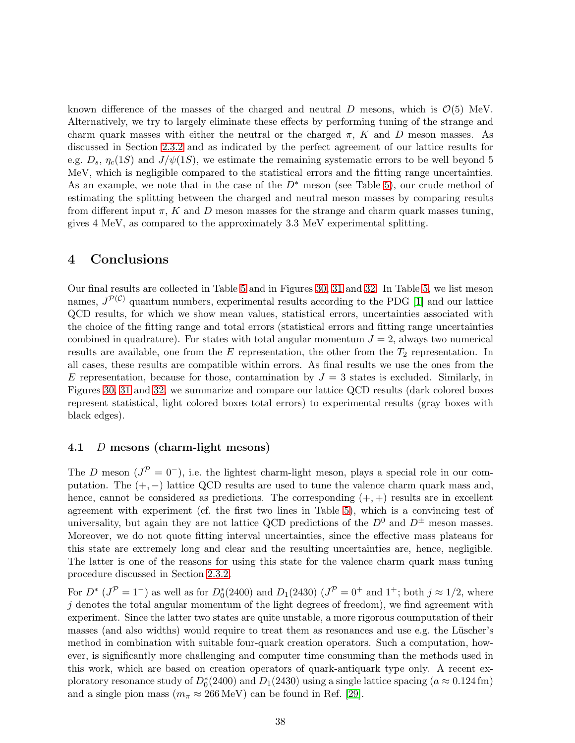known difference of the masses of the charged and neutral D mesons, which is  $\mathcal{O}(5)$  MeV. Alternatively, we try to largely eliminate these effects by performing tuning of the strange and charm quark masses with either the neutral or the charged  $\pi$ , K and D meson masses. As discussed in Section [2.3.2](#page-8-0) and as indicated by the perfect agreement of our lattice results for e.g.  $D_s$ ,  $\eta_c(1S)$  and  $J/\psi(1S)$ , we estimate the remaining systematic errors to be well beyond 5 MeV, which is negligible compared to the statistical errors and the fitting range uncertainties. As an example, we note that in the case of the  $D^*$  meson (see Table [5\)](#page-39-0), our crude method of estimating the splitting between the charged and neutral meson masses by comparing results from different input  $\pi$ , K and D meson masses for the strange and charm quark masses tuning, gives 4 MeV, as compared to the approximately 3.3 MeV experimental splitting.

# <span id="page-38-0"></span>4 Conclusions

Our final results are collected in Table [5](#page-39-0) and in Figures [30,](#page-40-0) [31](#page-41-0) and [32.](#page-42-0) In Table [5,](#page-39-0) we list meson names,  $J^{\mathcal{P}(\mathcal{C})}$  quantum numbers, experimental results according to the PDG [\[1\]](#page-44-0) and our lattice QCD results, for which we show mean values, statistical errors, uncertainties associated with the choice of the fitting range and total errors (statistical errors and fitting range uncertainties combined in quadrature). For states with total angular momentum  $J = 2$ , always two numerical results are available, one from the E representation, the other from the  $T_2$  representation. In all cases, these results are compatible within errors. As final results we use the ones from the E representation, because for those, contamination by  $J = 3$  states is excluded. Similarly, in Figures [30,](#page-40-0) [31](#page-41-0) and [32,](#page-42-0) we summarize and compare our lattice QCD results (dark colored boxes represent statistical, light colored boxes total errors) to experimental results (gray boxes with black edges).

### 4.1 D mesons (charm-light mesons)

The D meson  $(J^{\mathcal{P}}=0^-)$ , i.e. the lightest charm-light meson, plays a special role in our computation. The  $(+,-)$  lattice QCD results are used to tune the valence charm quark mass and, hence, cannot be considered as predictions. The corresponding  $(+, +)$  results are in excellent agreement with experiment (cf. the first two lines in Table [5\)](#page-39-0), which is a convincing test of universality, but again they are not lattice QCD predictions of the  $D^0$  and  $D^{\pm}$  meson masses. Moreover, we do not quote fitting interval uncertainties, since the effective mass plateaus for this state are extremely long and clear and the resulting uncertainties are, hence, negligible. The latter is one of the reasons for using this state for the valence charm quark mass tuning procedure discussed in Section [2.3.2.](#page-8-0)

For  $D^*$  ( $J^{\mathcal{P}} = 1^-$ ) as well as for  $D_0^*(2400)$  and  $D_1(2430)$  ( $J^{\mathcal{P}} = 0^+$  and  $1^+$ ; both  $j \approx 1/2$ , where  $i$  denotes the total angular momentum of the light degrees of freedom), we find agreement with experiment. Since the latter two states are quite unstable, a more rigorous coumputation of their masses (and also widths) would require to treat them as resonances and use e.g. the Lüscher's method in combination with suitable four-quark creation operators. Such a computation, however, is significantly more challenging and computer time consuming than the methods used in this work, which are based on creation operators of quark-antiquark type only. A recent exploratory resonance study of  $D_0^*(2400)$  and  $D_1(2430)$  using a single lattice spacing  $(a \approx 0.124 \text{ fm})$ and a single pion mass ( $m_{\pi} \approx 266 \,\text{MeV}$ ) can be found in Ref. [\[29\]](#page-45-14).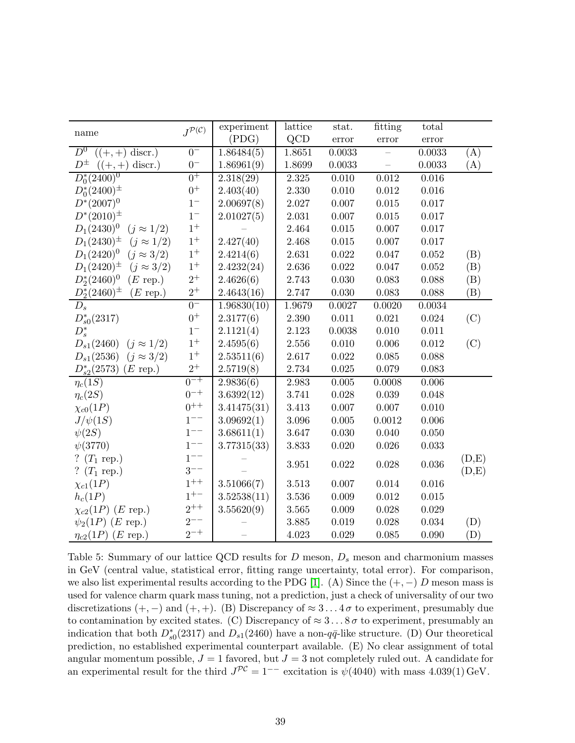<span id="page-39-0"></span>

|                                        | $J^{\mathcal{P}(\mathcal{C})}$ | experiment               | lattice   | stat.       | fitting                       | total  |       |
|----------------------------------------|--------------------------------|--------------------------|-----------|-------------|-------------------------------|--------|-------|
| name                                   |                                | (PDG)                    | QCD       | error       | $\ensuremath{\textup{error}}$ | error  |       |
| $D^0$<br>$((+,+)$ discr.)              | $0-$                           | 1.86484(5)               | 1.8651    | 0.0033      |                               | 0.0033 | (A)   |
| $D^{\pm}$<br>$((+,+)$ discr.)          | $0-$                           | 1.86961(9)               | 1.8699    | 0.0033      |                               | 0.0033 | (A)   |
| $D_0^*(2400)^0$                        | $0^+$                          | 2.318(29)                | $2.325\,$ | $0.010\,$   | $\,0.012\,$                   | 0.016  |       |
| $D_0^*(2400)^{\pm}$                    | $0^+$                          | 2.403(40)                | 2.330     | 0.010       | 0.012                         | 0.016  |       |
| $D^{*}(2007)^{0}$                      | $1-$                           | 2.00697(8)               | 2.027     | 0.007       | $0.015\,$                     | 0.017  |       |
| $D^*(2010)^{\pm}$                      | $1-$                           | 2.01027(5)               | 2.031     | 0.007       | $0.015\,$                     | 0.017  |       |
| $D_1(2430)^0$<br>$(j \approx 1/2)$     | $1^+$                          |                          | 2.464     | $0.015\,$   | 0.007                         | 0.017  |       |
| $D_1(2430)^{\pm}$<br>$(j \approx 1/2)$ | $1^+$                          | 2.427(40)                | 2.468     | $0.015\,$   | 0.007                         | 0.017  |       |
| $D_1(2420)^0$<br>$(j \approx 3/2)$     | $1^+$                          | 2.4214(6)                | 2.631     | $0.022\,$   | 0.047                         | 0.052  | (B)   |
| $D_1(2420)^{\pm}$<br>$(j \approx 3/2)$ | $1^+$                          | 2.4232(24)               | 2.636     | $\,0.022\,$ | 0.047                         | 0.052  | (B)   |
| $D_2^*(2460)^0$<br>$(E \text{ rep.})$  | $2^+$                          | 2.4626(6)                | 2.743     | 0.030       | 0.083                         | 0.088  | (B)   |
| $D_2^*(2460)^{\pm}$<br>$(E$ rep.)      | $2^+$                          | 2.4643(16)               | 2.747     | $0.030\,$   | 0.083                         | 0.088  | (B)   |
| $D_s$                                  | $0-$                           | $1.96830(\overline{10})$ | 1.9679    | 0.0027      | 0.0020                        | 0.0034 |       |
| $D_{s0}^*(2317)$                       | $0^+$                          | 2.3177(6)                | $2.390\,$ | 0.011       | 0.021                         | 0.024  | (C)   |
| $D_s^*$                                | $1-$                           | 2.1121(4)                | 2.123     | 0.0038      | 0.010                         | 0.011  |       |
| $D_{s1}(2460)$<br>$(j \approx 1/2)$    | $1^+$                          | 2.4595(6)                | 2.556     | 0.010       | 0.006                         | 0.012  | (C)   |
| $(j \approx 3/2)$<br>$D_{s1}(2536)$    | $1^+$                          | 2.53511(6)               | 2.617     | $0.022\,$   | 0.085                         | 0.088  |       |
| $D_{s2}^*(2573)$<br>$(E \text{ rep.})$ | $2^+$                          | 2.5719(8)                | $2.734\,$ | 0.025       | 0.079                         | 0.083  |       |
| $\eta_c(1S)$                           | $0^{-+}$                       | 2.9836(6)                | 2.983     | $0.005\,$   | 0.0008                        | 0.006  |       |
| $\eta_c(2S)$                           | $0^{-+}$                       | 3.6392(12)               | 3.741     | 0.028       | 0.039                         | 0.048  |       |
| $\chi_{c0}(1P)$                        | $0^{++}$                       | 3.41475(31)              | 3.413     | 0.007       | 0.007                         | 0.010  |       |
| $J/\psi(1S)$                           | $1^{--}$                       | 3.09692(1)               | $3.096\,$ | $0.005\,$   | 0.0012                        | 0.006  |       |
| $\psi(2S)$                             | $1^{--}$                       | 3.68611(1)               | 3.647     | $0.030\,$   | 0.040                         | 0.050  |       |
| $\psi(3770)$                           | $1^{--}$                       | 3.77315(33)              | 3.833     | $0.020\,$   | 0.026                         | 0.033  |       |
| ? $(T_1 \text{ rep.})$                 | $1^{--}$                       |                          | 3.951     | $0.022\,$   | 0.028                         | 0.036  | (D,E) |
| $(T_1 \text{ rep.})$                   | $3^{--}$                       |                          |           |             |                               |        | (D,E) |
| $\chi_{c1}(1P)$                        | $1^{++}$                       | 3.51066(7)               | $3.513\,$ | 0.007       | 0.014                         | 0.016  |       |
| $h_c(1P)$                              | $1^{+-}$                       | 3.52538(11)              | 3.536     | 0.009       | 0.012                         | 0.015  |       |
| $\chi_{c2}(1P)$ ( <i>E</i> rep.)       | $2^{++}$                       | 3.55620(9)               | $3.565\,$ | $0.009\,$   | 0.028                         | 0.029  |       |
| $\psi_2(1P)$ ( <i>E</i> rep.)          | $2^{--}$                       |                          | 3.885     | 0.019       | 0.028                         | 0.034  | (D)   |
| $\eta_{c2}(1P)$ ( <i>E</i> rep.)       | $2^{-+}$                       |                          | 4.023     | 0.029       | 0.085                         | 0.090  | (D)   |

Table 5: Summary of our lattice QCD results for  $D$  meson,  $D_s$  meson and charmonium masses in GeV (central value, statistical error, fitting range uncertainty, total error). For comparison, we also list experimental results according to the PDG [\[1\]](#page-44-0). (A) Since the  $(+, -)$  D meson mass is used for valence charm quark mass tuning, not a prediction, just a check of universality of our two discretizations  $(+, -)$  and  $(+, +)$ . (B) Discrepancy of  $\approx 3...4\sigma$  to experiment, presumably due to contamination by excited states. (C) Discrepancy of  $\approx 3...8\,\sigma$  to experiment, presumably an indication that both  $D_{s0}^*(2317)$  and  $D_{s1}(2460)$  have a non- $q\bar{q}$ -like structure. (D) Our theoretical prediction, no established experimental counterpart available. (E) No clear assignment of total angular momentum possible,  $J = 1$  favored, but  $J = 3$  not completely ruled out. A candidate for an experimental result for the third  $J^{\mathcal{PC}} = 1^{--}$  excitation is  $\psi(4040)$  with mass  $4.039(1)$  GeV.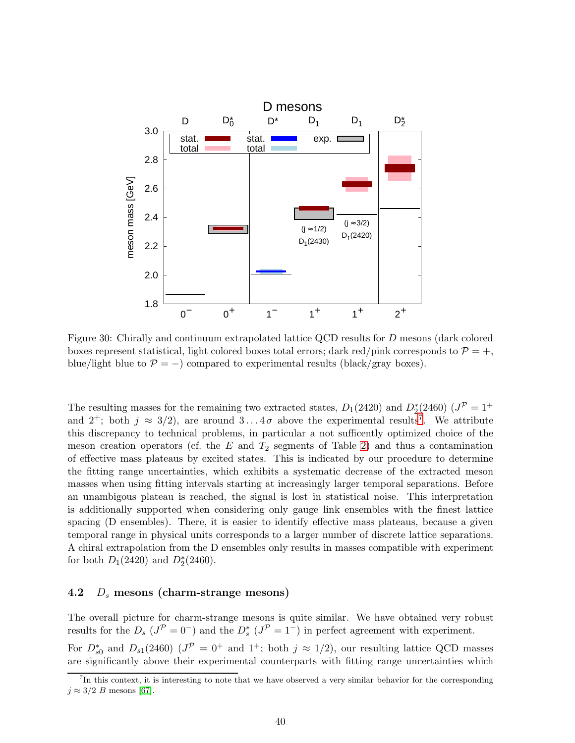<span id="page-40-0"></span>

Figure 30: Chirally and continuum extrapolated lattice QCD results for D mesons (dark colored boxes represent statistical, light colored boxes total errors; dark red/pink corresponds to  $\mathcal{P} = +$ , blue/light blue to  $\mathcal{P} = -$ ) compared to experimental results (black/gray boxes).

The resulting masses for the remaining two extracted states,  $D_1(2420)$  and  $D_2^*(2460)$   $(J^{\mathcal{P}} = 1^+$ and  $2^+$ ; both  $j \approx 3/2$ , are around  $3...4\sigma$  above the experimental results<sup>[7](#page-40-1)</sup>. We attribute this discrepancy to technical problems, in particular a not sufficently optimized choice of the meson creation operators (cf. the  $E$  and  $T_2$  segments of Table [2\)](#page-5-0) and thus a contamination of effective mass plateaus by excited states. This is indicated by our procedure to determine the fitting range uncertainties, which exhibits a systematic decrease of the extracted meson masses when using fitting intervals starting at increasingly larger temporal separations. Before an unambigous plateau is reached, the signal is lost in statistical noise. This interpretation is additionally supported when considering only gauge link ensembles with the finest lattice spacing (D ensembles). There, it is easier to identify effective mass plateaus, because a given temporal range in physical units corresponds to a larger number of discrete lattice separations. A chiral extrapolation from the D ensembles only results in masses compatible with experiment for both  $D_1(2420)$  and  $D_2^*(2460)$ .

### 4.2  $D_s$  mesons (charm-strange mesons)

The overall picture for charm-strange mesons is quite similar. We have obtained very robust results for the  $D_s$  ( $J^{\mathcal{P}} = 0^-$ ) and the  $D_s^*$  ( $J^{\mathcal{P}} = 1^-$ ) in perfect agreement with experiment. For  $D_{s0}^*$  and  $D_{s1}(2460)$   $(J^{\mathcal{P}}=0^+$  and  $1^+$ ; both  $j \approx 1/2$ ), our resulting lattice QCD masses are significantly above their experimental counterparts with fitting range uncertainties which

<span id="page-40-1"></span><sup>7</sup> In this context, it is interesting to note that we have observed a very similar behavior for the corresponding  $j \approx 3/2$  B mesons [\[67\]](#page-48-6).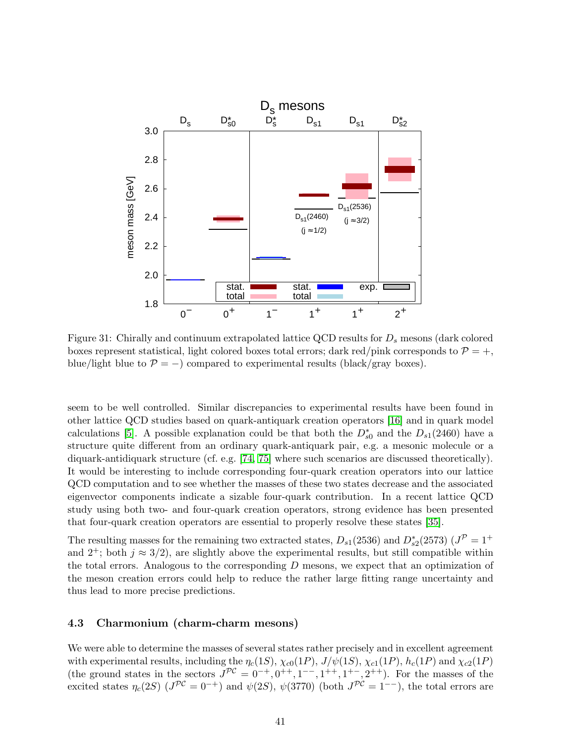<span id="page-41-0"></span>

Figure 31: Chirally and continuum extrapolated lattice QCD results for  $D_s$  mesons (dark colored boxes represent statistical, light colored boxes total errors; dark red/pink corresponds to  $\mathcal{P} = +$ , blue/light blue to  $\mathcal{P} = -$ ) compared to experimental results (black/gray boxes).

seem to be well controlled. Similar discrepancies to experimental results have been found in other lattice QCD studies based on quark-antiquark creation operators [\[16\]](#page-45-2) and in quark model calculations [\[5\]](#page-44-4). A possible explanation could be that both the  $D_{s0}^*$  and the  $D_{s1}(2460)$  have a structure quite different from an ordinary quark-antiquark pair, e.g. a mesonic molecule or a diquark-antidiquark structure (cf. e.g. [\[74,](#page-48-13) [75\]](#page-48-14) where such scenarios are discussed theoretically). It would be interesting to include corresponding four-quark creation operators into our lattice QCD computation and to see whether the masses of these two states decrease and the associated eigenvector components indicate a sizable four-quark contribution. In a recent lattice QCD study using both two- and four-quark creation operators, strong evidence has been presented that four-quark creation operators are essential to properly resolve these states [\[35\]](#page-46-5).

The resulting masses for the remaining two extracted states,  $D_{s1}(2536)$  and  $D_{s2}^*(2573)$   $(J^{\mathcal{P}}=1^+$ and  $2^+$ ; both  $j \approx 3/2$ , are slightly above the experimental results, but still compatible within the total errors. Analogous to the corresponding D mesons, we expect that an optimization of the meson creation errors could help to reduce the rather large fitting range uncertainty and thus lead to more precise predictions.

### 4.3 Charmonium (charm-charm mesons)

We were able to determine the masses of several states rather precisely and in excellent agreement with experimental results, including the  $\eta_c(1S)$ ,  $\chi_{c0}(1P)$ ,  $J/\psi(1S)$ ,  $\chi_{c1}(1P)$ ,  $h_c(1P)$  and  $\chi_{c2}(1P)$ (the ground states in the sectors  $J^{PC} = 0^{-+}, 0^{++}, 1^{--}, 1^{++}, 1^{+-}, 2^{++}$ ). For the masses of the excited states  $\eta_c(2S)$   $(J^{PC}=0^{-+})$  and  $\psi(2S)$ ,  $\psi(3770)$  (both  $J^{PC}=1^{--}$ ), the total errors are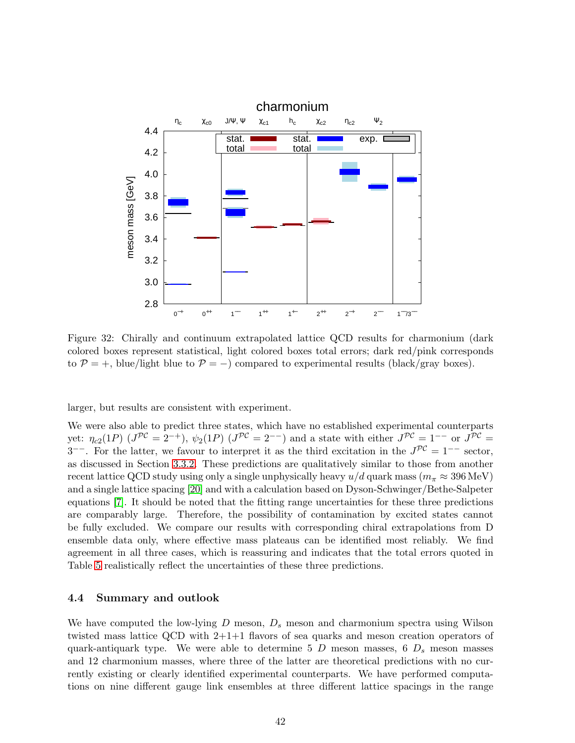<span id="page-42-0"></span>

Figure 32: Chirally and continuum extrapolated lattice QCD results for charmonium (dark colored boxes represent statistical, light colored boxes total errors; dark red/pink corresponds to  $P = +$ , blue/light blue to  $P = -$ ) compared to experimental results (black/gray boxes).

larger, but results are consistent with experiment.

We were also able to predict three states, which have no established experimental counterparts yet:  $\eta_{c2}(1P)$  ( $J^{\mathcal{PC}}=2^{-+}$ ),  $\psi_2(1P)$  ( $J^{\mathcal{PC}}=2^{--}$ ) and a state with either  $J^{\mathcal{PC}}=1^{--}$  or  $J^{\mathcal{PC}}=$ 3<sup>--</sup>. For the latter, we favour to interpret it as the third excitation in the  $J^{\mathcal{PC}}=1^{--}$  sector, as discussed in Section [3.3.2.](#page-27-1) These predictions are qualitatively similar to those from another recent lattice QCD study using only a single unphysically heavy  $u/d$  quark mass ( $m_{\pi} \approx 396 \text{ MeV}$ ) and a single lattice spacing [\[20\]](#page-45-6) and with a calculation based on Dyson-Schwinger/Bethe-Salpeter equations [\[7\]](#page-44-6). It should be noted that the fitting range uncertainties for these three predictions are comparably large. Therefore, the possibility of contamination by excited states cannot be fully excluded. We compare our results with corresponding chiral extrapolations from D ensemble data only, where effective mass plateaus can be identified most reliably. We find agreement in all three cases, which is reassuring and indicates that the total errors quoted in Table [5](#page-39-0) realistically reflect the uncertainties of these three predictions.

### 4.4 Summary and outlook

We have computed the low-lying  $D$  meson,  $D_s$  meson and charmonium spectra using Wilson twisted mass lattice QCD with  $2+1+1$  flavors of sea quarks and meson creation operators of quark-antiquark type. We were able to determine 5 D meson masses, 6  $D_s$  meson masses and 12 charmonium masses, where three of the latter are theoretical predictions with no currently existing or clearly identified experimental counterparts. We have performed computations on nine different gauge link ensembles at three different lattice spacings in the range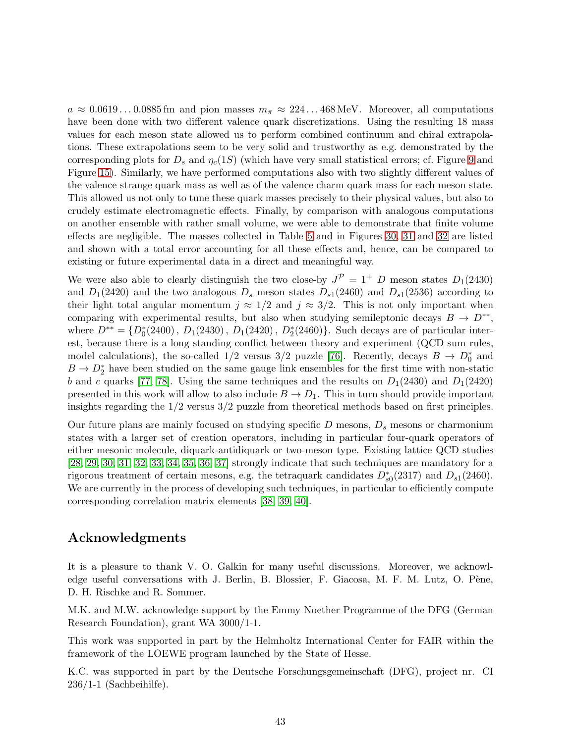$a \approx 0.0619...0.0885$  fm and pion masses  $m_{\pi} \approx 224...468$  MeV. Moreover, all computations have been done with two different valence quark discretizations. Using the resulting 18 mass values for each meson state allowed us to perform combined continuum and chiral extrapolations. These extrapolations seem to be very solid and trustworthy as e.g. demonstrated by the corresponding plots for  $D_s$  and  $\eta_c(1S)$  (which have very small statistical errors; cf. Figure [9](#page-20-0) and Figure [15\)](#page-25-0). Similarly, we have performed computations also with two slightly different values of the valence strange quark mass as well as of the valence charm quark mass for each meson state. This allowed us not only to tune these quark masses precisely to their physical values, but also to crudely estimate electromagnetic effects. Finally, by comparison with analogous computations on another ensemble with rather small volume, we were able to demonstrate that finite volume effects are negligible. The masses collected in Table [5](#page-39-0) and in Figures [30,](#page-40-0) [31](#page-41-0) and [32](#page-42-0) are listed and shown with a total error accounting for all these effects and, hence, can be compared to existing or future experimental data in a direct and meaningful way.

We were also able to clearly distinguish the two close-by  $J^{\mathcal{P}} = 1^+$  D meson states  $D_1(2430)$ and  $D_1(2420)$  and the two analogous  $D_s$  meson states  $D_{s1}(2460)$  and  $D_{s1}(2536)$  according to their light total angular momentum  $j \approx 1/2$  and  $j \approx 3/2$ . This is not only important when comparing with experimental results, but also when studying semileptonic decays  $B \to D^{**}$ , where  $D^{**} = \{D_0^*(2400), D_1(2430), D_1(2420), D_2^*(2460)\}\.$  Such decays are of particular interest, because there is a long standing conflict between theory and experiment (QCD sum rules, model calculations), the so-called 1/2 versus 3/2 puzzle [\[76\]](#page-48-15). Recently, decays  $B \to D_0^*$  and  $B \to D_2^*$  have been studied on the same gauge link ensembles for the first time with non-static b and c quarks [\[77,](#page-49-0) [78\]](#page-49-1). Using the same techniques and the results on  $D_1(2430)$  and  $D_1(2420)$ presented in this work will allow to also include  $B \to D_1$ . This in turn should provide important insights regarding the 1/2 versus 3/2 puzzle from theoretical methods based on first principles.

Our future plans are mainly focused on studying specific  $D$  mesons,  $D_s$  mesons or charmonium states with a larger set of creation operators, including in particular four-quark operators of either mesonic molecule, diquark-antidiquark or two-meson type. Existing lattice QCD studies [\[28,](#page-45-13) [29,](#page-45-14) [30,](#page-46-0) [31,](#page-46-1) [32,](#page-46-2) [33,](#page-46-3) [34,](#page-46-4) [35,](#page-46-5) [36,](#page-46-6) [37\]](#page-46-7) strongly indicate that such techniques are mandatory for a rigorous treatment of certain mesons, e.g. the tetraquark candidates  $D_{s0}^*(2317)$  and  $D_{s1}(2460)$ . We are currently in the process of developing such techniques, in particular to efficiently compute corresponding correlation matrix elements [\[38,](#page-46-8) [39,](#page-46-9) [40\]](#page-46-10).

# Acknowledgments

It is a pleasure to thank V. O. Galkin for many useful discussions. Moreover, we acknowledge useful conversations with J. Berlin, B. Blossier, F. Giacosa, M. F. M. Lutz, O. Pène, D. H. Rischke and R. Sommer.

M.K. and M.W. acknowledge support by the Emmy Noether Programme of the DFG (German Research Foundation), grant WA 3000/1-1.

This work was supported in part by the Helmholtz International Center for FAIR within the framework of the LOEWE program launched by the State of Hesse.

K.C. was supported in part by the Deutsche Forschungsgemeinschaft (DFG), project nr. CI 236/1-1 (Sachbeihilfe).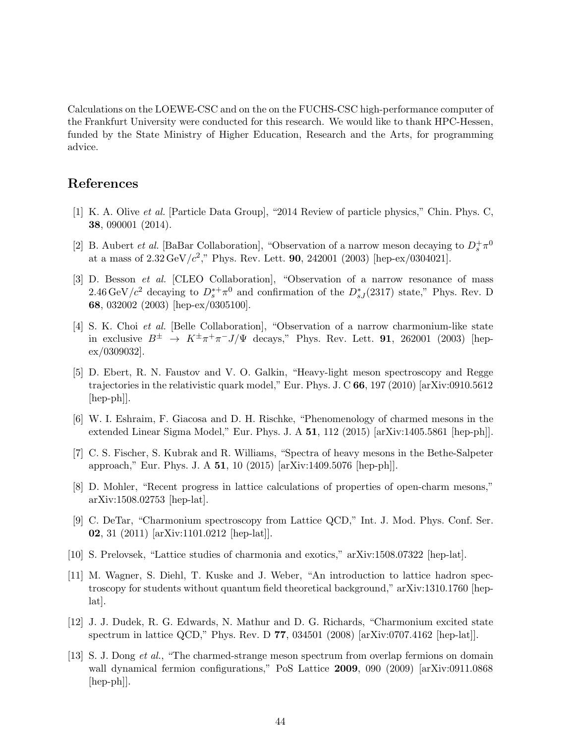Calculations on the LOEWE-CSC and on the on the FUCHS-CSC high-performance computer of the Frankfurt University were conducted for this research. We would like to thank HPC-Hessen, funded by the State Ministry of Higher Education, Research and the Arts, for programming advice.

# <span id="page-44-0"></span>References

- [1] K. A. Olive et al. [Particle Data Group], "2014 Review of particle physics," Chin. Phys. C, 38, 090001 (2014).
- <span id="page-44-1"></span>[2] B. Aubert *et al.* [BaBar Collaboration], "Observation of a narrow meson decaying to  $D_s^+\pi^0$ at a mass of  $2.32 \,\text{GeV}/c^2$ ," Phys. Rev. Lett. **90**, 242001 (2003) [hep-ex/0304021].
- <span id="page-44-2"></span>[3] D. Besson et al. [CLEO Collaboration], "Observation of a narrow resonance of mass 2.46 GeV/ $c^2$  decaying to  $D_s^{*+}\pi^0$  and confirmation of the  $D_{sJ}^{*}(2317)$  state," Phys. Rev. D 68, 032002 (2003) [hep-ex/0305100].
- <span id="page-44-3"></span>[4] S. K. Choi et al. [Belle Collaboration], "Observation of a narrow charmonium-like state in exclusive  $B^{\pm}$   $\rightarrow$   $K^{\pm}\pi^{+}\pi^{-}J/\Psi$  decays," Phys. Rev. Lett. **91**, 262001 (2003) [hepex/0309032].
- <span id="page-44-4"></span>[5] D. Ebert, R. N. Faustov and V. O. Galkin, "Heavy-light meson spectroscopy and Regge trajectories in the relativistic quark model," Eur. Phys. J. C 66, 197 (2010) [arXiv:0910.5612 [hep-ph]].
- <span id="page-44-5"></span>[6] W. I. Eshraim, F. Giacosa and D. H. Rischke, "Phenomenology of charmed mesons in the extended Linear Sigma Model," Eur. Phys. J. A 51, 112 (2015) [arXiv:1405.5861 [hep-ph]].
- <span id="page-44-6"></span>[7] C. S. Fischer, S. Kubrak and R. Williams, "Spectra of heavy mesons in the Bethe-Salpeter approach," Eur. Phys. J. A 51, 10 (2015) [arXiv:1409.5076 [hep-ph]].
- <span id="page-44-7"></span>[8] D. Mohler, "Recent progress in lattice calculations of properties of open-charm mesons," arXiv:1508.02753 [hep-lat].
- <span id="page-44-8"></span>[9] C. DeTar, "Charmonium spectroscopy from Lattice QCD," Int. J. Mod. Phys. Conf. Ser. 02, 31 (2011) [arXiv:1101.0212 [hep-lat]].
- <span id="page-44-10"></span><span id="page-44-9"></span>[10] S. Prelovsek, "Lattice studies of charmonia and exotics," arXiv:1508.07322 [hep-lat].
- [11] M. Wagner, S. Diehl, T. Kuske and J. Weber, "An introduction to lattice hadron spectroscopy for students without quantum field theoretical background," arXiv:1310.1760 [heplat].
- <span id="page-44-11"></span>[12] J. J. Dudek, R. G. Edwards, N. Mathur and D. G. Richards, "Charmonium excited state spectrum in lattice QCD," Phys. Rev. D 77, 034501 (2008) [arXiv:0707.4162 [hep-lat]].
- <span id="page-44-12"></span>[13] S. J. Dong et al., "The charmed-strange meson spectrum from overlap fermions on domain wall dynamical fermion configurations," PoS Lattice 2009, 090 (2009) [arXiv:0911.0868 [hep-ph]].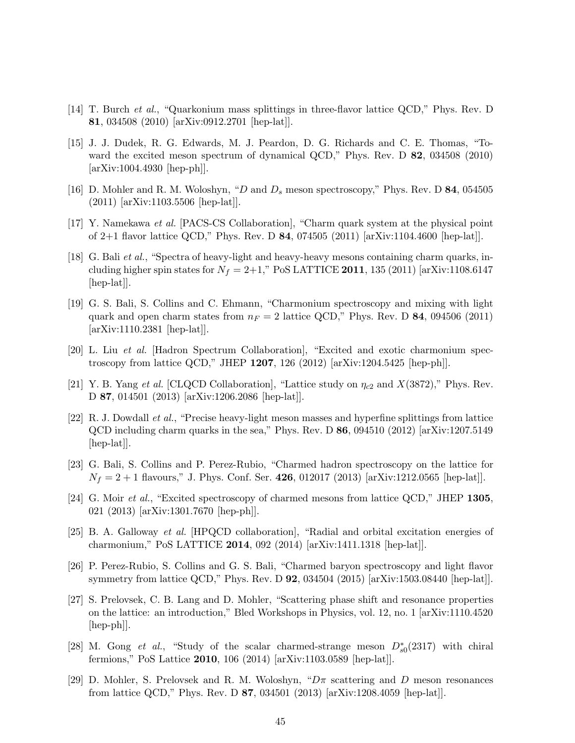- <span id="page-45-1"></span><span id="page-45-0"></span>[14] T. Burch et al., "Quarkonium mass splittings in three-flavor lattice QCD," Phys. Rev. D 81, 034508 (2010) [arXiv:0912.2701 [hep-lat]].
- [15] J. J. Dudek, R. G. Edwards, M. J. Peardon, D. G. Richards and C. E. Thomas, "Toward the excited meson spectrum of dynamical QCD," Phys. Rev. D 82, 034508 (2010) [arXiv:1004.4930 [hep-ph]].
- <span id="page-45-3"></span><span id="page-45-2"></span>[16] D. Mohler and R. M. Woloshyn, "D and  $D_s$  meson spectroscopy," Phys. Rev. D 84, 054505 (2011) [arXiv:1103.5506 [hep-lat]].
- <span id="page-45-4"></span>[17] Y. Namekawa et al. [PACS-CS Collaboration], "Charm quark system at the physical point of 2+1 flavor lattice QCD," Phys. Rev. D 84, 074505 (2011) [arXiv:1104.4600 [hep-lat]].
- [18] G. Bali et al., "Spectra of heavy-light and heavy-heavy mesons containing charm quarks, including higher spin states for  $N_f = 2+1$ ," PoS LATTICE 2011, 135 (2011) [arXiv:1108.6147 [hep-lat]].
- <span id="page-45-5"></span>[19] G. S. Bali, S. Collins and C. Ehmann, "Charmonium spectroscopy and mixing with light quark and open charm states from  $n_F = 2$  lattice QCD," Phys. Rev. D 84, 094506 (2011) [arXiv:1110.2381 [hep-lat]].
- <span id="page-45-7"></span><span id="page-45-6"></span>[20] L. Liu et al. [Hadron Spectrum Collaboration], "Excited and exotic charmonium spectroscopy from lattice QCD," JHEP 1207, 126 (2012) [arXiv:1204.5425 [hep-ph]].
- <span id="page-45-8"></span>[21] Y. B. Yang et al. [CLQCD Collaboration], "Lattice study on  $\eta_{c2}$  and  $X(3872)$ ," Phys. Rev. D 87, 014501 (2013) [arXiv:1206.2086 [hep-lat]].
- [22] R. J. Dowdall et al., "Precise heavy-light meson masses and hyperfine splittings from lattice  $QCD$  including charm quarks in the sea," Phys. Rev. D 86, 094510 (2012) [arXiv:1207.5149 [hep-lat]].
- <span id="page-45-9"></span>[23] G. Bali, S. Collins and P. Perez-Rubio, "Charmed hadron spectroscopy on the lattice for  $N_f = 2 + 1$  flavours," J. Phys. Conf. Ser. 426, 012017 (2013) [arXiv:1212.0565 [hep-lat]].
- <span id="page-45-10"></span>[24] G. Moir et al., "Excited spectroscopy of charmed mesons from lattice QCD," JHEP 1305, 021 (2013) [arXiv:1301.7670 [hep-ph]].
- <span id="page-45-11"></span>[25] B. A. Galloway et al. [HPQCD collaboration], "Radial and orbital excitation energies of charmonium," PoS LATTICE 2014, 092 (2014) [arXiv:1411.1318 [hep-lat]].
- <span id="page-45-12"></span>[26] P. Perez-Rubio, S. Collins and G. S. Bali, "Charmed baryon spectroscopy and light flavor symmetry from lattice QCD," Phys. Rev. D 92, 034504 (2015) [arXiv:1503.08440 [hep-lat]].
- <span id="page-45-15"></span>[27] S. Prelovsek, C. B. Lang and D. Mohler, "Scattering phase shift and resonance properties on the lattice: an introduction," Bled Workshops in Physics, vol. 12, no. 1 [arXiv:1110.4520 [hep-ph]].
- <span id="page-45-13"></span>[28] M. Gong et al., "Study of the scalar charmed-strange meson  $D_{s0}^*(2317)$  with chiral fermions," PoS Lattice 2010, 106 (2014) [arXiv:1103.0589 [hep-lat]].
- <span id="page-45-14"></span>[29] D. Mohler, S. Prelovsek and R. M. Woloshyn, " $D\pi$  scattering and D meson resonances from lattice QCD," Phys. Rev. D 87, 034501 (2013) [arXiv:1208.4059 [hep-lat]].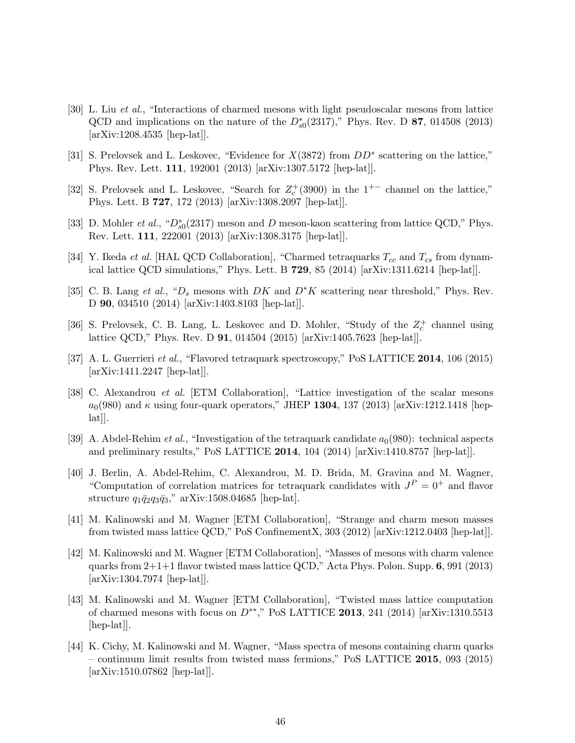- <span id="page-46-0"></span>[30] L. Liu et al., "Interactions of charmed mesons with light pseudoscalar mesons from lattice QCD and implications on the nature of the  $D_{s0}^*(2317)$ ," Phys. Rev. D 87, 014508 (2013) [arXiv:1208.4535 [hep-lat]].
- <span id="page-46-1"></span>[31] S. Prelovsek and L. Leskovec, "Evidence for  $X(3872)$  from  $DD^*$  scattering on the lattice," Phys. Rev. Lett. 111, 192001 (2013) [arXiv:1307.5172 [hep-lat]].
- <span id="page-46-2"></span>[32] S. Prelovsek and L. Leskovec, "Search for  $Z_c^+(3900)$  in the 1<sup>+-</sup> channel on the lattice," Phys. Lett. B 727, 172 (2013) [arXiv:1308.2097 [hep-lat]].
- <span id="page-46-3"></span>[33] D. Mohler *et al.*, " $D_{s0}^*(2317)$  meson and D meson-kaon scattering from lattice QCD," Phys. Rev. Lett. 111, 222001 (2013) [arXiv:1308.3175 [hep-lat]].
- <span id="page-46-4"></span>[34] Y. Ikeda *et al.* [HAL QCD Collaboration], "Charmed tetraquarks  $T_{cc}$  and  $T_{cs}$  from dynamical lattice QCD simulations," Phys. Lett. B 729, 85 (2014) [arXiv:1311.6214 [hep-lat]].
- <span id="page-46-5"></span>[35] C. B. Lang et al., " $D_s$  mesons with DK and D<sup>∗</sup>K scattering near threshold," Phys. Rev. D 90, 034510 (2014) [arXiv:1403.8103 [hep-lat]].
- <span id="page-46-6"></span>[36] S. Prelovsek, C. B. Lang, L. Leskovec and D. Mohler, "Study of the  $Z_c^+$  channel using lattice QCD," Phys. Rev. D 91, 014504 (2015) [arXiv:1405.7623 [hep-lat]].
- <span id="page-46-7"></span>[37] A. L. Guerrieri *et al.*, "Flavored tetraquark spectroscopy," PoS LATTICE 2014, 106 (2015) [arXiv:1411.2247 [hep-lat]].
- <span id="page-46-8"></span>[38] C. Alexandrou et al. [ETM Collaboration], "Lattice investigation of the scalar mesons  $a_0(980)$  and  $\kappa$  using four-quark operators," JHEP 1304, 137 (2013) [arXiv:1212.1418 [hep- $|hat||.$
- <span id="page-46-9"></span>[39] A. Abdel-Rehim *et al.*, "Investigation of the tetraquark candidate  $a_0(980)$ : technical aspects and preliminary results," PoS LATTICE 2014, 104 (2014) [arXiv:1410.8757 [hep-lat]].
- <span id="page-46-10"></span>[40] J. Berlin, A. Abdel-Rehim, C. Alexandrou, M. D. Brida, M. Gravina and M. Wagner, "Computation of correlation matrices for tetraquark candidates with  $J<sup>P</sup> = 0<sup>+</sup>$  and flavor structure  $q_1\bar{q}_2q_3\bar{q}_3$ ," arXiv:1508.04685 [hep-lat].
- <span id="page-46-11"></span>[41] M. Kalinowski and M. Wagner [ETM Collaboration], "Strange and charm meson masses from twisted mass lattice QCD," PoS ConfinementX, 303 (2012) [arXiv:1212.0403 [hep-lat]].
- <span id="page-46-12"></span>[42] M. Kalinowski and M. Wagner [ETM Collaboration], "Masses of mesons with charm valence quarks from  $2+1+1$  flavor twisted mass lattice QCD," Acta Phys. Polon. Supp. 6, 991 (2013) [arXiv:1304.7974 [hep-lat]].
- <span id="page-46-13"></span>[43] M. Kalinowski and M. Wagner [ETM Collaboration], "Twisted mass lattice computation of charmed mesons with focus on  $D^{**}$ ," PoS LATTICE 2013, 241 (2014) [arXiv:1310.5513 [hep-lat].
- <span id="page-46-14"></span>[44] K. Cichy, M. Kalinowski and M. Wagner, "Mass spectra of mesons containing charm quarks – continuum limit results from twisted mass fermions," PoS LATTICE 2015, 093 (2015) [arXiv:1510.07862 [hep-lat]].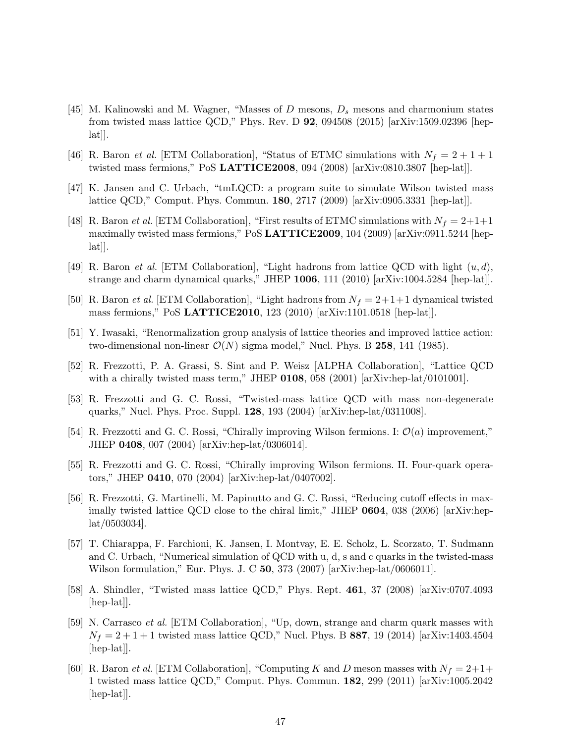- <span id="page-47-0"></span>[45] M. Kalinowski and M. Wagner, "Masses of D mesons,  $D_s$  mesons and charmonium states from twisted mass lattice QCD," Phys. Rev. D 92, 094508 (2015) [arXiv:1509.02396 [hep- $[lat]$ .
- <span id="page-47-2"></span><span id="page-47-1"></span>[46] R. Baron *et al.* [ETM Collaboration], "Status of ETMC simulations with  $N_f = 2 + 1 + 1$ twisted mass fermions," PoS LATTICE2008, 094 (2008) [arXiv:0810.3807 [hep-lat]].
- <span id="page-47-3"></span>[47] K. Jansen and C. Urbach, "tmLQCD: a program suite to simulate Wilson twisted mass lattice QCD," Comput. Phys. Commun. 180, 2717 (2009) [arXiv:0905.3331 [hep-lat]].
- [48] R. Baron *et al.* [ETM Collaboration], "First results of ETMC simulations with  $N_f = 2+1+1$ maximally twisted mass fermions," PoS LATTICE2009, 104 (2009) [arXiv:0911.5244 [hep- $|a t|$ .
- <span id="page-47-5"></span><span id="page-47-4"></span>[49] R. Baron *et al.* [ETM Collaboration], "Light hadrons from lattice QCD with light  $(u, d)$ , strange and charm dynamical quarks," JHEP 1006, 111 (2010) [arXiv:1004.5284 [hep-lat]].
- <span id="page-47-6"></span>[50] R. Baron et al. [ETM Collaboration], "Light hadrons from  $N_f = 2+1+1$  dynamical twisted mass fermions," PoS LATTICE2010, 123 (2010) [arXiv:1101.0518 [hep-lat]].
- <span id="page-47-7"></span>[51] Y. Iwasaki, "Renormalization group analysis of lattice theories and improved lattice action: two-dimensional non-linear  $\mathcal{O}(N)$  sigma model," Nucl. Phys. B 258, 141 (1985).
- [52] R. Frezzotti, P. A. Grassi, S. Sint and P. Weisz [ALPHA Collaboration], "Lattice QCD with a chirally twisted mass term," JHEP  $0108$ , 058 (2001) [arXiv:hep-lat/0101001].
- <span id="page-47-8"></span>[53] R. Frezzotti and G. C. Rossi, "Twisted-mass lattice QCD with mass non-degenerate quarks," Nucl. Phys. Proc. Suppl. 128, 193 (2004) [arXiv:hep-lat/0311008].
- <span id="page-47-10"></span><span id="page-47-9"></span>[54] R. Frezzotti and G. C. Rossi, "Chirally improving Wilson fermions. I:  $\mathcal{O}(a)$  improvement," JHEP 0408, 007 (2004) [arXiv:hep-lat/0306014].
- [55] R. Frezzotti and G. C. Rossi, "Chirally improving Wilson fermions. II. Four-quark operators," JHEP 0410, 070 (2004) [arXiv:hep-lat/0407002].
- <span id="page-47-11"></span>[56] R. Frezzotti, G. Martinelli, M. Papinutto and G. C. Rossi, "Reducing cutoff effects in maximally twisted lattice QCD close to the chiral limit," JHEP 0604, 038 (2006) [arXiv:heplat/0503034].
- <span id="page-47-12"></span>[57] T. Chiarappa, F. Farchioni, K. Jansen, I. Montvay, E. E. Scholz, L. Scorzato, T. Sudmann and C. Urbach, "Numerical simulation of QCD with u, d, s and c quarks in the twisted-mass Wilson formulation," Eur. Phys. J. C 50, 373 (2007) [arXiv:hep-lat/0606011].
- <span id="page-47-13"></span>[58] A. Shindler, "Twisted mass lattice QCD," Phys. Rept. 461, 37 (2008) [arXiv:0707.4093 [hep-lat]].
- <span id="page-47-14"></span>[59] N. Carrasco et al. [ETM Collaboration], "Up, down, strange and charm quark masses with  $N_f = 2 + 1 + 1$  twisted mass lattice QCD," Nucl. Phys. B 887, 19 (2014) [arXiv:1403.4504 [hep-lat].
- <span id="page-47-15"></span>[60] R. Baron *et al.* [ETM Collaboration], "Computing K and D meson masses with  $N_f = 2+1+$ 1 twisted mass lattice QCD," Comput. Phys. Commun. 182, 299 (2011) [arXiv:1005.2042 [hep-lat]].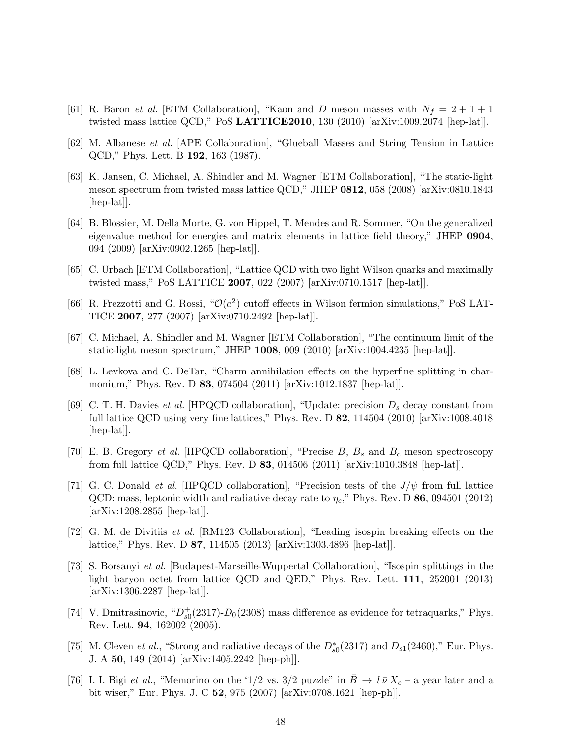- <span id="page-48-1"></span><span id="page-48-0"></span>[61] R. Baron *et al.* [ETM Collaboration], "Kaon and D meson masses with  $N_f = 2 + 1 + 1$ twisted mass lattice QCD," PoS LATTICE2010, 130 (2010) [arXiv:1009.2074 [hep-lat]].
- <span id="page-48-2"></span>[62] M. Albanese et al. [APE Collaboration], "Glueball Masses and String Tension in Lattice QCD," Phys. Lett. B 192, 163 (1987).
- [63] K. Jansen, C. Michael, A. Shindler and M. Wagner [ETM Collaboration], "The static-light meson spectrum from twisted mass lattice QCD," JHEP 0812, 058 (2008) [arXiv:0810.1843 [hep-lat].
- <span id="page-48-3"></span>[64] B. Blossier, M. Della Morte, G. von Hippel, T. Mendes and R. Sommer, "On the generalized eigenvalue method for energies and matrix elements in lattice field theory," JHEP 0904, 094 (2009) [arXiv:0902.1265 [hep-lat]].
- <span id="page-48-5"></span><span id="page-48-4"></span>[65] C. Urbach [ETM Collaboration], "Lattice QCD with two light Wilson quarks and maximally twisted mass," PoS LATTICE 2007, 022 (2007) [arXiv:0710.1517 [hep-lat]].
- [66] R. Frezzotti and G. Rossi, " $\mathcal{O}(a^2)$  cutoff effects in Wilson fermion simulations," PoS LAT-TICE 2007, 277 (2007) [arXiv:0710.2492 [hep-lat]].
- <span id="page-48-6"></span>[67] C. Michael, A. Shindler and M. Wagner [ETM Collaboration], "The continuum limit of the static-light meson spectrum," JHEP 1008, 009 (2010) [arXiv:1004.4235 [hep-lat]].
- <span id="page-48-7"></span>[68] L. Levkova and C. DeTar, "Charm annihilation effects on the hyperfine splitting in charmonium," Phys. Rev. D 83, 074504 (2011) [arXiv:1012.1837 [hep-lat]].
- <span id="page-48-8"></span>[69] C. T. H. Davies *et al.* [HPQCD collaboration], "Update: precision  $D_s$  decay constant from full lattice QCD using very fine lattices," Phys. Rev. D  $82$ , 114504 (2010) [arXiv:1008.4018 [hep-lat]].
- <span id="page-48-9"></span>[70] E. B. Gregory *et al.* [HPQCD collaboration], "Precise  $B, B_s$  and  $B_c$  meson spectroscopy from full lattice QCD," Phys. Rev. D 83, 014506 (2011) [arXiv:1010.3848 [hep-lat]].
- <span id="page-48-10"></span>[71] G. C. Donald *et al.* [HPQCD collaboration], "Precision tests of the  $J/\psi$  from full lattice QCD: mass, leptonic width and radiative decay rate to  $\eta_c$ ," Phys. Rev. D 86, 094501 (2012) [arXiv:1208.2855 [hep-lat]].
- <span id="page-48-11"></span>[72] G. M. de Divitiis et al. [RM123 Collaboration], "Leading isospin breaking effects on the lattice," Phys. Rev. D 87, 114505 (2013) [arXiv:1303.4896 [hep-lat]].
- <span id="page-48-12"></span>[73] S. Borsanyi et al. [Budapest-Marseille-Wuppertal Collaboration], "Isospin splittings in the light baryon octet from lattice QCD and QED," Phys. Rev. Lett. 111, 252001 (2013) [arXiv:1306.2287 [hep-lat]].
- <span id="page-48-13"></span>[74] V. Dmitrasinovic, " $D_{s0}^+(2317)$ - $D_0(2308)$  mass difference as evidence for tetraquarks," Phys. Rev. Lett. 94, 162002 (2005).
- <span id="page-48-14"></span>[75] M. Cleven *et al.*, "Strong and radiative decays of the  $D_{s0}^*(2317)$  and  $D_{s1}(2460)$ ," Eur. Phys. J. A 50, 149 (2014) [arXiv:1405.2242 [hep-ph]].
- <span id="page-48-15"></span>[76] I. I. Bigi et al., "Memorino on the '1/2 vs. 3/2 puzzle" in  $\bar{B} \to l \bar{\nu} X_c$  – a year later and a bit wiser," Eur. Phys. J. C 52, 975 (2007) [arXiv:0708.1621 [hep-ph]].